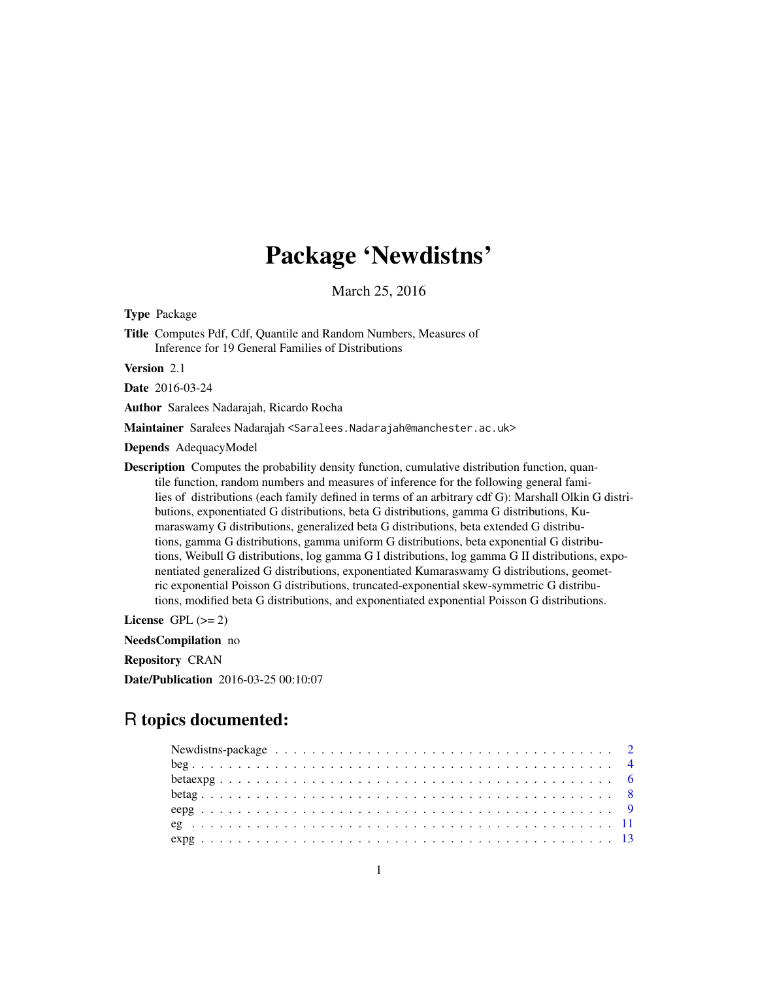# Package 'Newdistns'

March 25, 2016

Type Package

Title Computes Pdf, Cdf, Quantile and Random Numbers, Measures of Inference for 19 General Families of Distributions

Version 2.1

Date 2016-03-24

Author Saralees Nadarajah, Ricardo Rocha

Maintainer Saralees Nadarajah <Saralees.Nadarajah@manchester.ac.uk>

Depends AdequacyModel

Description Computes the probability density function, cumulative distribution function, quantile function, random numbers and measures of inference for the following general families of distributions (each family defined in terms of an arbitrary cdf G): Marshall Olkin G distributions, exponentiated G distributions, beta G distributions, gamma G distributions, Kumaraswamy G distributions, generalized beta G distributions, beta extended G distributions, gamma G distributions, gamma uniform G distributions, beta exponential G distributions, Weibull G distributions, log gamma G I distributions, log gamma G II distributions, exponentiated generalized G distributions, exponentiated Kumaraswamy G distributions, geometric exponential Poisson G distributions, truncated-exponential skew-symmetric G distributions, modified beta G distributions, and exponentiated exponential Poisson G distributions.

License GPL  $(>= 2)$ 

NeedsCompilation no

Repository CRAN

Date/Publication 2016-03-25 00:10:07

# R topics documented:

| Newdistns-package $\ldots \ldots \ldots \ldots \ldots \ldots \ldots \ldots \ldots \ldots \ldots \ldots \ldots 2$ |  |
|------------------------------------------------------------------------------------------------------------------|--|
|                                                                                                                  |  |
|                                                                                                                  |  |
|                                                                                                                  |  |
|                                                                                                                  |  |
|                                                                                                                  |  |
|                                                                                                                  |  |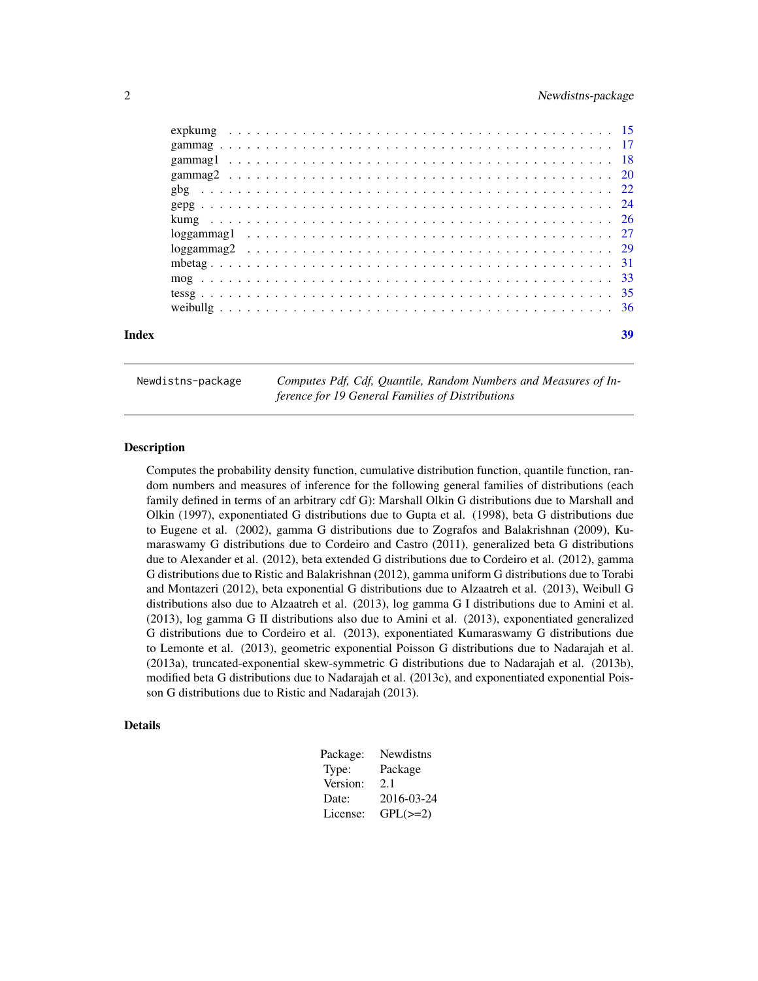<span id="page-1-0"></span>

| Index | 39 |
|-------|----|
|       |    |
|       |    |
|       |    |
|       |    |
|       |    |
|       |    |
|       |    |
|       |    |
|       |    |
|       |    |
|       |    |
|       |    |
|       |    |

Newdistns-package *Computes Pdf, Cdf, Quantile, Random Numbers and Measures of Inference for 19 General Families of Distributions*

### Description

Computes the probability density function, cumulative distribution function, quantile function, random numbers and measures of inference for the following general families of distributions (each family defined in terms of an arbitrary cdf G): Marshall Olkin G distributions due to Marshall and Olkin (1997), exponentiated G distributions due to Gupta et al. (1998), beta G distributions due to Eugene et al. (2002), gamma G distributions due to Zografos and Balakrishnan (2009), Kumaraswamy G distributions due to Cordeiro and Castro (2011), generalized beta G distributions due to Alexander et al. (2012), beta extended G distributions due to Cordeiro et al. (2012), gamma G distributions due to Ristic and Balakrishnan (2012), gamma uniform G distributions due to Torabi and Montazeri (2012), beta exponential G distributions due to Alzaatreh et al. (2013), Weibull G distributions also due to Alzaatreh et al. (2013), log gamma G I distributions due to Amini et al. (2013), log gamma G II distributions also due to Amini et al. (2013), exponentiated generalized G distributions due to Cordeiro et al. (2013), exponentiated Kumaraswamy G distributions due to Lemonte et al. (2013), geometric exponential Poisson G distributions due to Nadarajah et al. (2013a), truncated-exponential skew-symmetric G distributions due to Nadarajah et al. (2013b), modified beta G distributions due to Nadarajah et al. (2013c), and exponentiated exponential Poisson G distributions due to Ristic and Nadarajah (2013).

#### Details

| Package: | Newdistns     |
|----------|---------------|
| Type:    | Package       |
| Version: | 2.1           |
| Date:    | 2016-03-24    |
| License: | $GPL(\geq=2)$ |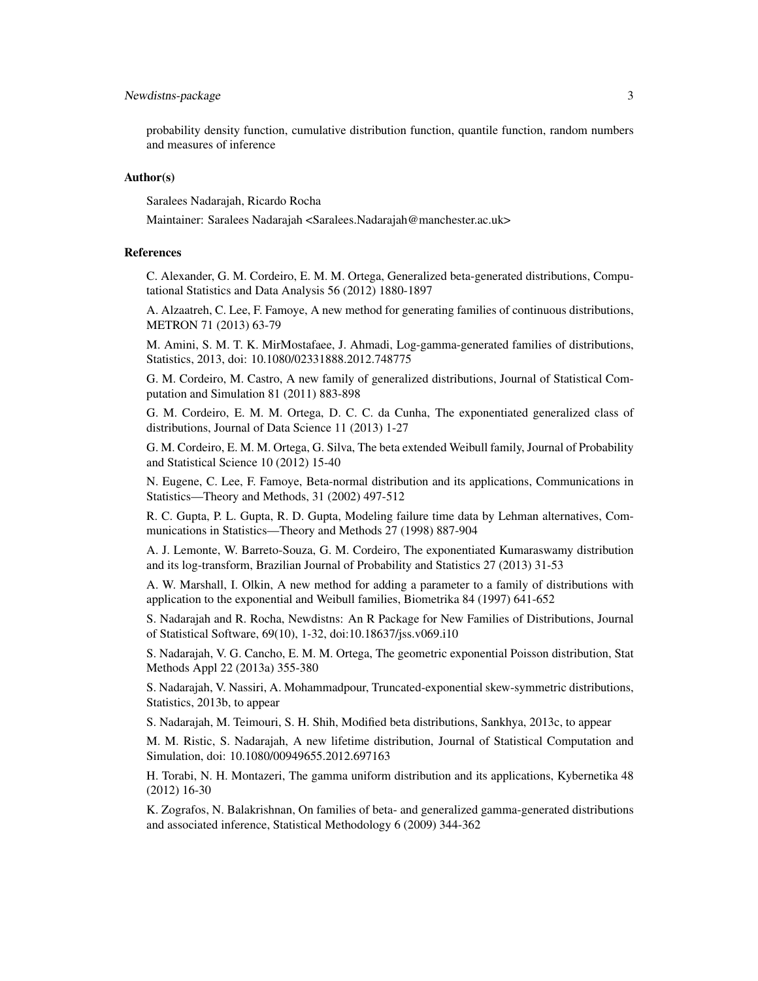### Newdistns-package 3

probability density function, cumulative distribution function, quantile function, random numbers and measures of inference

#### Author(s)

Saralees Nadarajah, Ricardo Rocha

Maintainer: Saralees Nadarajah <Saralees.Nadarajah@manchester.ac.uk>

### References

C. Alexander, G. M. Cordeiro, E. M. M. Ortega, Generalized beta-generated distributions, Computational Statistics and Data Analysis 56 (2012) 1880-1897

A. Alzaatreh, C. Lee, F. Famoye, A new method for generating families of continuous distributions, METRON 71 (2013) 63-79

M. Amini, S. M. T. K. MirMostafaee, J. Ahmadi, Log-gamma-generated families of distributions, Statistics, 2013, doi: 10.1080/02331888.2012.748775

G. M. Cordeiro, M. Castro, A new family of generalized distributions, Journal of Statistical Computation and Simulation 81 (2011) 883-898

G. M. Cordeiro, E. M. M. Ortega, D. C. C. da Cunha, The exponentiated generalized class of distributions, Journal of Data Science 11 (2013) 1-27

G. M. Cordeiro, E. M. M. Ortega, G. Silva, The beta extended Weibull family, Journal of Probability and Statistical Science 10 (2012) 15-40

N. Eugene, C. Lee, F. Famoye, Beta-normal distribution and its applications, Communications in Statistics—Theory and Methods, 31 (2002) 497-512

R. C. Gupta, P. L. Gupta, R. D. Gupta, Modeling failure time data by Lehman alternatives, Communications in Statistics—Theory and Methods 27 (1998) 887-904

A. J. Lemonte, W. Barreto-Souza, G. M. Cordeiro, The exponentiated Kumaraswamy distribution and its log-transform, Brazilian Journal of Probability and Statistics 27 (2013) 31-53

A. W. Marshall, I. Olkin, A new method for adding a parameter to a family of distributions with application to the exponential and Weibull families, Biometrika 84 (1997) 641-652

S. Nadarajah and R. Rocha, Newdistns: An R Package for New Families of Distributions, Journal of Statistical Software, 69(10), 1-32, doi:10.18637/jss.v069.i10

S. Nadarajah, V. G. Cancho, E. M. M. Ortega, The geometric exponential Poisson distribution, Stat Methods Appl 22 (2013a) 355-380

S. Nadarajah, V. Nassiri, A. Mohammadpour, Truncated-exponential skew-symmetric distributions, Statistics, 2013b, to appear

S. Nadarajah, M. Teimouri, S. H. Shih, Modified beta distributions, Sankhya, 2013c, to appear

M. M. Ristic, S. Nadarajah, A new lifetime distribution, Journal of Statistical Computation and Simulation, doi: 10.1080/00949655.2012.697163

H. Torabi, N. H. Montazeri, The gamma uniform distribution and its applications, Kybernetika 48 (2012) 16-30

K. Zografos, N. Balakrishnan, On families of beta- and generalized gamma-generated distributions and associated inference, Statistical Methodology 6 (2009) 344-362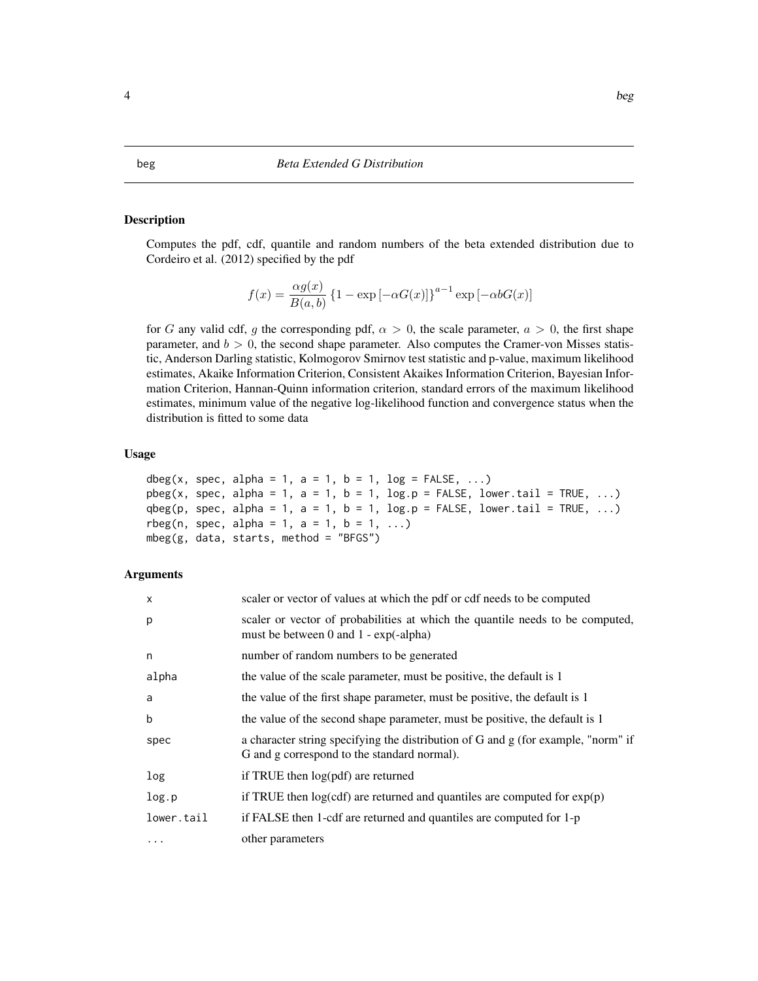### <span id="page-3-0"></span>Description

Computes the pdf, cdf, quantile and random numbers of the beta extended distribution due to Cordeiro et al. (2012) specified by the pdf

$$
f(x) = \frac{\alpha g(x)}{B(a,b)} \left\{ 1 - \exp\left[-\alpha G(x)\right] \right\}^{a-1} \exp\left[-\alpha b G(x)\right]
$$

for G any valid cdf, g the corresponding pdf,  $\alpha > 0$ , the scale parameter,  $a > 0$ , the first shape parameter, and  $b > 0$ , the second shape parameter. Also computes the Cramer-von Misses statistic, Anderson Darling statistic, Kolmogorov Smirnov test statistic and p-value, maximum likelihood estimates, Akaike Information Criterion, Consistent Akaikes Information Criterion, Bayesian Information Criterion, Hannan-Quinn information criterion, standard errors of the maximum likelihood estimates, minimum value of the negative log-likelihood function and convergence status when the distribution is fitted to some data

# Usage

```
dbeg(x, spec, alpha = 1, a = 1, b = 1, log = FALSE, \ldots)
pbeg(x, spec, alpha = 1, a = 1, b = 1, log.p = FALSE, lower.tail = TRUE, ...)qbeg(p, spec, alpha = 1, a = 1, b = 1, log.p = FALSE, lower.tail = TRUE, \dots)
rbeg(n, spec, alpha = 1, a = 1, b = 1, ...)mbeg(g, data, starts, method = "BFGS")
```

| $\mathsf{x}$ | scaler or vector of values at which the pdf or cdf needs to be computed                                                          |
|--------------|----------------------------------------------------------------------------------------------------------------------------------|
| p            | scaler or vector of probabilities at which the quantile needs to be computed,<br>must be between 0 and $1 - \exp(-\alpha)$       |
| n            | number of random numbers to be generated                                                                                         |
| alpha        | the value of the scale parameter, must be positive, the default is 1                                                             |
| a            | the value of the first shape parameter, must be positive, the default is 1                                                       |
| b            | the value of the second shape parameter, must be positive, the default is 1                                                      |
| spec         | a character string specifying the distribution of G and g (for example, "norm" if<br>G and g correspond to the standard normal). |
| log          | if TRUE then $log(pdf)$ are returned                                                                                             |
| log.p        | if TRUE then $log(cdf)$ are returned and quantiles are computed for $exp(p)$                                                     |
| lower.tail   | if FALSE then 1-cdf are returned and quantiles are computed for 1-p                                                              |
| $\cdots$     | other parameters                                                                                                                 |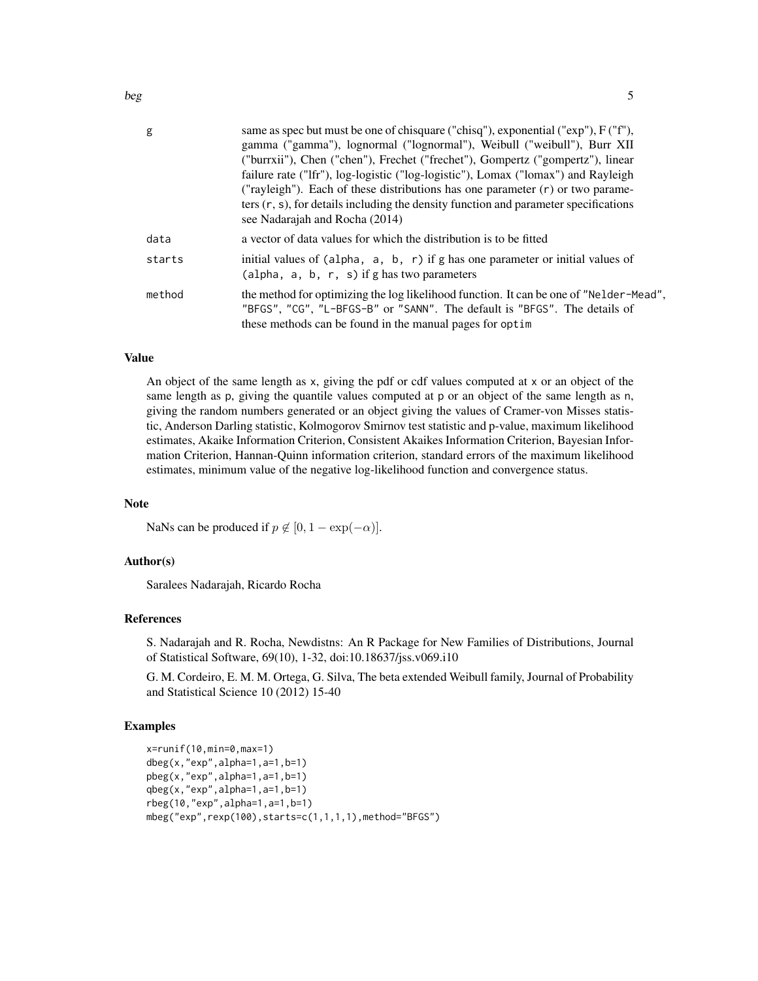| g      | same as spec but must be one of chisquare ("chisq"), exponential ("exp"), F ("f"),<br>gamma ("gamma"), lognormal ("lognormal"), Weibull ("weibull"), Burr XII<br>("burrxii"), Chen ("chen"), Frechet ("frechet"), Gompertz ("gompertz"), linear<br>failure rate ("Ifr"), log-logistic ("log-logistic"), Lomax ("lomax") and Rayleigh<br>("rayleigh"). Each of these distributions has one parameter $(r)$ or two parame-<br>ters $(r, s)$ , for details including the density function and parameter specifications<br>see Nadarajah and Rocha (2014) |
|--------|-------------------------------------------------------------------------------------------------------------------------------------------------------------------------------------------------------------------------------------------------------------------------------------------------------------------------------------------------------------------------------------------------------------------------------------------------------------------------------------------------------------------------------------------------------|
| data   | a vector of data values for which the distribution is to be fitted                                                                                                                                                                                                                                                                                                                                                                                                                                                                                    |
| starts | initial values of $(alpha, a, b, r)$ if g has one parameter or initial values of<br>(alpha, $a, b, r, s$ ) if g has two parameters                                                                                                                                                                                                                                                                                                                                                                                                                    |
| method | the method for optimizing the log likelihood function. It can be one of "Nelder-Mead",<br>"BFGS", "CG", "L-BFGS-B" or "SANN". The default is "BFGS". The details of<br>these methods can be found in the manual pages for optim                                                                                                                                                                                                                                                                                                                       |

# Value

An object of the same length as x, giving the pdf or cdf values computed at x or an object of the same length as p, giving the quantile values computed at p or an object of the same length as n, giving the random numbers generated or an object giving the values of Cramer-von Misses statistic, Anderson Darling statistic, Kolmogorov Smirnov test statistic and p-value, maximum likelihood estimates, Akaike Information Criterion, Consistent Akaikes Information Criterion, Bayesian Information Criterion, Hannan-Quinn information criterion, standard errors of the maximum likelihood estimates, minimum value of the negative log-likelihood function and convergence status.

## Note

NaNs can be produced if  $p \notin [0, 1 - \exp(-\alpha)].$ 

#### Author(s)

Saralees Nadarajah, Ricardo Rocha

# References

S. Nadarajah and R. Rocha, Newdistns: An R Package for New Families of Distributions, Journal of Statistical Software, 69(10), 1-32, doi:10.18637/jss.v069.i10

G. M. Cordeiro, E. M. M. Ortega, G. Silva, The beta extended Weibull family, Journal of Probability and Statistical Science 10 (2012) 15-40

#### Examples

```
x=runif(10,min=0,max=1)
dbeg(x,"exp",alpha=1,a=1,b=1)
pbeg(x,"exp",alpha=1,a=1,b=1)
qbeg(x,"exp",alpha=1,a=1,b=1)
rbeg(10,"exp",alpha=1,a=1,b=1)
mbeg("exp",rexp(100),starts=c(1,1,1,1),method="BFGS")
```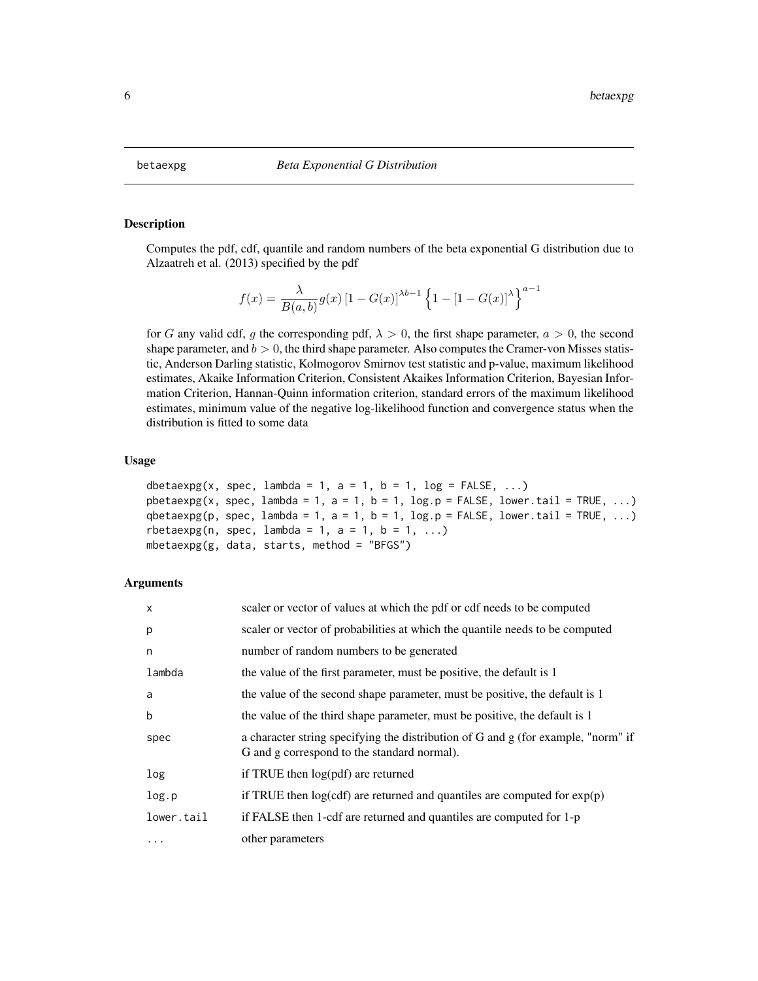# <span id="page-5-0"></span>Description

Computes the pdf, cdf, quantile and random numbers of the beta exponential G distribution due to Alzaatreh et al. (2013) specified by the pdf

$$
f(x) = \frac{\lambda}{B(a, b)} g(x) [1 - G(x)]^{\lambda b - 1} \left\{ 1 - [1 - G(x)]^{\lambda} \right\}^{a - 1}
$$

for G any valid cdf, g the corresponding pdf,  $\lambda > 0$ , the first shape parameter,  $a > 0$ , the second shape parameter, and  $b > 0$ , the third shape parameter. Also computes the Cramer-von Misses statistic, Anderson Darling statistic, Kolmogorov Smirnov test statistic and p-value, maximum likelihood estimates, Akaike Information Criterion, Consistent Akaikes Information Criterion, Bayesian Information Criterion, Hannan-Quinn information criterion, standard errors of the maximum likelihood estimates, minimum value of the negative log-likelihood function and convergence status when the distribution is fitted to some data

#### Usage

```
dbetaexpg(x, spec, lambda = 1, a = 1, b = 1, log = FALSE, ...)
pbetaexpg(x, spec, lambda = 1, a = 1, b = 1, \log p = FALSE, lower.tail = TRUE, ...)
qbetaexpg(p, spec, lambda = 1, a = 1, b = 1, log.p = FALSE, lower.tail = TRUE, ...)
rbetaexpg(n, spec, lambda = 1, a = 1, b = 1, ...)
mbetaexpg(g, data, starts, method = "BFGS")
```

| $\times$   | scaler or vector of values at which the pdf or cdf needs to be computed                                                          |
|------------|----------------------------------------------------------------------------------------------------------------------------------|
| p          | scaler or vector of probabilities at which the quantile needs to be computed                                                     |
| n          | number of random numbers to be generated                                                                                         |
| lambda     | the value of the first parameter, must be positive, the default is 1                                                             |
| a          | the value of the second shape parameter, must be positive, the default is 1                                                      |
| b          | the value of the third shape parameter, must be positive, the default is 1                                                       |
| spec       | a character string specifying the distribution of G and g (for example, "norm" if<br>G and g correspond to the standard normal). |
| log        | if TRUE then $log(pdf)$ are returned                                                                                             |
| log.p      | if TRUE then $log(cdf)$ are returned and quantiles are computed for $exp(p)$                                                     |
| lower.tail | if FALSE then 1-cdf are returned and quantiles are computed for 1-p                                                              |
| $\cdots$   | other parameters                                                                                                                 |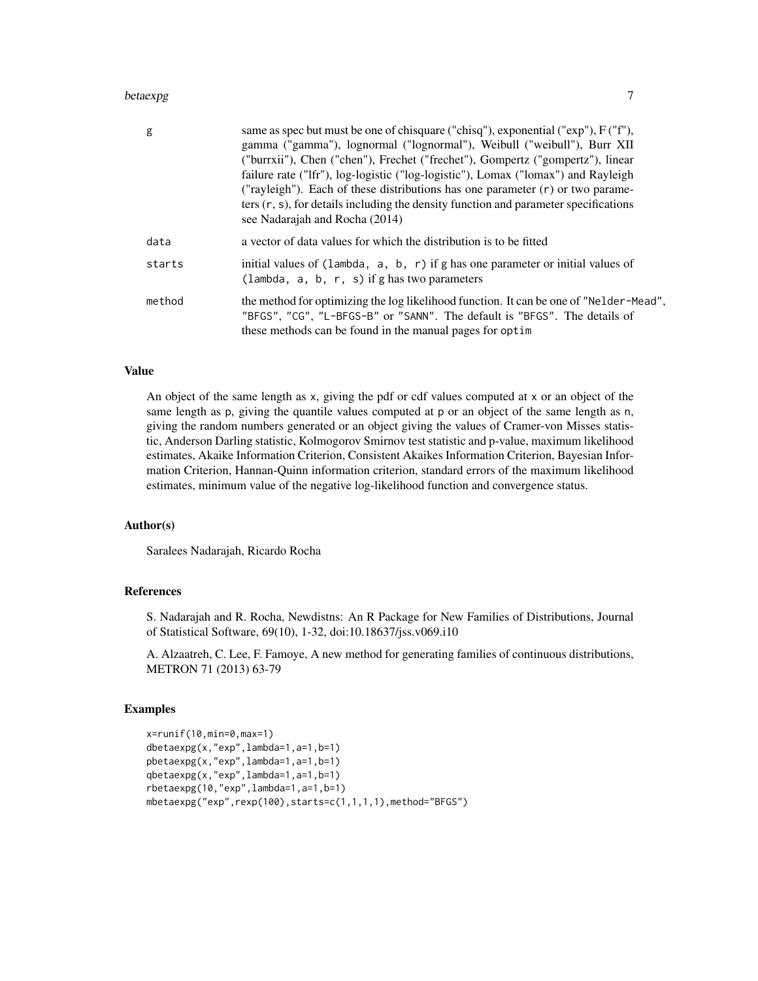#### betaexpg 7

| g      | same as spec but must be one of chisquare ("chisq"), exponential ("exp"), F ("f"),<br>gamma ("gamma"), lognormal ("lognormal"), Weibull ("weibull"), Burr XII<br>("burrxii"), Chen ("chen"), Frechet ("frechet"), Gompertz ("gompertz"), linear<br>failure rate ("Ifr"), log-logistic ("log-logistic"), Lomax ("lomax") and Rayleigh<br>("rayleigh"). Each of these distributions has one parameter $(r)$ or two parame-<br>ters $(r, s)$ , for details including the density function and parameter specifications<br>see Nadarajah and Rocha (2014) |
|--------|-------------------------------------------------------------------------------------------------------------------------------------------------------------------------------------------------------------------------------------------------------------------------------------------------------------------------------------------------------------------------------------------------------------------------------------------------------------------------------------------------------------------------------------------------------|
| data   | a vector of data values for which the distribution is to be fitted                                                                                                                                                                                                                                                                                                                                                                                                                                                                                    |
| starts | initial values of (lambda, $a, b, r$ ) if g has one parameter or initial values of<br>(lambda, $a, b, r, s$ ) if g has two parameters                                                                                                                                                                                                                                                                                                                                                                                                                 |
| method | the method for optimizing the log likelihood function. It can be one of "Nelder-Mead",<br>"BFGS", "CG", "L-BFGS-B" or "SANN". The default is "BFGS". The details of<br>these methods can be found in the manual pages for optim                                                                                                                                                                                                                                                                                                                       |

# Value

An object of the same length as x, giving the pdf or cdf values computed at x or an object of the same length as p, giving the quantile values computed at p or an object of the same length as n, giving the random numbers generated or an object giving the values of Cramer-von Misses statistic, Anderson Darling statistic, Kolmogorov Smirnov test statistic and p-value, maximum likelihood estimates, Akaike Information Criterion, Consistent Akaikes Information Criterion, Bayesian Information Criterion, Hannan-Quinn information criterion, standard errors of the maximum likelihood estimates, minimum value of the negative log-likelihood function and convergence status.

#### Author(s)

Saralees Nadarajah, Ricardo Rocha

#### References

S. Nadarajah and R. Rocha, Newdistns: An R Package for New Families of Distributions, Journal of Statistical Software, 69(10), 1-32, doi:10.18637/jss.v069.i10

A. Alzaatreh, C. Lee, F. Famoye, A new method for generating families of continuous distributions, METRON 71 (2013) 63-79

#### Examples

```
x=runif(10,min=0,max=1)
dbetaexpg(x,"exp",lambda=1,a=1,b=1)
pbetaexpg(x,"exp",lambda=1,a=1,b=1)
qbetaexpg(x,"exp",lambda=1,a=1,b=1)
rbetaexpg(10,"exp",lambda=1,a=1,b=1)
mbetaexpg("exp",rexp(100),starts=c(1,1,1,1),method="BFGS")
```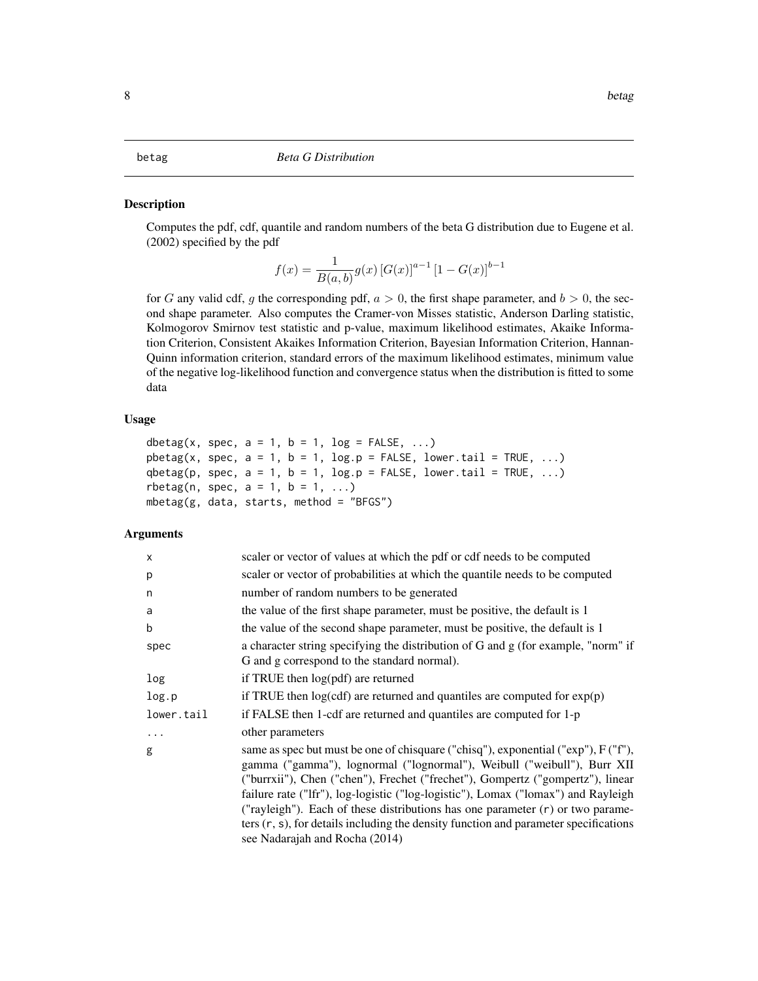# <span id="page-7-0"></span>**Description**

Computes the pdf, cdf, quantile and random numbers of the beta G distribution due to Eugene et al. (2002) specified by the pdf

$$
f(x) = \frac{1}{B(a,b)} g(x) [G(x)]^{a-1} [1 - G(x)]^{b-1}
$$

for G any valid cdf, g the corresponding pdf,  $a > 0$ , the first shape parameter, and  $b > 0$ , the second shape parameter. Also computes the Cramer-von Misses statistic, Anderson Darling statistic, Kolmogorov Smirnov test statistic and p-value, maximum likelihood estimates, Akaike Information Criterion, Consistent Akaikes Information Criterion, Bayesian Information Criterion, Hannan-Quinn information criterion, standard errors of the maximum likelihood estimates, minimum value of the negative log-likelihood function and convergence status when the distribution is fitted to some data

#### Usage

```
dbetag(x, spec, a = 1, b = 1, log = FALSE, ...)
pbetag(x, spec, a = 1, b = 1, log.p = FALSE, lower.tail = TRUE, ...)
qbetag(p, spec, a = 1, b = 1, log.p = FALSE, lower.tail = TRUE, ...)
rbetag(n, spec, a = 1, b = 1, ...)
mbeta(g, data, starts, method = "BFGS")
```

| X          | scaler or vector of values at which the pdf or cdf needs to be computed                                                                                                                                                                                                                                                                                                                                                                                                                                                                               |
|------------|-------------------------------------------------------------------------------------------------------------------------------------------------------------------------------------------------------------------------------------------------------------------------------------------------------------------------------------------------------------------------------------------------------------------------------------------------------------------------------------------------------------------------------------------------------|
| p          | scaler or vector of probabilities at which the quantile needs to be computed                                                                                                                                                                                                                                                                                                                                                                                                                                                                          |
| n          | number of random numbers to be generated                                                                                                                                                                                                                                                                                                                                                                                                                                                                                                              |
| a          | the value of the first shape parameter, must be positive, the default is 1                                                                                                                                                                                                                                                                                                                                                                                                                                                                            |
| b          | the value of the second shape parameter, must be positive, the default is 1                                                                                                                                                                                                                                                                                                                                                                                                                                                                           |
| spec       | a character string specifying the distribution of G and g (for example, "norm" if<br>G and g correspond to the standard normal).                                                                                                                                                                                                                                                                                                                                                                                                                      |
| log        | if TRUE then log(pdf) are returned                                                                                                                                                                                                                                                                                                                                                                                                                                                                                                                    |
| log.p      | if TRUE then $log(cdf)$ are returned and quantiles are computed for $exp(p)$                                                                                                                                                                                                                                                                                                                                                                                                                                                                          |
| lower.tail | if FALSE then 1-cdf are returned and quantiles are computed for 1-p                                                                                                                                                                                                                                                                                                                                                                                                                                                                                   |
| .          | other parameters                                                                                                                                                                                                                                                                                                                                                                                                                                                                                                                                      |
| g          | same as spec but must be one of chisquare ("chisq"), exponential ("exp"), F ("f"),<br>gamma ("gamma"), lognormal ("lognormal"), Weibull ("weibull"), Burr XII<br>("burrxii"), Chen ("chen"), Frechet ("frechet"), Gompertz ("gompertz"), linear<br>failure rate ("Ifr"), log-logistic ("log-logistic"), Lomax ("lomax") and Rayleigh<br>("rayleigh"). Each of these distributions has one parameter $(r)$ or two parame-<br>ters $(r, s)$ , for details including the density function and parameter specifications<br>see Nadarajah and Rocha (2014) |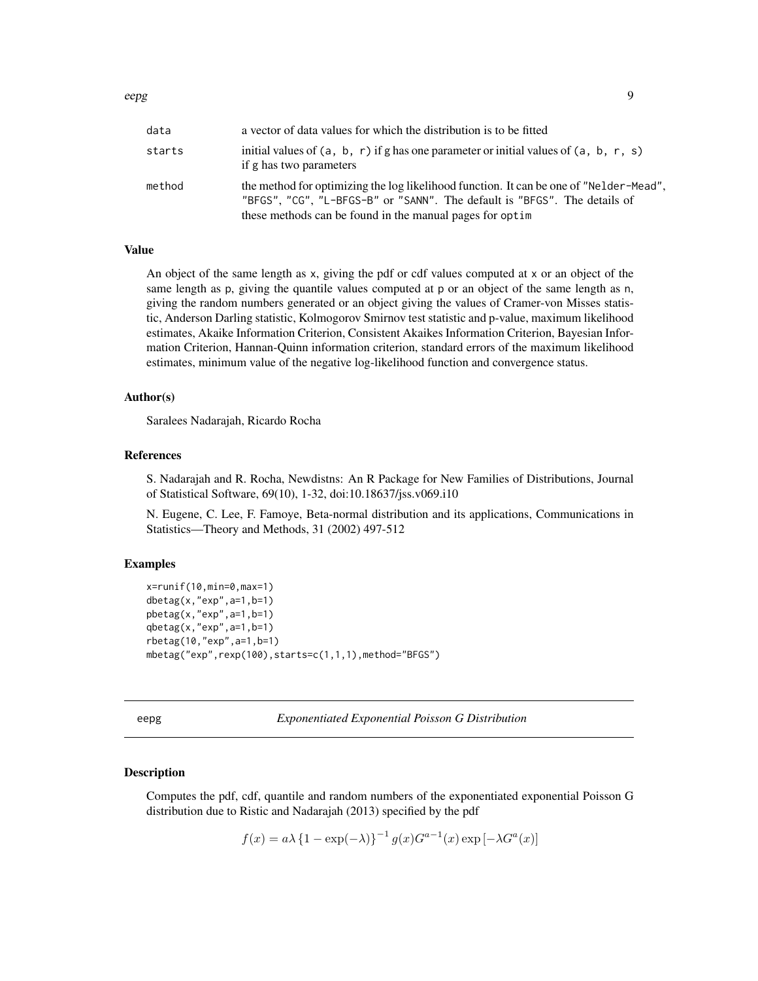<span id="page-8-0"></span>

| data   | a vector of data values for which the distribution is to be fitted                                                                                                                                                              |
|--------|---------------------------------------------------------------------------------------------------------------------------------------------------------------------------------------------------------------------------------|
| starts | initial values of $(a, b, r)$ if g has one parameter or initial values of $(a, b, r, s)$<br>if g has two parameters                                                                                                             |
| method | the method for optimizing the log likelihood function. It can be one of "Nelder-Mead",<br>"BFGS", "CG", "L-BFGS-B" or "SANN". The default is "BFGS". The details of<br>these methods can be found in the manual pages for optim |

# Value

An object of the same length as x, giving the pdf or cdf values computed at x or an object of the same length as p, giving the quantile values computed at p or an object of the same length as n, giving the random numbers generated or an object giving the values of Cramer-von Misses statistic, Anderson Darling statistic, Kolmogorov Smirnov test statistic and p-value, maximum likelihood estimates, Akaike Information Criterion, Consistent Akaikes Information Criterion, Bayesian Information Criterion, Hannan-Quinn information criterion, standard errors of the maximum likelihood estimates, minimum value of the negative log-likelihood function and convergence status.

#### Author(s)

Saralees Nadarajah, Ricardo Rocha

# References

S. Nadarajah and R. Rocha, Newdistns: An R Package for New Families of Distributions, Journal of Statistical Software, 69(10), 1-32, doi:10.18637/jss.v069.i10

N. Eugene, C. Lee, F. Famoye, Beta-normal distribution and its applications, Communications in Statistics—Theory and Methods, 31 (2002) 497-512

#### Examples

```
x=runif(10,min=0,max=1)
dbetag(x,"exp",a=1,b=1)
pbetag(x,"exp",a=1,b=1)
qbeta(x,"exp", a=1, b=1)rbetag(10,"exp",a=1,b=1)
mbetag("exp",rexp(100),starts=c(1,1,1),method="BFGS")
```
eepg *Exponentiated Exponential Poisson G Distribution*

#### Description

Computes the pdf, cdf, quantile and random numbers of the exponentiated exponential Poisson G distribution due to Ristic and Nadarajah (2013) specified by the pdf

$$
f(x) = a\lambda \left\{1 - \exp(-\lambda)\right\}^{-1} g(x) G^{a-1}(x) \exp\left[-\lambda G^a(x)\right]
$$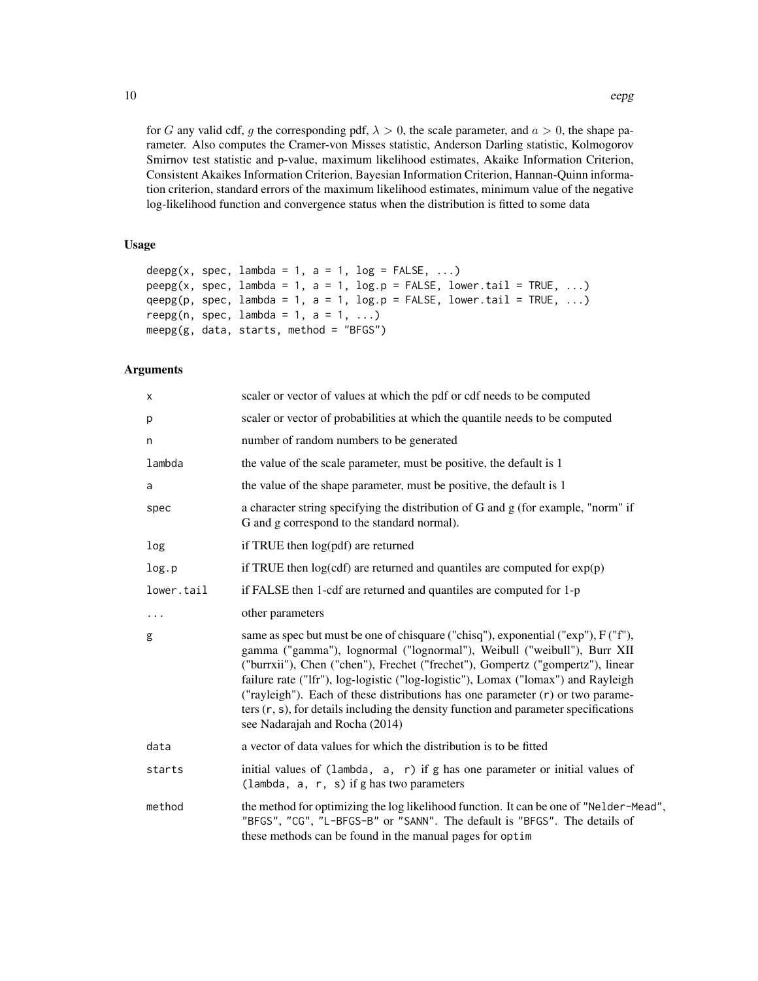for G any valid cdf, g the corresponding pdf,  $\lambda > 0$ , the scale parameter, and  $a > 0$ , the shape parameter. Also computes the Cramer-von Misses statistic, Anderson Darling statistic, Kolmogorov Smirnov test statistic and p-value, maximum likelihood estimates, Akaike Information Criterion, Consistent Akaikes Information Criterion, Bayesian Information Criterion, Hannan-Quinn information criterion, standard errors of the maximum likelihood estimates, minimum value of the negative log-likelihood function and convergence status when the distribution is fitted to some data

# Usage

```
deepg(x, spec, lambda = 1, a = 1, log = FALSE, ...)
peeps(x, spec, lambda = 1, a = 1, log.p = FALSE, lower.tail = TRUE, ...)qeepg(p, spec, lambda = 1, a = 1, log.p = FALSE, lowertail = TRUE, ...)reepg(n, spec, lambda = 1, a = 1, ...)
meeps(g, data, starts, method = "BFGS")
```

| X          | scaler or vector of values at which the pdf or cdf needs to be computed                                                                                                                                                                                                                                                                                                                                                                                                                                                                            |
|------------|----------------------------------------------------------------------------------------------------------------------------------------------------------------------------------------------------------------------------------------------------------------------------------------------------------------------------------------------------------------------------------------------------------------------------------------------------------------------------------------------------------------------------------------------------|
| p          | scaler or vector of probabilities at which the quantile needs to be computed                                                                                                                                                                                                                                                                                                                                                                                                                                                                       |
| n          | number of random numbers to be generated                                                                                                                                                                                                                                                                                                                                                                                                                                                                                                           |
| lambda     | the value of the scale parameter, must be positive, the default is 1                                                                                                                                                                                                                                                                                                                                                                                                                                                                               |
| a          | the value of the shape parameter, must be positive, the default is 1                                                                                                                                                                                                                                                                                                                                                                                                                                                                               |
| spec       | a character string specifying the distribution of G and g (for example, "norm" if<br>G and g correspond to the standard normal).                                                                                                                                                                                                                                                                                                                                                                                                                   |
| log        | if TRUE then log(pdf) are returned                                                                                                                                                                                                                                                                                                                                                                                                                                                                                                                 |
| log.p      | if TRUE then $log(cdf)$ are returned and quantiles are computed for $exp(p)$                                                                                                                                                                                                                                                                                                                                                                                                                                                                       |
| lower.tail | if FALSE then 1-cdf are returned and quantiles are computed for 1-p                                                                                                                                                                                                                                                                                                                                                                                                                                                                                |
| $\cdots$   | other parameters                                                                                                                                                                                                                                                                                                                                                                                                                                                                                                                                   |
| g          | same as spec but must be one of chisquare ("chisq"), exponential ("exp"), F ("f"),<br>gamma ("gamma"), lognormal ("lognormal"), Weibull ("weibull"), Burr XII<br>("burrxii"), Chen ("chen"), Frechet ("frechet"), Gompertz ("gompertz"), linear<br>failure rate ("Ifr"), log-logistic ("log-logistic"), Lomax ("lomax") and Rayleigh<br>("rayleigh"). Each of these distributions has one parameter $(r)$ or two parame-<br>ters (r, s), for details including the density function and parameter specifications<br>see Nadarajah and Rocha (2014) |
| data       | a vector of data values for which the distribution is to be fitted                                                                                                                                                                                                                                                                                                                                                                                                                                                                                 |
| starts     | initial values of (lambda, a, r) if g has one parameter or initial values of<br>(lambda, $a, r, s$ ) if g has two parameters                                                                                                                                                                                                                                                                                                                                                                                                                       |
| method     | the method for optimizing the log likelihood function. It can be one of "Nelder-Mead",<br>"BFGS", "CG", "L-BFGS-B" or "SANN". The default is "BFGS". The details of<br>these methods can be found in the manual pages for optim                                                                                                                                                                                                                                                                                                                    |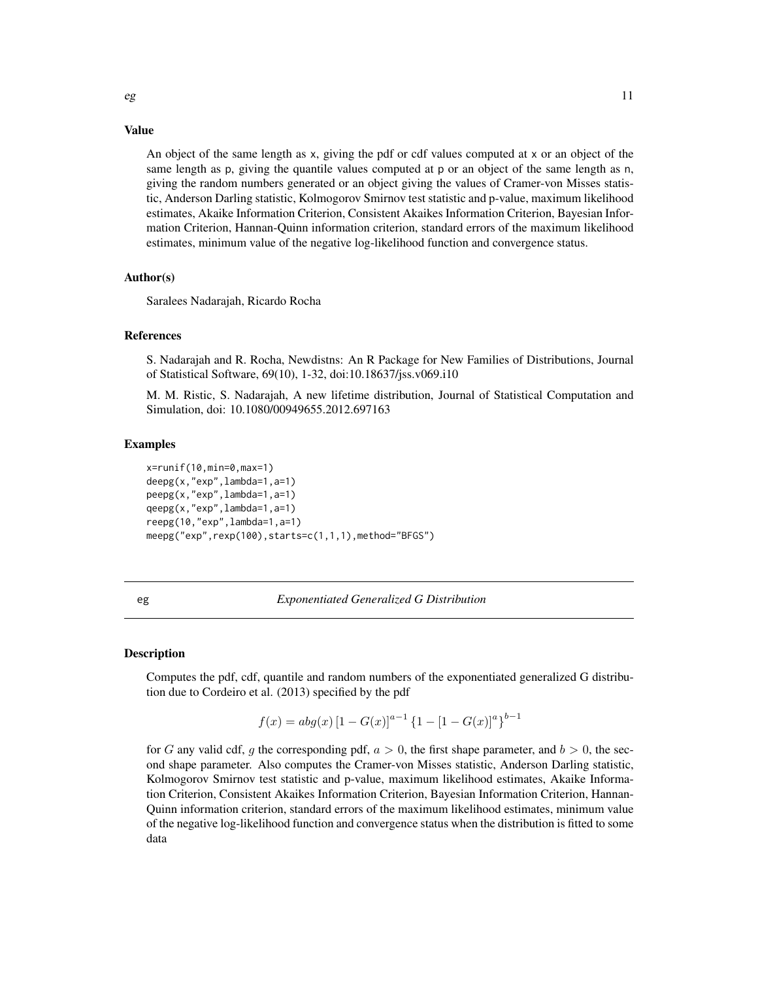#### Value

An object of the same length as x, giving the pdf or cdf values computed at x or an object of the same length as p, giving the quantile values computed at p or an object of the same length as n, giving the random numbers generated or an object giving the values of Cramer-von Misses statistic, Anderson Darling statistic, Kolmogorov Smirnov test statistic and p-value, maximum likelihood estimates, Akaike Information Criterion, Consistent Akaikes Information Criterion, Bayesian Information Criterion, Hannan-Quinn information criterion, standard errors of the maximum likelihood estimates, minimum value of the negative log-likelihood function and convergence status.

#### Author(s)

Saralees Nadarajah, Ricardo Rocha

#### References

S. Nadarajah and R. Rocha, Newdistns: An R Package for New Families of Distributions, Journal of Statistical Software, 69(10), 1-32, doi:10.18637/jss.v069.i10

M. M. Ristic, S. Nadarajah, A new lifetime distribution, Journal of Statistical Computation and Simulation, doi: 10.1080/00949655.2012.697163

#### Examples

```
x=runif(10,min=0,max=1)
deepg(x,"exp",lambda=1,a=1)
peepg(x,"exp",lambda=1,a=1)
qeepg(x,"exp",lambda=1,a=1)
reepg(10,"exp",lambda=1,a=1)
meepg("exp",rexp(100),starts=c(1,1,1),method="BFGS")
```
### eg *Exponentiated Generalized G Distribution*

### Description

Computes the pdf, cdf, quantile and random numbers of the exponentiated generalized G distribution due to Cordeiro et al. (2013) specified by the pdf

$$
f(x) = abg(x) [1 - G(x)]^{a-1} \{1 - [1 - G(x)]^{a}\}^{b-1}
$$

for G any valid cdf, g the corresponding pdf,  $a > 0$ , the first shape parameter, and  $b > 0$ , the second shape parameter. Also computes the Cramer-von Misses statistic, Anderson Darling statistic, Kolmogorov Smirnov test statistic and p-value, maximum likelihood estimates, Akaike Information Criterion, Consistent Akaikes Information Criterion, Bayesian Information Criterion, Hannan-Quinn information criterion, standard errors of the maximum likelihood estimates, minimum value of the negative log-likelihood function and convergence status when the distribution is fitted to some data

<span id="page-10-0"></span>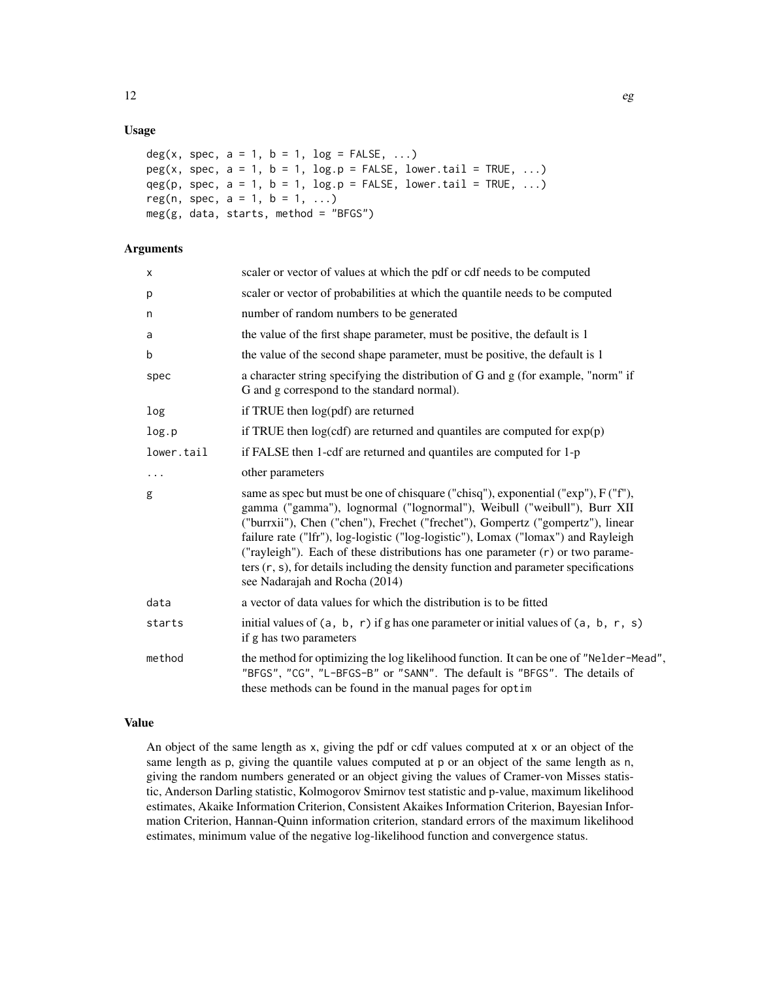### Usage

```
deg(x, spec, a = 1, b = 1, log = FALSE, ...)
peg(x, spec, a = 1, b = 1, log.p = FALSE, lowertail = TRUE, ...)qeg(p, spec, a = 1, b = 1, log.p = FALSE, lowertail = TRUE, ...)reg(n, spec, a = 1, b = 1, ...)
meg(g, data, starts, method = "BFGS")
```
### Arguments

| X          | scaler or vector of values at which the pdf or cdf needs to be computed                                                                                                                                                                                                                                                                                                                                                                                                                                                                               |
|------------|-------------------------------------------------------------------------------------------------------------------------------------------------------------------------------------------------------------------------------------------------------------------------------------------------------------------------------------------------------------------------------------------------------------------------------------------------------------------------------------------------------------------------------------------------------|
| p          | scaler or vector of probabilities at which the quantile needs to be computed                                                                                                                                                                                                                                                                                                                                                                                                                                                                          |
| n          | number of random numbers to be generated                                                                                                                                                                                                                                                                                                                                                                                                                                                                                                              |
| a          | the value of the first shape parameter, must be positive, the default is 1                                                                                                                                                                                                                                                                                                                                                                                                                                                                            |
| b          | the value of the second shape parameter, must be positive, the default is 1                                                                                                                                                                                                                                                                                                                                                                                                                                                                           |
| spec       | a character string specifying the distribution of G and g (for example, "norm" if<br>G and g correspond to the standard normal).                                                                                                                                                                                                                                                                                                                                                                                                                      |
| log        | if TRUE then log(pdf) are returned                                                                                                                                                                                                                                                                                                                                                                                                                                                                                                                    |
| log.p      | if TRUE then $log(cdf)$ are returned and quantiles are computed for $exp(p)$                                                                                                                                                                                                                                                                                                                                                                                                                                                                          |
| lower.tail | if FALSE then 1-cdf are returned and quantiles are computed for 1-p                                                                                                                                                                                                                                                                                                                                                                                                                                                                                   |
| $\cdots$   | other parameters                                                                                                                                                                                                                                                                                                                                                                                                                                                                                                                                      |
| g          | same as spec but must be one of chisquare ("chisq"), exponential ("exp"), F ("f"),<br>gamma ("gamma"), lognormal ("lognormal"), Weibull ("weibull"), Burr XII<br>("burrxii"), Chen ("chen"), Frechet ("frechet"), Gompertz ("gompertz"), linear<br>failure rate ("Ifr"), log-logistic ("log-logistic"), Lomax ("lomax") and Rayleigh<br>("rayleigh"). Each of these distributions has one parameter $(r)$ or two parame-<br>ters $(r, s)$ , for details including the density function and parameter specifications<br>see Nadarajah and Rocha (2014) |
| data       | a vector of data values for which the distribution is to be fitted                                                                                                                                                                                                                                                                                                                                                                                                                                                                                    |
| starts     | initial values of $(a, b, r)$ if g has one parameter or initial values of $(a, b, r, s)$<br>if g has two parameters                                                                                                                                                                                                                                                                                                                                                                                                                                   |
| method     | the method for optimizing the log likelihood function. It can be one of "Nelder-Mead",<br>"BFGS", "CG", "L-BFGS-B" or "SANN". The default is "BFGS". The details of<br>these methods can be found in the manual pages for optim                                                                                                                                                                                                                                                                                                                       |

# Value

An object of the same length as x, giving the pdf or cdf values computed at x or an object of the same length as p, giving the quantile values computed at p or an object of the same length as n, giving the random numbers generated or an object giving the values of Cramer-von Misses statistic, Anderson Darling statistic, Kolmogorov Smirnov test statistic and p-value, maximum likelihood estimates, Akaike Information Criterion, Consistent Akaikes Information Criterion, Bayesian Information Criterion, Hannan-Quinn information criterion, standard errors of the maximum likelihood estimates, minimum value of the negative log-likelihood function and convergence status.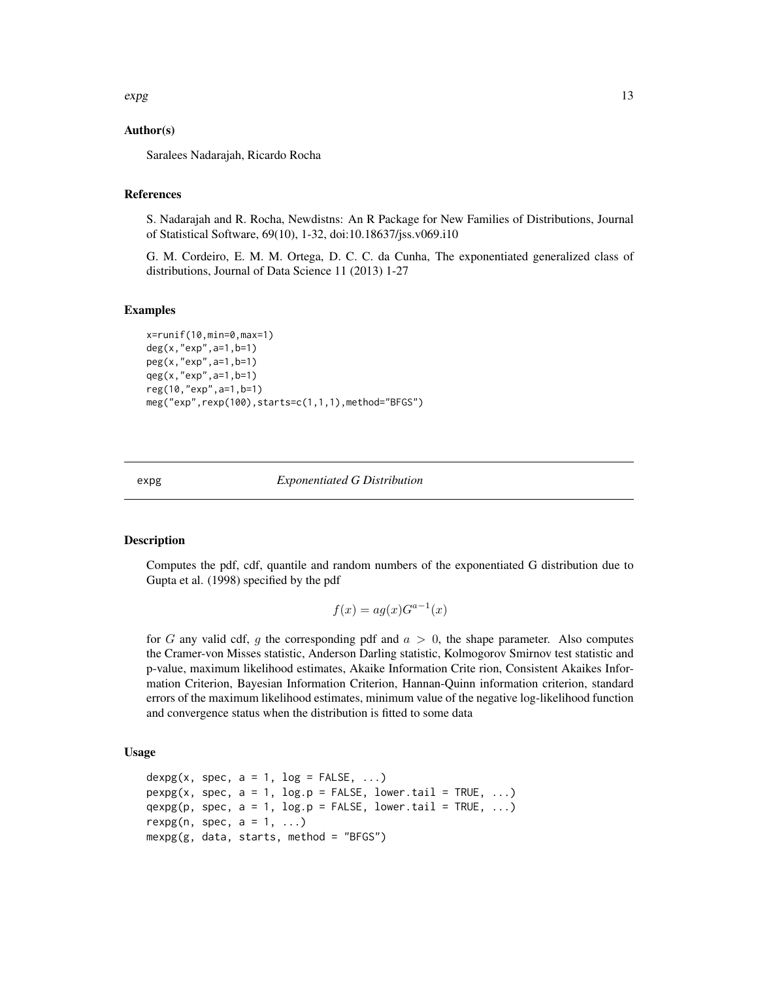<span id="page-12-0"></span> $\exp$  13

# Author(s)

Saralees Nadarajah, Ricardo Rocha

# References

S. Nadarajah and R. Rocha, Newdistns: An R Package for New Families of Distributions, Journal of Statistical Software, 69(10), 1-32, doi:10.18637/jss.v069.i10

G. M. Cordeiro, E. M. M. Ortega, D. C. C. da Cunha, The exponentiated generalized class of distributions, Journal of Data Science 11 (2013) 1-27

### Examples

```
x=runif(10,min=0,max=1)
deg(x,"exp",a=1,b=1)
peg(x,"exp",a=1,b=1)
qeg(x,"exp",a=1,b=1)
reg(10,"exp",a=1,b=1)
meg("exp",rexp(100),starts=c(1,1,1),method="BFGS")
```
#### expg *Exponentiated G Distribution*

#### **Description**

Computes the pdf, cdf, quantile and random numbers of the exponentiated G distribution due to Gupta et al. (1998) specified by the pdf

$$
f(x) = ag(x)G^{a-1}(x)
$$

for G any valid cdf, g the corresponding pdf and  $a > 0$ , the shape parameter. Also computes the Cramer-von Misses statistic, Anderson Darling statistic, Kolmogorov Smirnov test statistic and p-value, maximum likelihood estimates, Akaike Information Crite rion, Consistent Akaikes Information Criterion, Bayesian Information Criterion, Hannan-Quinn information criterion, standard errors of the maximum likelihood estimates, minimum value of the negative log-likelihood function and convergence status when the distribution is fitted to some data

#### Usage

```
dexpg(x, spec, a = 1, log = FALSE, ...)
pexpg(x, spec, a = 1, log.p = FALSE, lowertail = TRUE, ...)qexp(g(p, spec, a = 1, log.p = FALSE, lowertail = TRUE, ...)rexpg(n, spec, a = 1, ...)
mexpg(g, data, starts, method = "BFGS")
```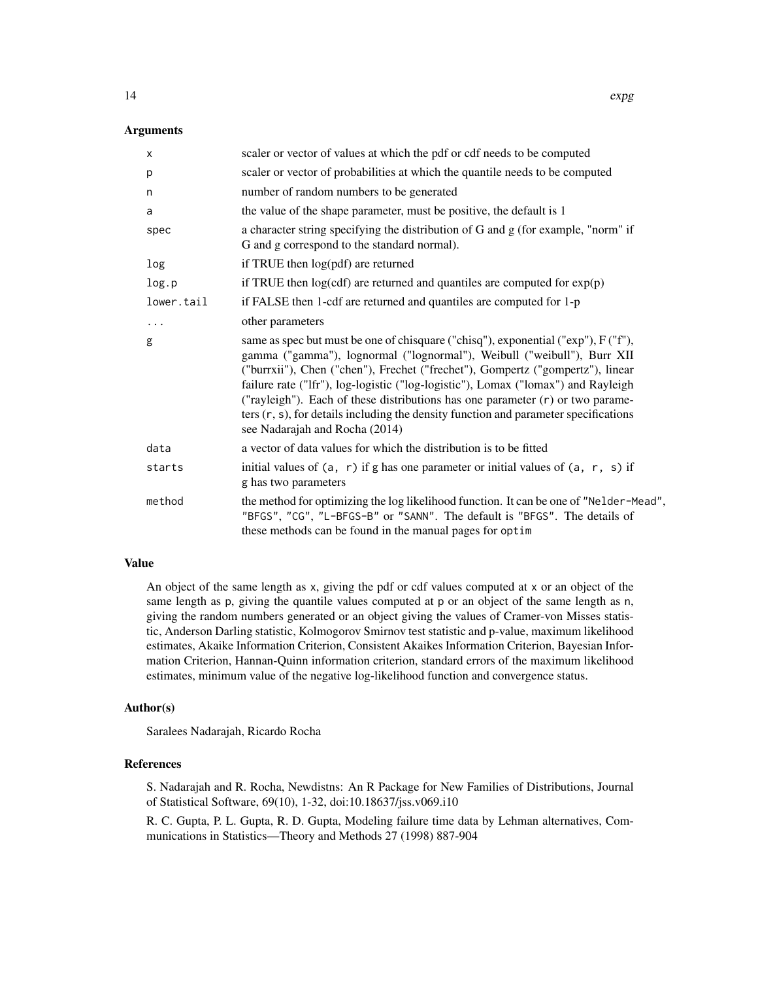#### Arguments

| X          | scaler or vector of values at which the pdf or cdf needs to be computed                                                                                                                                                                                                                                                                                                                                                                                                                                                                             |
|------------|-----------------------------------------------------------------------------------------------------------------------------------------------------------------------------------------------------------------------------------------------------------------------------------------------------------------------------------------------------------------------------------------------------------------------------------------------------------------------------------------------------------------------------------------------------|
| p          | scaler or vector of probabilities at which the quantile needs to be computed                                                                                                                                                                                                                                                                                                                                                                                                                                                                        |
| n          | number of random numbers to be generated                                                                                                                                                                                                                                                                                                                                                                                                                                                                                                            |
| a          | the value of the shape parameter, must be positive, the default is 1                                                                                                                                                                                                                                                                                                                                                                                                                                                                                |
| spec       | a character string specifying the distribution of G and g (for example, "norm" if<br>G and g correspond to the standard normal).                                                                                                                                                                                                                                                                                                                                                                                                                    |
| log        | if TRUE then log(pdf) are returned                                                                                                                                                                                                                                                                                                                                                                                                                                                                                                                  |
| log.p      | if TRUE then $log(cdf)$ are returned and quantiles are computed for $exp(p)$                                                                                                                                                                                                                                                                                                                                                                                                                                                                        |
| lower.tail | if FALSE then 1-cdf are returned and quantiles are computed for 1-p                                                                                                                                                                                                                                                                                                                                                                                                                                                                                 |
| $\cdots$   | other parameters                                                                                                                                                                                                                                                                                                                                                                                                                                                                                                                                    |
| g          | same as spec but must be one of chisquare ("chisq"), exponential ("exp"), F ("f"),<br>gamma ("gamma"), lognormal ("lognormal"), Weibull ("weibull"), Burr XII<br>("burrxii"), Chen ("chen"), Frechet ("frechet"), Gompertz ("gompertz"), linear<br>failure rate ("Ifr"), log-logistic ("log-logistic"), Lomax ("lomax") and Rayleigh<br>("rayleigh"). Each of these distributions has one parameter (r) or two parame-<br>ters $(r, s)$ , for details including the density function and parameter specifications<br>see Nadarajah and Rocha (2014) |
| data       | a vector of data values for which the distribution is to be fitted                                                                                                                                                                                                                                                                                                                                                                                                                                                                                  |
| starts     | initial values of $(a, r)$ if g has one parameter or initial values of $(a, r, s)$ if<br>g has two parameters                                                                                                                                                                                                                                                                                                                                                                                                                                       |
| method     | the method for optimizing the log likelihood function. It can be one of "Nelder-Mead",<br>"BFGS", "CG", "L-BFGS-B" or "SANN". The default is "BFGS". The details of<br>these methods can be found in the manual pages for optim                                                                                                                                                                                                                                                                                                                     |

### Value

An object of the same length as x, giving the pdf or cdf values computed at x or an object of the same length as p, giving the quantile values computed at p or an object of the same length as n, giving the random numbers generated or an object giving the values of Cramer-von Misses statistic, Anderson Darling statistic, Kolmogorov Smirnov test statistic and p-value, maximum likelihood estimates, Akaike Information Criterion, Consistent Akaikes Information Criterion, Bayesian Information Criterion, Hannan-Quinn information criterion, standard errors of the maximum likelihood estimates, minimum value of the negative log-likelihood function and convergence status.

#### Author(s)

Saralees Nadarajah, Ricardo Rocha

# References

S. Nadarajah and R. Rocha, Newdistns: An R Package for New Families of Distributions, Journal of Statistical Software, 69(10), 1-32, doi:10.18637/jss.v069.i10

R. C. Gupta, P. L. Gupta, R. D. Gupta, Modeling failure time data by Lehman alternatives, Communications in Statistics—Theory and Methods 27 (1998) 887-904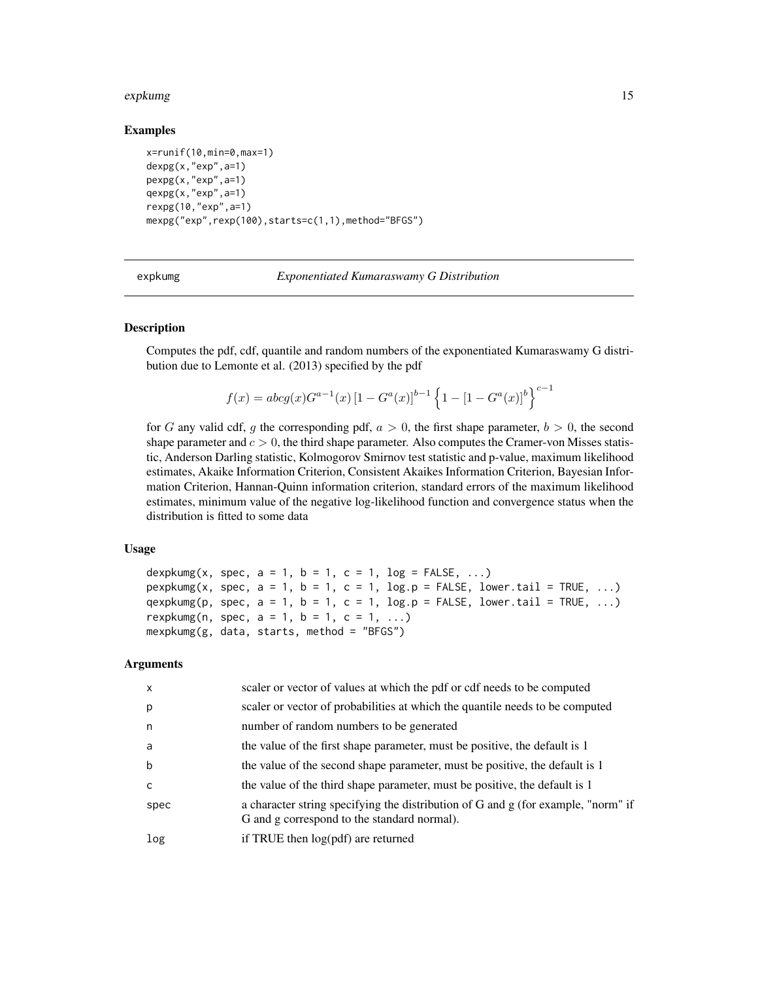#### <span id="page-14-0"></span>expkumg that the state of the state of the state of the state of the state of the state of the state of the state of the state of the state of the state of the state of the state of the state of the state of the state of t

### Examples

```
x=runif(10,min=0,max=1)
dexpg(x,"exp",a=1)
pexpg(x,"exp",a=1)
qexpg(x,"exp",a=1)
rexpg(10,"exp",a=1)
mexpg("exp",rexp(100),starts=c(1,1),method="BFGS")
```
expkumg *Exponentiated Kumaraswamy G Distribution*

# **Description**

Computes the pdf, cdf, quantile and random numbers of the exponentiated Kumaraswamy G distribution due to Lemonte et al. (2013) specified by the pdf

$$
f(x) = abcg(x)G^{a-1}(x) [1 - G^{a}(x)]^{b-1} \left\{ 1 - [1 - G^{a}(x)]^{b} \right\}^{c-1}
$$

for G any valid cdf, g the corresponding pdf,  $a > 0$ , the first shape parameter,  $b > 0$ , the second shape parameter and  $c > 0$ , the third shape parameter. Also computes the Cramer-von Misses statistic, Anderson Darling statistic, Kolmogorov Smirnov test statistic and p-value, maximum likelihood estimates, Akaike Information Criterion, Consistent Akaikes Information Criterion, Bayesian Information Criterion, Hannan-Quinn information criterion, standard errors of the maximum likelihood estimates, minimum value of the negative log-likelihood function and convergence status when the distribution is fitted to some data

## Usage

```
dexpkumg(x, spec, a = 1, b = 1, c = 1, log = FALSE, ...)
pexpkumg(x, spec, a = 1, b = 1, c = 1, log.p = FALSE, lower.tail = TRUE, ...)
qexpkumg(p, spec, a = 1, b = 1, c = 1, log.p = FALSE, lower.tail = TRUE, ...)
rexpkumg(n, spec, a = 1, b = 1, c = 1, ...)
mexpkumg(g, data, starts, method = "BFGS")
```

| $\mathsf{x}$ | scaler or vector of values at which the pdf or cdf needs to be computed                                                          |
|--------------|----------------------------------------------------------------------------------------------------------------------------------|
| p            | scaler or vector of probabilities at which the quantile needs to be computed                                                     |
| n            | number of random numbers to be generated                                                                                         |
| a            | the value of the first shape parameter, must be positive, the default is 1                                                       |
| b            | the value of the second shape parameter, must be positive, the default is 1                                                      |
| C            | the value of the third shape parameter, must be positive, the default is 1                                                       |
| spec         | a character string specifying the distribution of G and g (for example, "norm" if<br>G and g correspond to the standard normal). |
| log          | if TRUE then $log(pdf)$ are returned                                                                                             |
|              |                                                                                                                                  |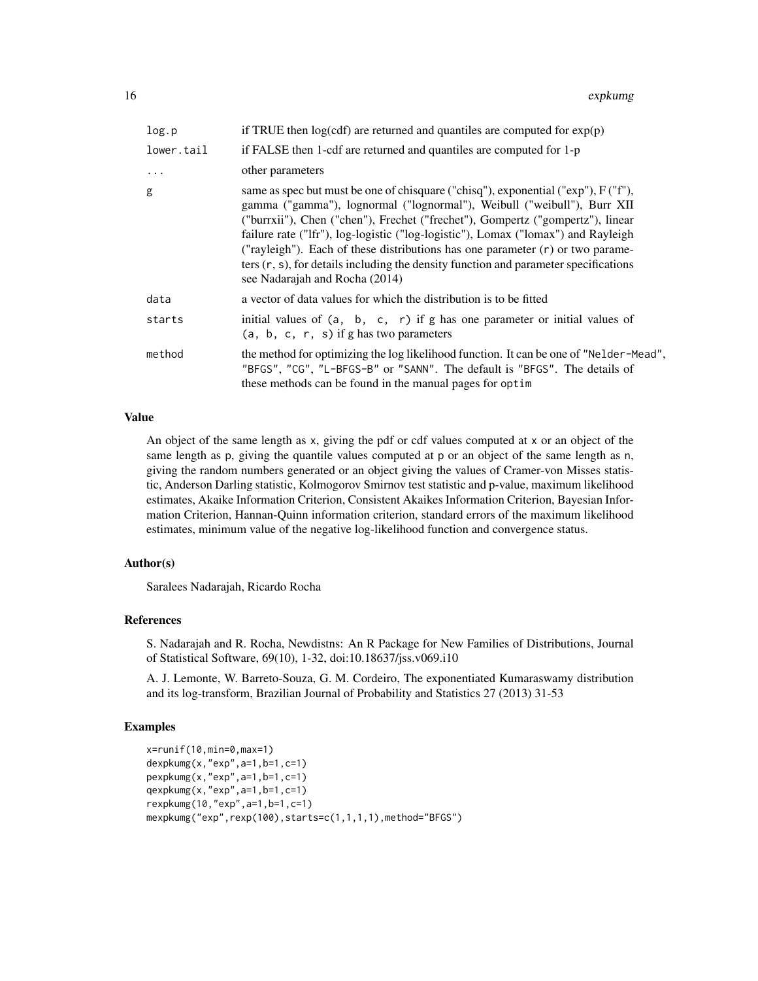| log.p      | if TRUE then $log(cd)$ are returned and quantiles are computed for $exp(p)$                                                                                                                                                                                                                                                                                                                                                                                                                                                                                  |
|------------|--------------------------------------------------------------------------------------------------------------------------------------------------------------------------------------------------------------------------------------------------------------------------------------------------------------------------------------------------------------------------------------------------------------------------------------------------------------------------------------------------------------------------------------------------------------|
| lower.tail | if FALSE then 1-cdf are returned and quantiles are computed for 1-p                                                                                                                                                                                                                                                                                                                                                                                                                                                                                          |
| $\ddots$   | other parameters                                                                                                                                                                                                                                                                                                                                                                                                                                                                                                                                             |
| g          | same as spec but must be one of chisquare ("chisq"), exponential (" $\exp$ "), $F(Tf')$ ,<br>gamma ("gamma"), lognormal ("lognormal"), Weibull ("weibull"), Burr XII<br>("burrxii"), Chen ("chen"), Frechet ("frechet"), Gompertz ("gompertz"), linear<br>failure rate ("Ifr"), log-logistic ("log-logistic"), Lomax ("lomax") and Rayleigh<br>("rayleigh"). Each of these distributions has one parameter $(r)$ or two parame-<br>ters $(r, s)$ , for details including the density function and parameter specifications<br>see Nadarajah and Rocha (2014) |
| data       | a vector of data values for which the distribution is to be fitted                                                                                                                                                                                                                                                                                                                                                                                                                                                                                           |
| starts     | initial values of $(a, b, c, r)$ if g has one parameter or initial values of<br>$(a, b, c, r, s)$ if g has two parameters                                                                                                                                                                                                                                                                                                                                                                                                                                    |
| method     | the method for optimizing the log likelihood function. It can be one of "Nelder-Mead",<br>"BFGS", "CG", "L-BFGS-B" or "SANN". The default is "BFGS". The details of<br>these methods can be found in the manual pages for optim                                                                                                                                                                                                                                                                                                                              |

# Value

An object of the same length as x, giving the pdf or cdf values computed at x or an object of the same length as p, giving the quantile values computed at p or an object of the same length as n, giving the random numbers generated or an object giving the values of Cramer-von Misses statistic, Anderson Darling statistic, Kolmogorov Smirnov test statistic and p-value, maximum likelihood estimates, Akaike Information Criterion, Consistent Akaikes Information Criterion, Bayesian Information Criterion, Hannan-Quinn information criterion, standard errors of the maximum likelihood estimates, minimum value of the negative log-likelihood function and convergence status.

## Author(s)

Saralees Nadarajah, Ricardo Rocha

### References

S. Nadarajah and R. Rocha, Newdistns: An R Package for New Families of Distributions, Journal of Statistical Software, 69(10), 1-32, doi:10.18637/jss.v069.i10

A. J. Lemonte, W. Barreto-Souza, G. M. Cordeiro, The exponentiated Kumaraswamy distribution and its log-transform, Brazilian Journal of Probability and Statistics 27 (2013) 31-53

#### Examples

```
x=runif(10,min=0,max=1)
dexpkumg(x,"exp",a=1,b=1,c=1)
pexpkumg(x,"exp",a=1,b=1,c=1)
qexpkumg(x,"exp",a=1,b=1,c=1)
rexpkumg(10,"exp",a=1,b=1,c=1)
mexpkumg("exp",rexp(100),starts=c(1,1,1,1),method="BFGS")
```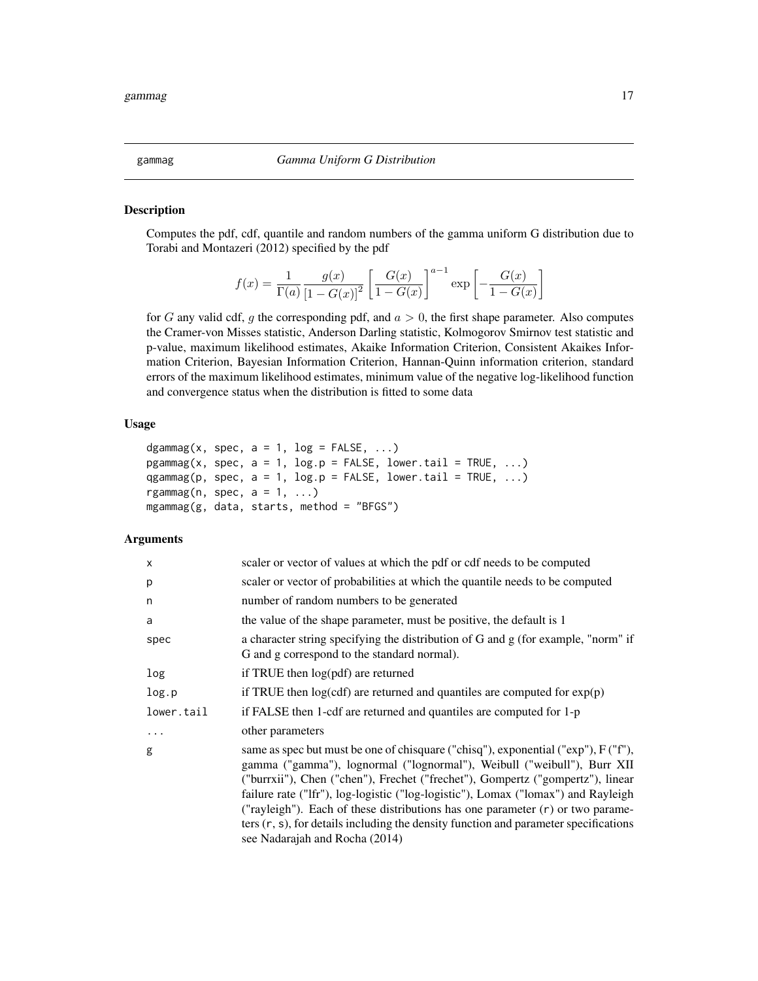# Description

Computes the pdf, cdf, quantile and random numbers of the gamma uniform G distribution due to Torabi and Montazeri (2012) specified by the pdf

$$
f(x) = \frac{1}{\Gamma(a)} \frac{g(x)}{\left[1 - G(x)\right]^2} \left[\frac{G(x)}{1 - G(x)}\right]^{a-1} \exp\left[-\frac{G(x)}{1 - G(x)}\right]
$$

for G any valid cdf, g the corresponding pdf, and  $a > 0$ , the first shape parameter. Also computes the Cramer-von Misses statistic, Anderson Darling statistic, Kolmogorov Smirnov test statistic and p-value, maximum likelihood estimates, Akaike Information Criterion, Consistent Akaikes Information Criterion, Bayesian Information Criterion, Hannan-Quinn information criterion, standard errors of the maximum likelihood estimates, minimum value of the negative log-likelihood function and convergence status when the distribution is fitted to some data

#### Usage

```
dgammag(x, spec, a = 1, log = FALSE, ...)
pgammag(x, spec, a = 1, log.p = FALSE, lower.tail = TRUE, ...)
qgammag(p, spec, a = 1, log.p = FALSE, lower.tail = TRUE, ...)
rgammag(n, spec, a = 1, ...)
mgammag(g, data, starts, method = "BFGS")
```
# Arguments

| X          | scaler or vector of values at which the pdf or cdf needs to be computed                                                                                                                                                                                                                                                                                                                                                                                                                                                                               |
|------------|-------------------------------------------------------------------------------------------------------------------------------------------------------------------------------------------------------------------------------------------------------------------------------------------------------------------------------------------------------------------------------------------------------------------------------------------------------------------------------------------------------------------------------------------------------|
| p          | scaler or vector of probabilities at which the quantile needs to be computed                                                                                                                                                                                                                                                                                                                                                                                                                                                                          |
| n          | number of random numbers to be generated                                                                                                                                                                                                                                                                                                                                                                                                                                                                                                              |
| a          | the value of the shape parameter, must be positive, the default is 1                                                                                                                                                                                                                                                                                                                                                                                                                                                                                  |
| spec       | a character string specifying the distribution of G and g (for example, "norm" if<br>G and g correspond to the standard normal).                                                                                                                                                                                                                                                                                                                                                                                                                      |
| log        | if TRUE then log(pdf) are returned                                                                                                                                                                                                                                                                                                                                                                                                                                                                                                                    |
| log.p      | if TRUE then $log(cdf)$ are returned and quantiles are computed for $exp(p)$                                                                                                                                                                                                                                                                                                                                                                                                                                                                          |
| lower.tail | if FALSE then 1-cdf are returned and quantiles are computed for 1-p                                                                                                                                                                                                                                                                                                                                                                                                                                                                                   |
| $\cdot$    | other parameters                                                                                                                                                                                                                                                                                                                                                                                                                                                                                                                                      |
| g          | same as spec but must be one of chisquare ("chisq"), exponential ("exp"), F ("f"),<br>gamma ("gamma"), lognormal ("lognormal"), Weibull ("weibull"), Burr XII<br>("burrxii"), Chen ("chen"), Frechet ("frechet"), Gompertz ("gompertz"), linear<br>failure rate ("Ifr"), log-logistic ("log-logistic"), Lomax ("lomax") and Rayleigh<br>("rayleigh"). Each of these distributions has one parameter $(r)$ or two parame-<br>ters $(r, s)$ , for details including the density function and parameter specifications<br>see Nadarajah and Rocha (2014) |

<span id="page-16-0"></span>gammag *Gamma Uniform G Distribution*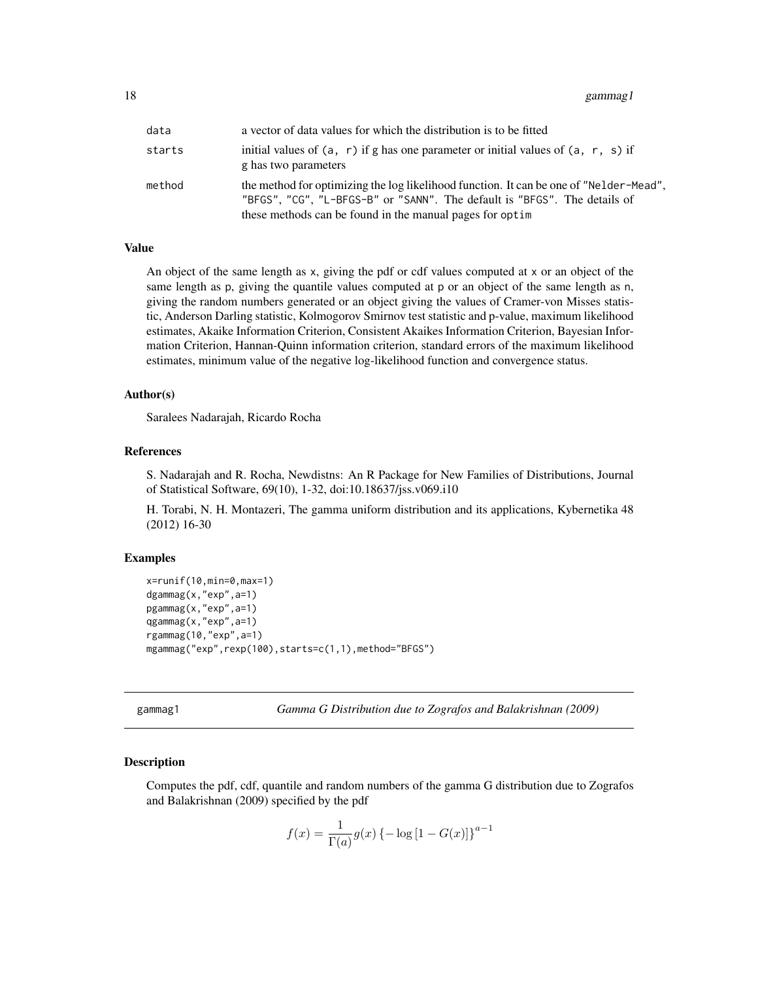<span id="page-17-0"></span>18 gammag1

| data   | a vector of data values for which the distribution is to be fitted                                                                                                                                                              |
|--------|---------------------------------------------------------------------------------------------------------------------------------------------------------------------------------------------------------------------------------|
| starts | initial values of $(a, r)$ if g has one parameter or initial values of $(a, r, s)$ if<br>g has two parameters                                                                                                                   |
| method | the method for optimizing the log likelihood function. It can be one of "Nelder-Mead",<br>"BFGS", "CG", "L-BFGS-B" or "SANN". The default is "BFGS". The details of<br>these methods can be found in the manual pages for optim |

### Value

An object of the same length as x, giving the pdf or cdf values computed at x or an object of the same length as p, giving the quantile values computed at p or an object of the same length as n, giving the random numbers generated or an object giving the values of Cramer-von Misses statistic, Anderson Darling statistic, Kolmogorov Smirnov test statistic and p-value, maximum likelihood estimates, Akaike Information Criterion, Consistent Akaikes Information Criterion, Bayesian Information Criterion, Hannan-Quinn information criterion, standard errors of the maximum likelihood estimates, minimum value of the negative log-likelihood function and convergence status.

#### Author(s)

Saralees Nadarajah, Ricardo Rocha

#### References

S. Nadarajah and R. Rocha, Newdistns: An R Package for New Families of Distributions, Journal of Statistical Software, 69(10), 1-32, doi:10.18637/jss.v069.i10

H. Torabi, N. H. Montazeri, The gamma uniform distribution and its applications, Kybernetika 48 (2012) 16-30

#### Examples

```
x=runif(10,min=0,max=1)
dgammag(x,"exp",a=1)
pgammag(x,"exp",a=1)
qgammag(x,"exp",a=1)
rgammag(10,"exp",a=1)
mgammag("exp",rexp(100),starts=c(1,1),method="BFGS")
```
gammag1 *Gamma G Distribution due to Zografos and Balakrishnan (2009)*

### **Description**

Computes the pdf, cdf, quantile and random numbers of the gamma G distribution due to Zografos and Balakrishnan (2009) specified by the pdf

$$
f(x) = \frac{1}{\Gamma(a)} g(x) \{-\log[1 - G(x)]\}^{a-1}
$$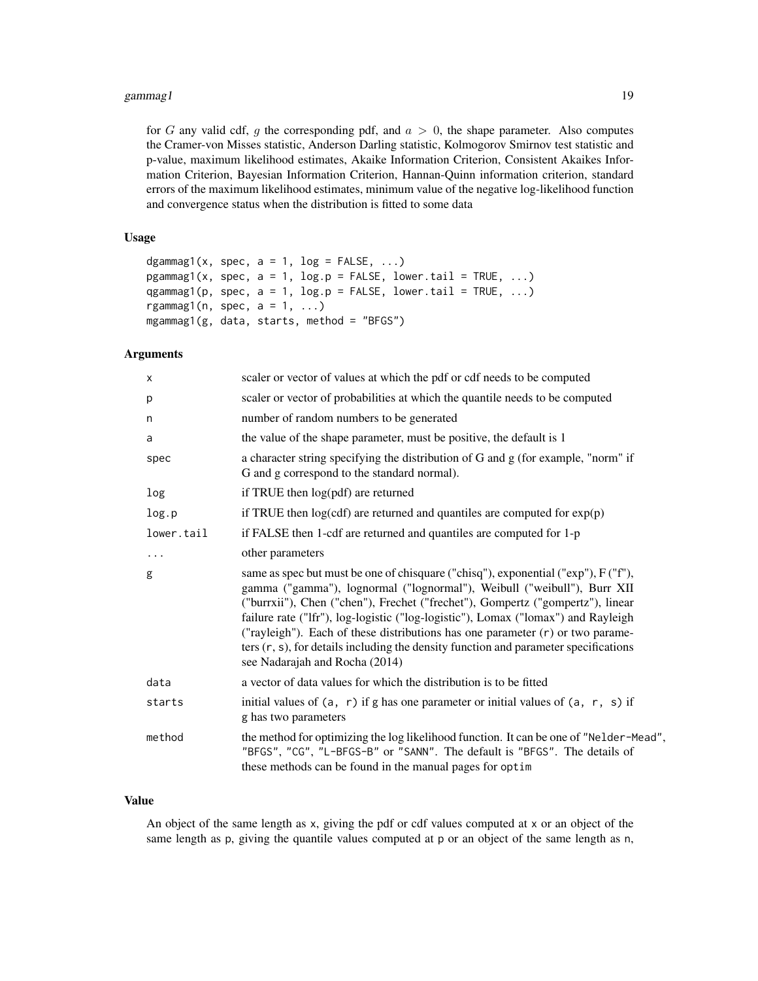for G any valid cdf, q the corresponding pdf, and  $a > 0$ , the shape parameter. Also computes the Cramer-von Misses statistic, Anderson Darling statistic, Kolmogorov Smirnov test statistic and p-value, maximum likelihood estimates, Akaike Information Criterion, Consistent Akaikes Information Criterion, Bayesian Information Criterion, Hannan-Quinn information criterion, standard errors of the maximum likelihood estimates, minimum value of the negative log-likelihood function and convergence status when the distribution is fitted to some data

#### Usage

```
dgammag1(x, spec, a = 1, log = FALSE, ...)
pgammag1(x, spec, a = 1, log.p = FALSE, lower.tail = TRUE, ...)
qgammag1(p, spec, a = 1, log.p = FALSE, lower.tail = TRUE, ...)
rgammag1(n, spec, a = 1, ...)
mgammag1(g, data, starts, method = "BFGS")
```
# Arguments

| X          | scaler or vector of values at which the pdf or cdf needs to be computed                                                                                                                                                                                                                                                                                                                                                                                                                                                                               |
|------------|-------------------------------------------------------------------------------------------------------------------------------------------------------------------------------------------------------------------------------------------------------------------------------------------------------------------------------------------------------------------------------------------------------------------------------------------------------------------------------------------------------------------------------------------------------|
| p          | scaler or vector of probabilities at which the quantile needs to be computed                                                                                                                                                                                                                                                                                                                                                                                                                                                                          |
| n          | number of random numbers to be generated                                                                                                                                                                                                                                                                                                                                                                                                                                                                                                              |
| a          | the value of the shape parameter, must be positive, the default is 1                                                                                                                                                                                                                                                                                                                                                                                                                                                                                  |
| spec       | a character string specifying the distribution of G and g (for example, "norm" if<br>G and g correspond to the standard normal).                                                                                                                                                                                                                                                                                                                                                                                                                      |
| log        | if TRUE then log(pdf) are returned                                                                                                                                                                                                                                                                                                                                                                                                                                                                                                                    |
| log.p      | if TRUE then $log(cdf)$ are returned and quantiles are computed for $exp(p)$                                                                                                                                                                                                                                                                                                                                                                                                                                                                          |
| lower.tail | if FALSE then 1-cdf are returned and quantiles are computed for 1-p                                                                                                                                                                                                                                                                                                                                                                                                                                                                                   |
| $\cdots$   | other parameters                                                                                                                                                                                                                                                                                                                                                                                                                                                                                                                                      |
| g          | same as spec but must be one of chisquare ("chisq"), exponential ("exp"), F ("f"),<br>gamma ("gamma"), lognormal ("lognormal"), Weibull ("weibull"), Burr XII<br>("burrxii"), Chen ("chen"), Frechet ("frechet"), Gompertz ("gompertz"), linear<br>failure rate ("Ifr"), log-logistic ("log-logistic"), Lomax ("lomax") and Rayleigh<br>("rayleigh"). Each of these distributions has one parameter $(r)$ or two parame-<br>ters $(r, s)$ , for details including the density function and parameter specifications<br>see Nadarajah and Rocha (2014) |
| data       | a vector of data values for which the distribution is to be fitted                                                                                                                                                                                                                                                                                                                                                                                                                                                                                    |
| starts     | initial values of $(a, r)$ if g has one parameter or initial values of $(a, r, s)$ if<br>g has two parameters                                                                                                                                                                                                                                                                                                                                                                                                                                         |
| method     | the method for optimizing the log likelihood function. It can be one of "Nelder-Mead",<br>"BFGS", "CG", "L-BFGS-B" or "SANN". The default is "BFGS". The details of<br>these methods can be found in the manual pages for optim                                                                                                                                                                                                                                                                                                                       |

#### Value

An object of the same length as x, giving the pdf or cdf values computed at x or an object of the same length as p, giving the quantile values computed at p or an object of the same length as n,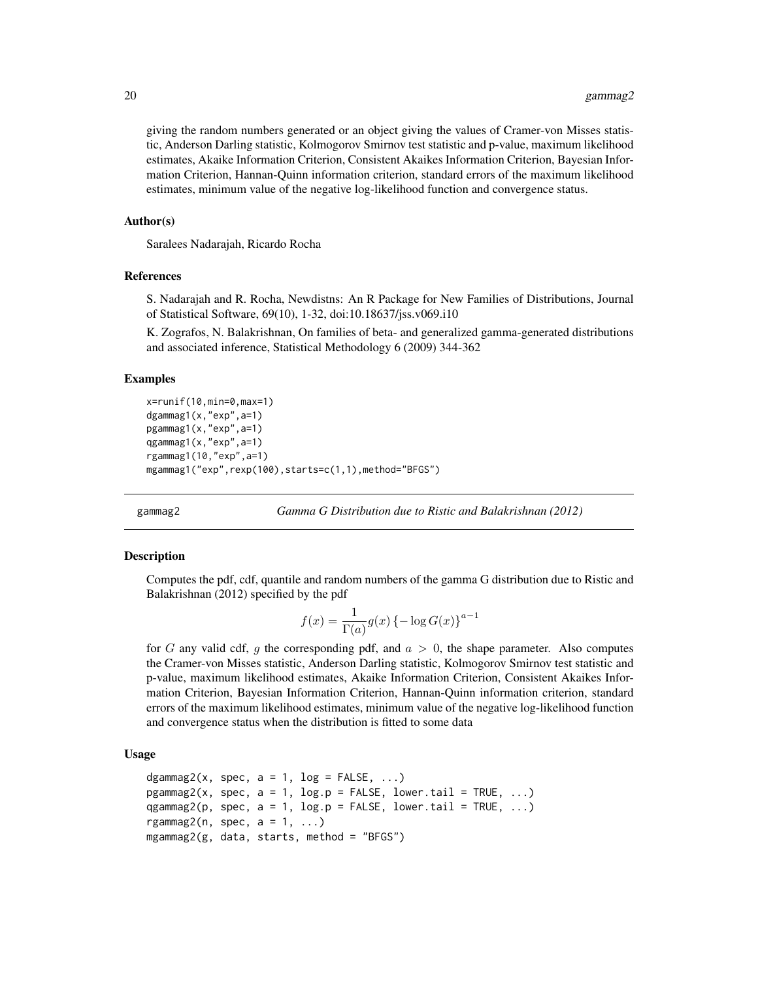giving the random numbers generated or an object giving the values of Cramer-von Misses statistic, Anderson Darling statistic, Kolmogorov Smirnov test statistic and p-value, maximum likelihood estimates, Akaike Information Criterion, Consistent Akaikes Information Criterion, Bayesian Information Criterion, Hannan-Quinn information criterion, standard errors of the maximum likelihood estimates, minimum value of the negative log-likelihood function and convergence status.

#### Author(s)

Saralees Nadarajah, Ricardo Rocha

### References

S. Nadarajah and R. Rocha, Newdistns: An R Package for New Families of Distributions, Journal of Statistical Software, 69(10), 1-32, doi:10.18637/jss.v069.i10

K. Zografos, N. Balakrishnan, On families of beta- and generalized gamma-generated distributions and associated inference, Statistical Methodology 6 (2009) 344-362

#### Examples

```
x=runif(10,min=0,max=1)
dgammag1(x,"exp",a=1)
pgammag1(x,"exp",a=1)
qgammag1(x,"exp",a=1)
rgammag1(10,"exp",a=1)
mgammag1("exp",rexp(100),starts=c(1,1),method="BFGS")
```
gammag2 *Gamma G Distribution due to Ristic and Balakrishnan (2012)*

#### **Description**

Computes the pdf, cdf, quantile and random numbers of the gamma G distribution due to Ristic and Balakrishnan (2012) specified by the pdf

$$
f(x) = \frac{1}{\Gamma(a)} g(x) \left\{-\log G(x)\right\}^{a-1}
$$

for G any valid cdf, g the corresponding pdf, and  $a > 0$ , the shape parameter. Also computes the Cramer-von Misses statistic, Anderson Darling statistic, Kolmogorov Smirnov test statistic and p-value, maximum likelihood estimates, Akaike Information Criterion, Consistent Akaikes Information Criterion, Bayesian Information Criterion, Hannan-Quinn information criterion, standard errors of the maximum likelihood estimates, minimum value of the negative log-likelihood function and convergence status when the distribution is fitted to some data

# Usage

```
dgammag2(x, spec, a = 1, log = FALSE, ...)pgammag2(x, spec, a = 1, log.p = FALSE, lower.tail = TRUE, ...)
qgammag2(p, spec, a = 1, log.p = FALSE, lower.tail = TRUE, ...)
rgammag2(n, spec, a = 1, ...)
mgammag2(g, data, starts, method = "BFGS")
```
<span id="page-19-0"></span>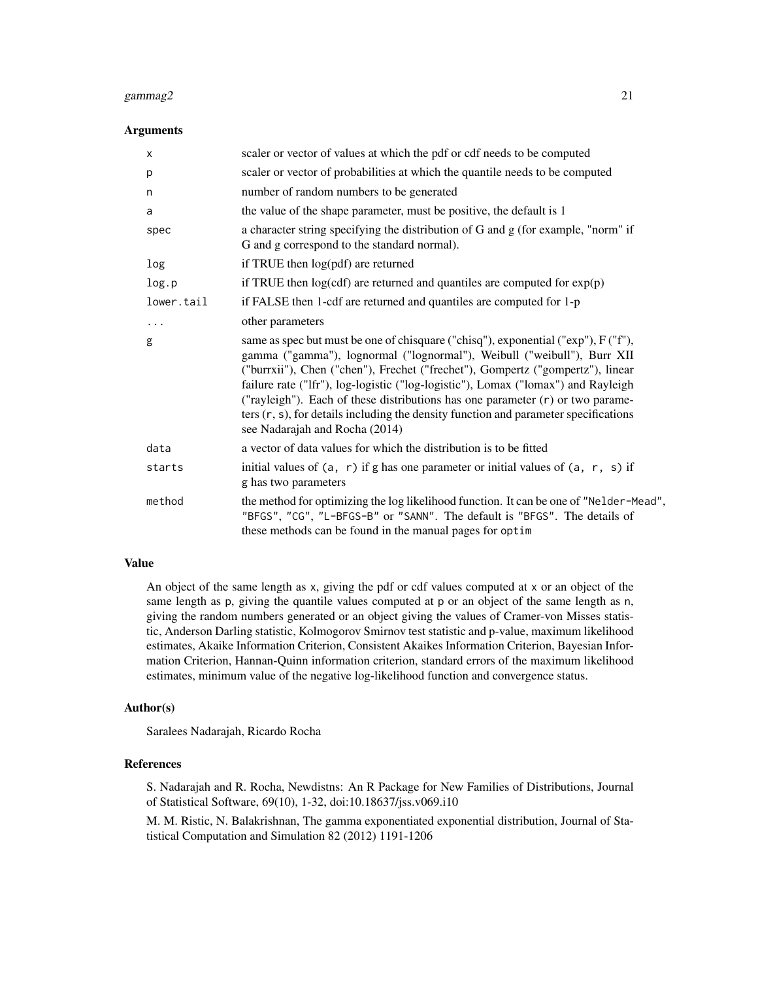#### gammag2 21  $\qquad$  21

#### Arguments

| $\boldsymbol{\mathsf{x}}$ | scaler or vector of values at which the pdf or cdf needs to be computed                                                                                                                                                                                                                                                                                                                                                                                                                                                                               |
|---------------------------|-------------------------------------------------------------------------------------------------------------------------------------------------------------------------------------------------------------------------------------------------------------------------------------------------------------------------------------------------------------------------------------------------------------------------------------------------------------------------------------------------------------------------------------------------------|
| p                         | scaler or vector of probabilities at which the quantile needs to be computed                                                                                                                                                                                                                                                                                                                                                                                                                                                                          |
| n                         | number of random numbers to be generated                                                                                                                                                                                                                                                                                                                                                                                                                                                                                                              |
| a                         | the value of the shape parameter, must be positive, the default is 1                                                                                                                                                                                                                                                                                                                                                                                                                                                                                  |
| spec                      | a character string specifying the distribution of G and g (for example, "norm" if<br>G and g correspond to the standard normal).                                                                                                                                                                                                                                                                                                                                                                                                                      |
| log                       | if TRUE then log(pdf) are returned                                                                                                                                                                                                                                                                                                                                                                                                                                                                                                                    |
| log.p                     | if TRUE then $log(cdf)$ are returned and quantiles are computed for $exp(p)$                                                                                                                                                                                                                                                                                                                                                                                                                                                                          |
| lower.tail                | if FALSE then 1-cdf are returned and quantiles are computed for 1-p                                                                                                                                                                                                                                                                                                                                                                                                                                                                                   |
| $\cdots$                  | other parameters                                                                                                                                                                                                                                                                                                                                                                                                                                                                                                                                      |
| g                         | same as spec but must be one of chisquare ("chisq"), exponential ("exp"), F ("f"),<br>gamma ("gamma"), lognormal ("lognormal"), Weibull ("weibull"), Burr XII<br>("burrxii"), Chen ("chen"), Frechet ("frechet"), Gompertz ("gompertz"), linear<br>failure rate ("Ifr"), log-logistic ("log-logistic"), Lomax ("lomax") and Rayleigh<br>("rayleigh"). Each of these distributions has one parameter $(r)$ or two parame-<br>ters $(r, s)$ , for details including the density function and parameter specifications<br>see Nadarajah and Rocha (2014) |
| data                      | a vector of data values for which the distribution is to be fitted                                                                                                                                                                                                                                                                                                                                                                                                                                                                                    |
| starts                    | initial values of $(a, r)$ if g has one parameter or initial values of $(a, r, s)$ if<br>g has two parameters                                                                                                                                                                                                                                                                                                                                                                                                                                         |
| method                    | the method for optimizing the log likelihood function. It can be one of "Nelder-Mead",<br>"BFGS", "CG", "L-BFGS-B" or "SANN". The default is "BFGS". The details of<br>these methods can be found in the manual pages for optim                                                                                                                                                                                                                                                                                                                       |

# Value

An object of the same length as x, giving the pdf or cdf values computed at x or an object of the same length as p, giving the quantile values computed at p or an object of the same length as n, giving the random numbers generated or an object giving the values of Cramer-von Misses statistic, Anderson Darling statistic, Kolmogorov Smirnov test statistic and p-value, maximum likelihood estimates, Akaike Information Criterion, Consistent Akaikes Information Criterion, Bayesian Information Criterion, Hannan-Quinn information criterion, standard errors of the maximum likelihood estimates, minimum value of the negative log-likelihood function and convergence status.

#### Author(s)

Saralees Nadarajah, Ricardo Rocha

# References

S. Nadarajah and R. Rocha, Newdistns: An R Package for New Families of Distributions, Journal of Statistical Software, 69(10), 1-32, doi:10.18637/jss.v069.i10

M. M. Ristic, N. Balakrishnan, The gamma exponentiated exponential distribution, Journal of Statistical Computation and Simulation 82 (2012) 1191-1206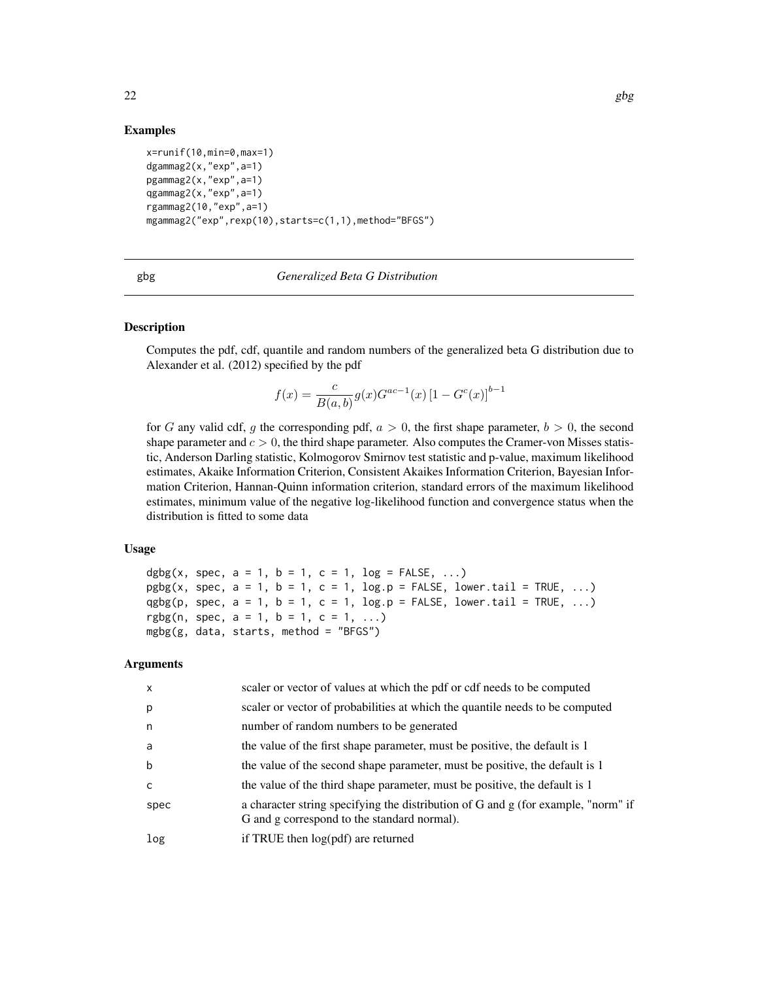### Examples

```
x=runif(10,min=0,max=1)
dgammag2(x,"exp",a=1)
pgammag2(x,"exp",a=1)
qgammag2(x,"exp",a=1)
rgammag2(10,"exp",a=1)
mgammag2("exp",rexp(10),starts=c(1,1),method="BFGS")
```

| n e<br>۰. |
|-----------|
|-----------|

#### gbg *Generalized Beta G Distribution*

# Description

Computes the pdf, cdf, quantile and random numbers of the generalized beta G distribution due to Alexander et al. (2012) specified by the pdf

$$
f(x) = \frac{c}{B(a,b)} g(x) G^{ac-1}(x) [1 - G^{c}(x)]^{b-1}
$$

for G any valid cdf, g the corresponding pdf,  $a > 0$ , the first shape parameter,  $b > 0$ , the second shape parameter and  $c > 0$ , the third shape parameter. Also computes the Cramer-von Misses statistic, Anderson Darling statistic, Kolmogorov Smirnov test statistic and p-value, maximum likelihood estimates, Akaike Information Criterion, Consistent Akaikes Information Criterion, Bayesian Information Criterion, Hannan-Quinn information criterion, standard errors of the maximum likelihood estimates, minimum value of the negative log-likelihood function and convergence status when the distribution is fitted to some data

## Usage

dgbg(x, spec,  $a = 1$ ,  $b = 1$ ,  $c = 1$ ,  $log = FALSE$ , ...)  $pgbg(x, spec, a = 1, b = 1, c = 1, log.p = FALSE, lower$ **tail = TRUE, ...** $)$ qgbg(p, spec,  $a = 1$ ,  $b = 1$ ,  $c = 1$ ,  $log.p = FALSE$ ,  $lower.tail = TRUE$ , ...) rgbg(n, spec,  $a = 1$ ,  $b = 1$ ,  $c = 1$ , ...)  $mgbg(g, data, starts, method = "BFGS")$ 

| $\mathsf{x}$ | scaler or vector of values at which the pdf or cdf needs to be computed                                                          |
|--------------|----------------------------------------------------------------------------------------------------------------------------------|
| p            | scaler or vector of probabilities at which the quantile needs to be computed                                                     |
| n            | number of random numbers to be generated                                                                                         |
| a            | the value of the first shape parameter, must be positive, the default is 1                                                       |
| b            | the value of the second shape parameter, must be positive, the default is 1                                                      |
| C            | the value of the third shape parameter, must be positive, the default is 1                                                       |
| spec         | a character string specifying the distribution of G and g (for example, "norm" if<br>G and g correspond to the standard normal). |
| log          | if TRUE then log(pdf) are returned                                                                                               |
|              |                                                                                                                                  |

<span id="page-21-0"></span>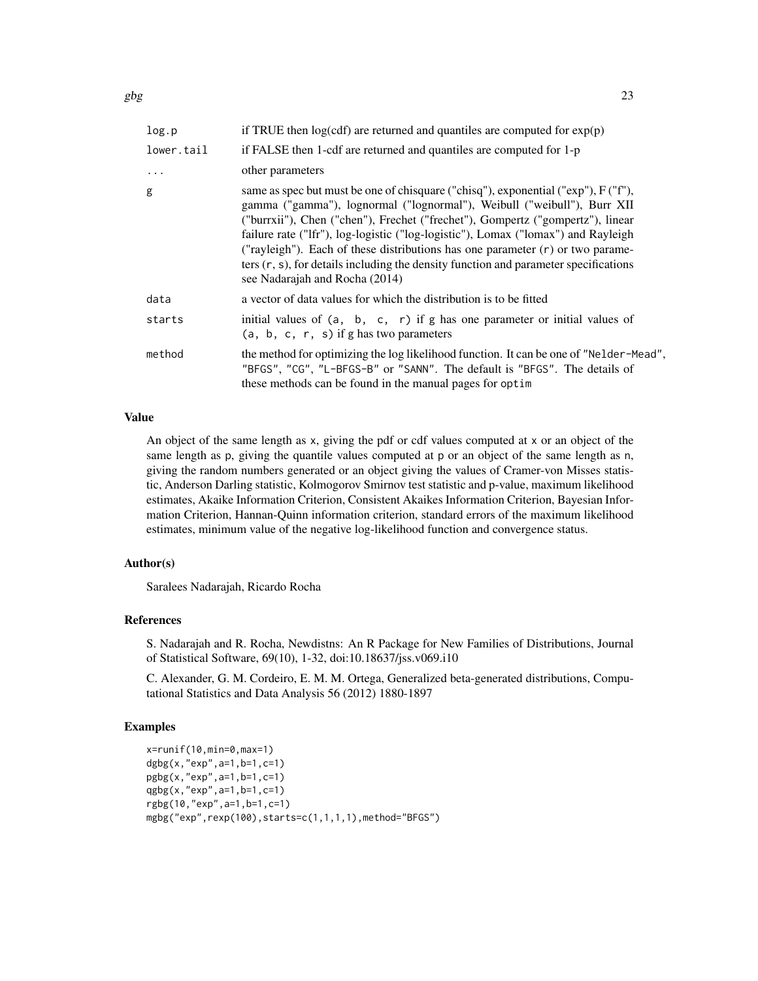| log.p      | if TRUE then $log(cdf)$ are returned and quantiles are computed for $exp(p)$                                                                                                                                                                                                                                                                                                                                                                                                                                                                                 |
|------------|--------------------------------------------------------------------------------------------------------------------------------------------------------------------------------------------------------------------------------------------------------------------------------------------------------------------------------------------------------------------------------------------------------------------------------------------------------------------------------------------------------------------------------------------------------------|
| lower.tail | if FALSE then 1-cdf are returned and quantiles are computed for 1-p                                                                                                                                                                                                                                                                                                                                                                                                                                                                                          |
| $\ddots$   | other parameters                                                                                                                                                                                                                                                                                                                                                                                                                                                                                                                                             |
| g          | same as spec but must be one of chisquare ("chisq"), exponential (" $\exp$ "), $F(Tf')$ ,<br>gamma ("gamma"), lognormal ("lognormal"), Weibull ("weibull"), Burr XII<br>("burrxii"), Chen ("chen"), Frechet ("frechet"), Gompertz ("gompertz"), linear<br>failure rate ("Ifr"), log-logistic ("log-logistic"), Lomax ("lomax") and Rayleigh<br>("rayleigh"). Each of these distributions has one parameter $(r)$ or two parame-<br>ters $(r, s)$ , for details including the density function and parameter specifications<br>see Nadarajah and Rocha (2014) |
| data       | a vector of data values for which the distribution is to be fitted                                                                                                                                                                                                                                                                                                                                                                                                                                                                                           |
| starts     | initial values of $(a, b, c, r)$ if g has one parameter or initial values of<br>$(a, b, c, r, s)$ if g has two parameters                                                                                                                                                                                                                                                                                                                                                                                                                                    |
| method     | the method for optimizing the log likelihood function. It can be one of "Nelder-Mead",<br>"BFGS", "CG", "L-BFGS-B" or "SANN". The default is "BFGS". The details of<br>these methods can be found in the manual pages for optim                                                                                                                                                                                                                                                                                                                              |

# Value

An object of the same length as x, giving the pdf or cdf values computed at x or an object of the same length as p, giving the quantile values computed at p or an object of the same length as n, giving the random numbers generated or an object giving the values of Cramer-von Misses statistic, Anderson Darling statistic, Kolmogorov Smirnov test statistic and p-value, maximum likelihood estimates, Akaike Information Criterion, Consistent Akaikes Information Criterion, Bayesian Information Criterion, Hannan-Quinn information criterion, standard errors of the maximum likelihood estimates, minimum value of the negative log-likelihood function and convergence status.

#### Author(s)

Saralees Nadarajah, Ricardo Rocha

### References

S. Nadarajah and R. Rocha, Newdistns: An R Package for New Families of Distributions, Journal of Statistical Software, 69(10), 1-32, doi:10.18637/jss.v069.i10

C. Alexander, G. M. Cordeiro, E. M. M. Ortega, Generalized beta-generated distributions, Computational Statistics and Data Analysis 56 (2012) 1880-1897

#### Examples

```
x=runif(10,min=0,max=1)
dgbg(x,"exp",a=1,b=1,c=1)
pgbg(x,"exp",a=1,b=1,c=1)
qgbg(x,"exp",a=1,b=1,c=1)
rgbg(10,"exp",a=1,b=1,c=1)
mgbg("exp",rexp(100),starts=c(1,1,1,1),method="BFGS")
```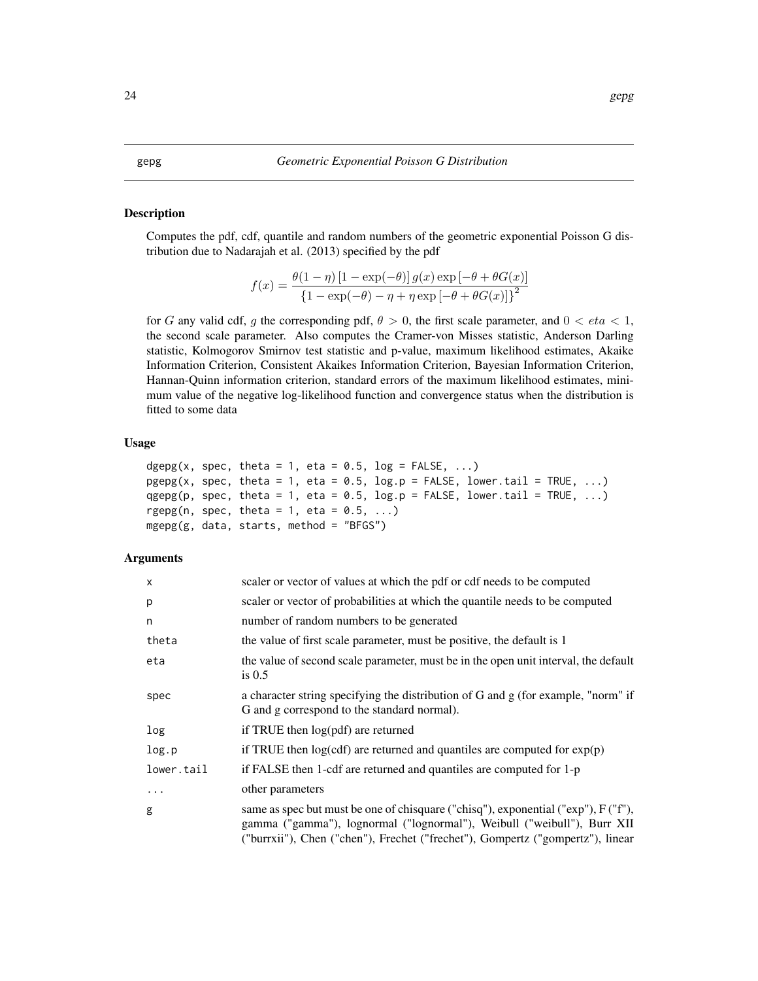#### <span id="page-23-0"></span>Description

Computes the pdf, cdf, quantile and random numbers of the geometric exponential Poisson G distribution due to Nadarajah et al. (2013) specified by the pdf

$$
f(x) = \frac{\theta(1-\eta)\left[1-\exp(-\theta)\right]g(x)\exp\left[-\theta+\theta G(x)\right]}{\left\{1-\exp(-\theta)-\eta+\eta\exp\left[-\theta+\theta G(x)\right]\right\}^2}
$$

for G any valid cdf, g the corresponding pdf,  $\theta > 0$ , the first scale parameter, and  $0 < \epsilon t a < 1$ , the second scale parameter. Also computes the Cramer-von Misses statistic, Anderson Darling statistic, Kolmogorov Smirnov test statistic and p-value, maximum likelihood estimates, Akaike Information Criterion, Consistent Akaikes Information Criterion, Bayesian Information Criterion, Hannan-Quinn information criterion, standard errors of the maximum likelihood estimates, minimum value of the negative log-likelihood function and convergence status when the distribution is fitted to some data

# Usage

```
dgepg(x, spec, theta = 1, eta = 0.5, \log = FALSE, ...)
pgepg(x, spec, theta = 1, eta = 0.5, log.p = FALSE, lowertail = TRUE, ...)qgepg(p, spec, theta = 1, eta = 0.5, log.p = FALSE, lower.tail = TRUE, \ldots)
rgepg(n, spec, theta = 1, eta = 0.5, ...)
mgepg(g, data, starts, method = "BFGS")
```

| $\times$   | scaler or vector of values at which the pdf or cdf needs to be computed                                                                                                                                                                         |
|------------|-------------------------------------------------------------------------------------------------------------------------------------------------------------------------------------------------------------------------------------------------|
| p          | scaler or vector of probabilities at which the quantile needs to be computed                                                                                                                                                                    |
| n          | number of random numbers to be generated                                                                                                                                                                                                        |
| theta      | the value of first scale parameter, must be positive, the default is 1                                                                                                                                                                          |
| eta        | the value of second scale parameter, must be in the open unit interval, the default<br>is $0.5$                                                                                                                                                 |
| spec       | a character string specifying the distribution of G and g (for example, "norm" if<br>G and g correspond to the standard normal).                                                                                                                |
| log        | if TRUE then $log(pdf)$ are returned                                                                                                                                                                                                            |
| log.p      | if TRUE then $log(cdf)$ are returned and quantiles are computed for $exp(p)$                                                                                                                                                                    |
| lower.tail | if FALSE then 1-cdf are returned and quantiles are computed for 1-p                                                                                                                                                                             |
| $\cdots$   | other parameters                                                                                                                                                                                                                                |
| g          | same as spec but must be one of chisquare ("chisq"), exponential ("exp"), F ("f"),<br>gamma ("gamma"), lognormal ("lognormal"), Weibull ("weibull"), Burr XII<br>("burrxii"), Chen ("chen"), Frechet ("frechet"), Gompertz ("gompertz"), linear |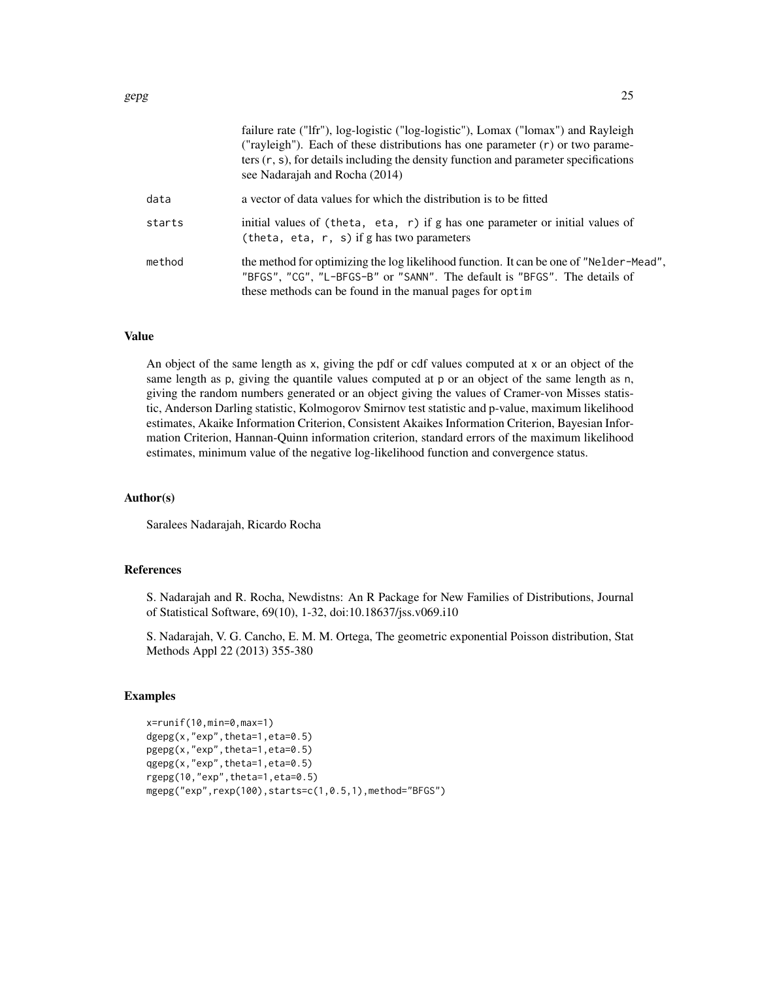|        | failure rate ("Ifr"), log-logistic ("log-logistic"), Lomax ("lomax") and Rayleigh<br>("rayleigh"). Each of these distributions has one parameter $(r)$ or two parame-<br>ters $(r, s)$ , for details including the density function and parameter specifications<br>see Nadarajah and Rocha (2014) |
|--------|----------------------------------------------------------------------------------------------------------------------------------------------------------------------------------------------------------------------------------------------------------------------------------------------------|
| data   | a vector of data values for which the distribution is to be fitted                                                                                                                                                                                                                                 |
| starts | initial values of (theta, eta, $r$ ) if g has one parameter or initial values of<br>(theta, eta, $r$ , s) if g has two parameters                                                                                                                                                                  |
| method | the method for optimizing the log likelihood function. It can be one of "Nelder-Mead",<br>"BFGS", "CG", "L-BFGS-B" or "SANN". The default is "BFGS". The details of<br>these methods can be found in the manual pages for optim                                                                    |

#### Value

An object of the same length as x, giving the pdf or cdf values computed at x or an object of the same length as p, giving the quantile values computed at p or an object of the same length as n, giving the random numbers generated or an object giving the values of Cramer-von Misses statistic, Anderson Darling statistic, Kolmogorov Smirnov test statistic and p-value, maximum likelihood estimates, Akaike Information Criterion, Consistent Akaikes Information Criterion, Bayesian Information Criterion, Hannan-Quinn information criterion, standard errors of the maximum likelihood estimates, minimum value of the negative log-likelihood function and convergence status.

# Author(s)

Saralees Nadarajah, Ricardo Rocha

#### References

S. Nadarajah and R. Rocha, Newdistns: An R Package for New Families of Distributions, Journal of Statistical Software, 69(10), 1-32, doi:10.18637/jss.v069.i10

S. Nadarajah, V. G. Cancho, E. M. M. Ortega, The geometric exponential Poisson distribution, Stat Methods Appl 22 (2013) 355-380

#### Examples

```
x=runif(10,min=0,max=1)
dgepg(x,"exp",theta=1,eta=0.5)
pgepg(x,"exp",theta=1,eta=0.5)
qgepg(x,"exp",theta=1,eta=0.5)
rgepg(10,"exp",theta=1,eta=0.5)
mgepg("exp",rexp(100),starts=c(1,0.5,1),method="BFGS")
```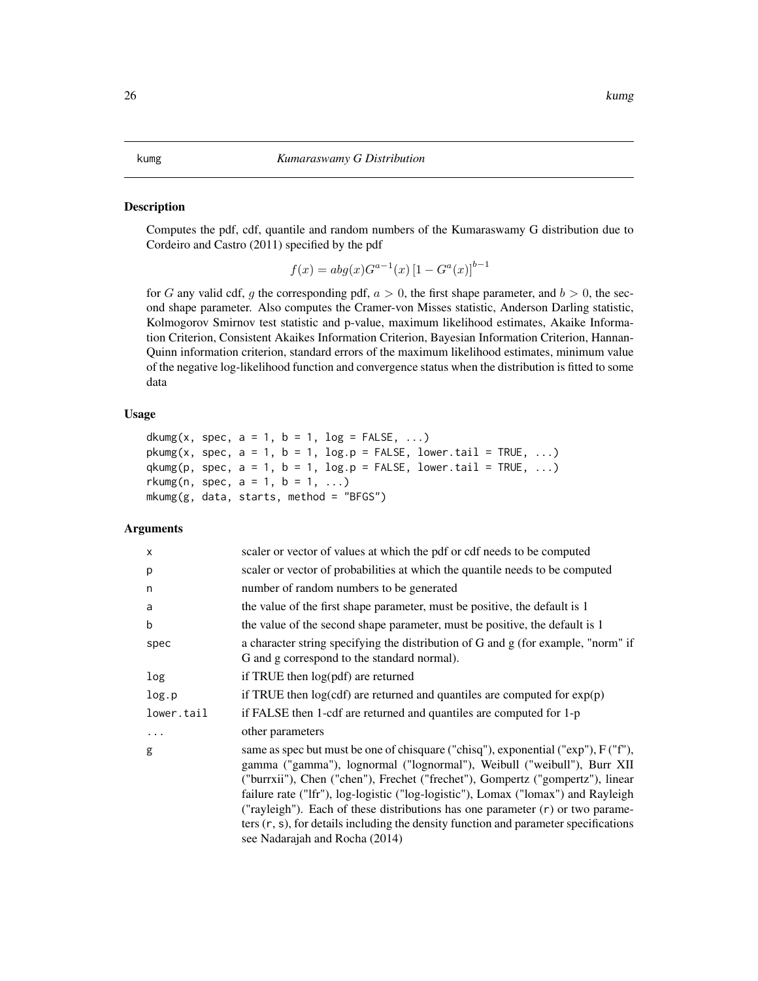#### <span id="page-25-0"></span>kumg *Kumaraswamy G Distribution*

#### Description

Computes the pdf, cdf, quantile and random numbers of the Kumaraswamy G distribution due to Cordeiro and Castro (2011) specified by the pdf

$$
f(x) = abg(x)G^{a-1}(x) [1 - G^{a}(x)]^{b-1}
$$

for G any valid cdf, g the corresponding pdf,  $a > 0$ , the first shape parameter, and  $b > 0$ , the second shape parameter. Also computes the Cramer-von Misses statistic, Anderson Darling statistic, Kolmogorov Smirnov test statistic and p-value, maximum likelihood estimates, Akaike Information Criterion, Consistent Akaikes Information Criterion, Bayesian Information Criterion, Hannan-Quinn information criterion, standard errors of the maximum likelihood estimates, minimum value of the negative log-likelihood function and convergence status when the distribution is fitted to some data

# Usage

```
dkumg(x, spec, a = 1, b = 1, log = FALSE, ...)
pkumg(x, spec, a = 1, b = 1, log.p = FALSE, lower.tail = TRUE, ...)
qkumg(p, spec, a = 1, b = 1, \log.p = \text{FALSE}, \log p = \text{FALSE}, \log p = \text{False}, \log p = \text{False}rkumg(n, spec, a = 1, b = 1, ...)
mkumg(g, data, starts, method = "BFGS")
```

| $\times$   | scaler or vector of values at which the pdf or cdf needs to be computed                                                                                                                                                                                                                                                                                                                                                                                                                                                                               |
|------------|-------------------------------------------------------------------------------------------------------------------------------------------------------------------------------------------------------------------------------------------------------------------------------------------------------------------------------------------------------------------------------------------------------------------------------------------------------------------------------------------------------------------------------------------------------|
| p          | scaler or vector of probabilities at which the quantile needs to be computed                                                                                                                                                                                                                                                                                                                                                                                                                                                                          |
| n          | number of random numbers to be generated                                                                                                                                                                                                                                                                                                                                                                                                                                                                                                              |
| a          | the value of the first shape parameter, must be positive, the default is 1                                                                                                                                                                                                                                                                                                                                                                                                                                                                            |
| b          | the value of the second shape parameter, must be positive, the default is 1                                                                                                                                                                                                                                                                                                                                                                                                                                                                           |
| spec       | a character string specifying the distribution of G and g (for example, "norm" if<br>G and g correspond to the standard normal).                                                                                                                                                                                                                                                                                                                                                                                                                      |
| log        | if TRUE then $log(pdf)$ are returned                                                                                                                                                                                                                                                                                                                                                                                                                                                                                                                  |
| log.p      | if TRUE then $log(cdf)$ are returned and quantiles are computed for $exp(p)$                                                                                                                                                                                                                                                                                                                                                                                                                                                                          |
| lower.tail | if FALSE then 1-cdf are returned and quantiles are computed for 1-p                                                                                                                                                                                                                                                                                                                                                                                                                                                                                   |
| $\ddots$   | other parameters                                                                                                                                                                                                                                                                                                                                                                                                                                                                                                                                      |
| g          | same as spec but must be one of chisquare ("chisq"), exponential ("exp"), F ("f"),<br>gamma ("gamma"), lognormal ("lognormal"), Weibull ("weibull"), Burr XII<br>("burrxii"), Chen ("chen"), Frechet ("frechet"), Gompertz ("gompertz"), linear<br>failure rate ("Ifr"), log-logistic ("log-logistic"), Lomax ("lomax") and Rayleigh<br>("rayleigh"). Each of these distributions has one parameter $(r)$ or two parame-<br>ters $(r, s)$ , for details including the density function and parameter specifications<br>see Nadarajah and Rocha (2014) |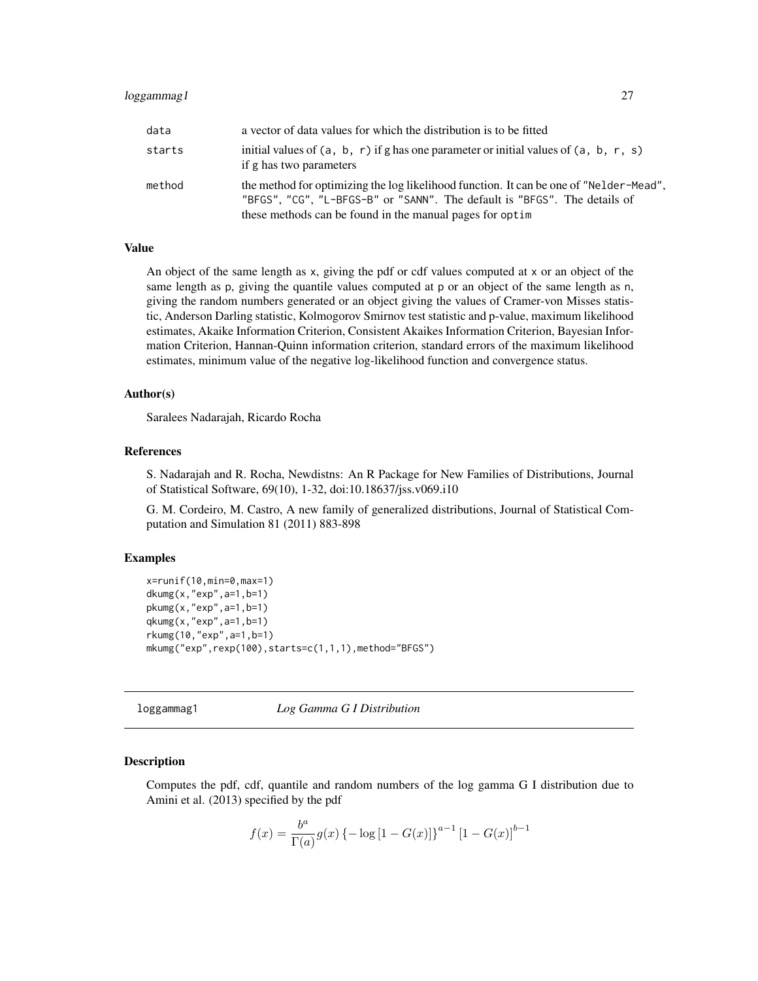<span id="page-26-0"></span>

| data   | a vector of data values for which the distribution is to be fitted                                                                                                                                                              |
|--------|---------------------------------------------------------------------------------------------------------------------------------------------------------------------------------------------------------------------------------|
| starts | initial values of $(a, b, r)$ if g has one parameter or initial values of $(a, b, r, s)$<br>if g has two parameters                                                                                                             |
| method | the method for optimizing the log likelihood function. It can be one of "Nelder-Mead",<br>"BFGS", "CG", "L-BFGS-B" or "SANN". The default is "BFGS". The details of<br>these methods can be found in the manual pages for optim |

#### Value

An object of the same length as x, giving the pdf or cdf values computed at x or an object of the same length as p, giving the quantile values computed at p or an object of the same length as n, giving the random numbers generated or an object giving the values of Cramer-von Misses statistic, Anderson Darling statistic, Kolmogorov Smirnov test statistic and p-value, maximum likelihood estimates, Akaike Information Criterion, Consistent Akaikes Information Criterion, Bayesian Information Criterion, Hannan-Quinn information criterion, standard errors of the maximum likelihood estimates, minimum value of the negative log-likelihood function and convergence status.

### Author(s)

Saralees Nadarajah, Ricardo Rocha

#### References

S. Nadarajah and R. Rocha, Newdistns: An R Package for New Families of Distributions, Journal of Statistical Software, 69(10), 1-32, doi:10.18637/jss.v069.i10

G. M. Cordeiro, M. Castro, A new family of generalized distributions, Journal of Statistical Computation and Simulation 81 (2011) 883-898

# Examples

```
x=runif(10,min=0,max=1)
dkumg(x,"exp",a=1,b=1)
pkumg(x,"exp",a=1,b=1)
qkumg(x,"exp",a=1,b=1)
rkumg(10,"exp",a=1,b=1)
mkumg("exp",rexp(100),starts=c(1,1,1),method="BFGS")
```
loggammag1 *Log Gamma G I Distribution*

#### **Description**

Computes the pdf, cdf, quantile and random numbers of the log gamma G I distribution due to Amini et al. (2013) specified by the pdf

$$
f(x) = \frac{b^{a}}{\Gamma(a)} g(x) \{-\log[1 - G(x)]\}^{a-1} [1 - G(x)]^{b-1}
$$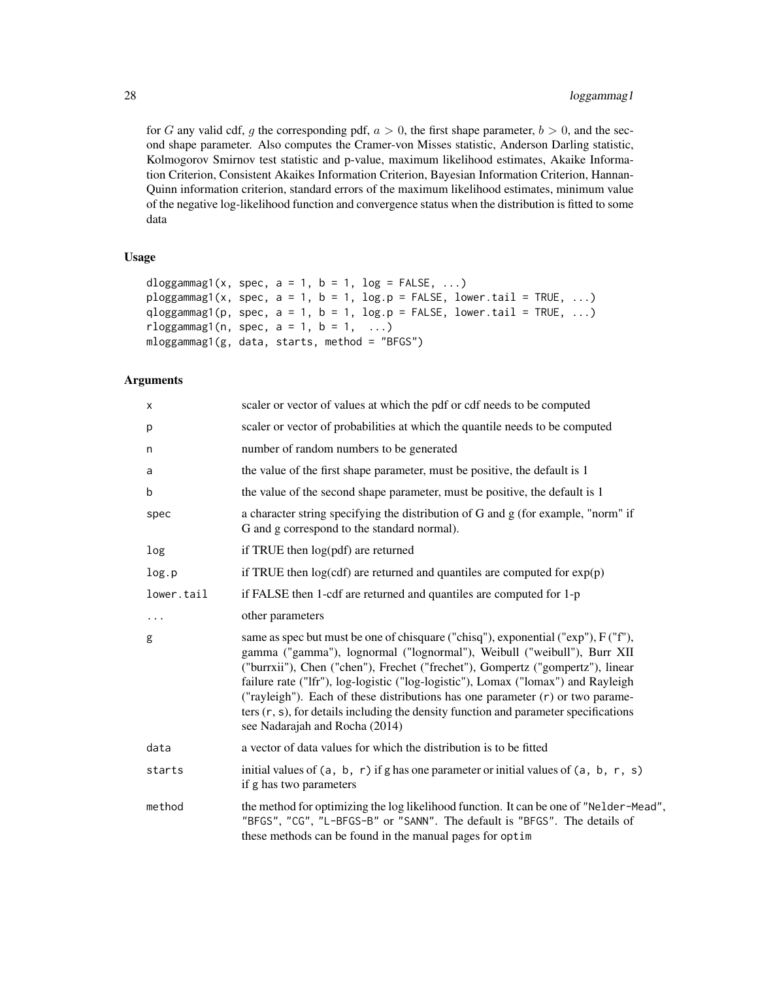for G any valid cdf, g the corresponding pdf,  $a > 0$ , the first shape parameter,  $b > 0$ , and the second shape parameter. Also computes the Cramer-von Misses statistic, Anderson Darling statistic, Kolmogorov Smirnov test statistic and p-value, maximum likelihood estimates, Akaike Information Criterion, Consistent Akaikes Information Criterion, Bayesian Information Criterion, Hannan-Quinn information criterion, standard errors of the maximum likelihood estimates, minimum value of the negative log-likelihood function and convergence status when the distribution is fitted to some data

#### Usage

```
dloggammag1(x, spec, a = 1, b = 1, log = FALSE, ...)
ploggammag1(x, spec, a = 1, b = 1, log.p = FALSE, lower.tail = TRUE, ...)
qloggammag1(p, spec, a = 1, b = 1, log.p = FALSE, lower.tail = TRUE, ...)
rloggammag1(n, spec, a = 1, b = 1, ...)
mloggammag1(g, data, starts, method = "BFGS")
```

| X          | scaler or vector of values at which the pdf or cdf needs to be computed                                                                                                                                                                                                                                                                                                                                                                                                                                                                               |
|------------|-------------------------------------------------------------------------------------------------------------------------------------------------------------------------------------------------------------------------------------------------------------------------------------------------------------------------------------------------------------------------------------------------------------------------------------------------------------------------------------------------------------------------------------------------------|
| р          | scaler or vector of probabilities at which the quantile needs to be computed                                                                                                                                                                                                                                                                                                                                                                                                                                                                          |
| n          | number of random numbers to be generated                                                                                                                                                                                                                                                                                                                                                                                                                                                                                                              |
| a          | the value of the first shape parameter, must be positive, the default is 1                                                                                                                                                                                                                                                                                                                                                                                                                                                                            |
| b          | the value of the second shape parameter, must be positive, the default is 1                                                                                                                                                                                                                                                                                                                                                                                                                                                                           |
| spec       | a character string specifying the distribution of G and g (for example, "norm" if<br>G and g correspond to the standard normal).                                                                                                                                                                                                                                                                                                                                                                                                                      |
| log        | if TRUE then log(pdf) are returned                                                                                                                                                                                                                                                                                                                                                                                                                                                                                                                    |
| log.p      | if TRUE then $log(cdf)$ are returned and quantiles are computed for $exp(p)$                                                                                                                                                                                                                                                                                                                                                                                                                                                                          |
| lower.tail | if FALSE then 1-cdf are returned and quantiles are computed for 1-p                                                                                                                                                                                                                                                                                                                                                                                                                                                                                   |
| $\cdots$   | other parameters                                                                                                                                                                                                                                                                                                                                                                                                                                                                                                                                      |
| g          | same as spec but must be one of chisquare ("chisq"), exponential ("exp"), F ("f"),<br>gamma ("gamma"), lognormal ("lognormal"), Weibull ("weibull"), Burr XII<br>("burrxii"), Chen ("chen"), Frechet ("frechet"), Gompertz ("gompertz"), linear<br>failure rate ("lfr"), log-logistic ("log-logistic"), Lomax ("lomax") and Rayleigh<br>("rayleigh"). Each of these distributions has one parameter $(r)$ or two parame-<br>ters $(r, s)$ , for details including the density function and parameter specifications<br>see Nadarajah and Rocha (2014) |
| data       | a vector of data values for which the distribution is to be fitted                                                                                                                                                                                                                                                                                                                                                                                                                                                                                    |
| starts     | initial values of $(a, b, r)$ if g has one parameter or initial values of $(a, b, r, s)$<br>if g has two parameters                                                                                                                                                                                                                                                                                                                                                                                                                                   |
| method     | the method for optimizing the log likelihood function. It can be one of "Nelder-Mead",<br>"BFGS", "CG", "L-BFGS-B" or "SANN". The default is "BFGS". The details of<br>these methods can be found in the manual pages for optim                                                                                                                                                                                                                                                                                                                       |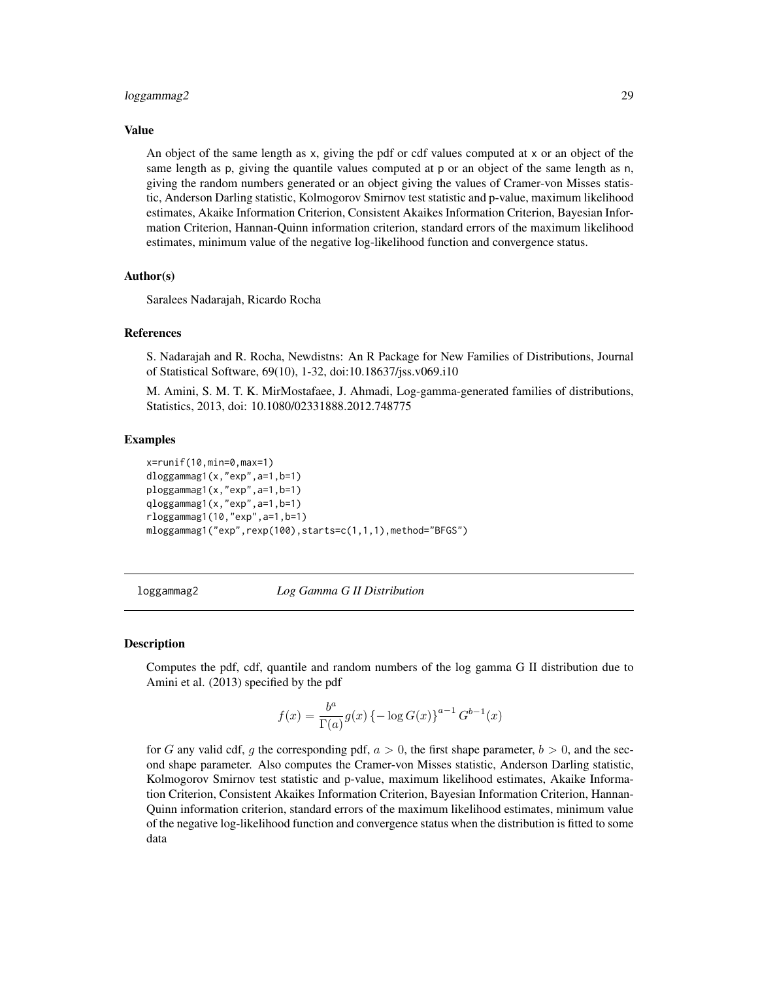#### <span id="page-28-0"></span>loggammag2 29

#### Value

An object of the same length as x, giving the pdf or cdf values computed at x or an object of the same length as p, giving the quantile values computed at p or an object of the same length as n, giving the random numbers generated or an object giving the values of Cramer-von Misses statistic, Anderson Darling statistic, Kolmogorov Smirnov test statistic and p-value, maximum likelihood estimates, Akaike Information Criterion, Consistent Akaikes Information Criterion, Bayesian Information Criterion, Hannan-Quinn information criterion, standard errors of the maximum likelihood estimates, minimum value of the negative log-likelihood function and convergence status.

#### Author(s)

Saralees Nadarajah, Ricardo Rocha

#### References

S. Nadarajah and R. Rocha, Newdistns: An R Package for New Families of Distributions, Journal of Statistical Software, 69(10), 1-32, doi:10.18637/jss.v069.i10

M. Amini, S. M. T. K. MirMostafaee, J. Ahmadi, Log-gamma-generated families of distributions, Statistics, 2013, doi: 10.1080/02331888.2012.748775

#### Examples

```
x=runif(10,min=0,max=1)
dloggammag1(x,"exp",a=1,b=1)
ploggammag1(x,"exp",a=1,b=1)
qloggammag1(x,"exp",a=1,b=1)
rloggammag1(10,"exp",a=1,b=1)
mloggammag1("exp",rexp(100),starts=c(1,1,1),method="BFGS")
```
loggammag2 *Log Gamma G II Distribution*

#### Description

Computes the pdf, cdf, quantile and random numbers of the log gamma G II distribution due to Amini et al. (2013) specified by the pdf

$$
f(x) = \frac{b^a}{\Gamma(a)} g(x) \left\{-\log G(x)\right\}^{a-1} G^{b-1}(x)
$$

for G any valid cdf, g the corresponding pdf,  $a > 0$ , the first shape parameter,  $b > 0$ , and the second shape parameter. Also computes the Cramer-von Misses statistic, Anderson Darling statistic, Kolmogorov Smirnov test statistic and p-value, maximum likelihood estimates, Akaike Information Criterion, Consistent Akaikes Information Criterion, Bayesian Information Criterion, Hannan-Quinn information criterion, standard errors of the maximum likelihood estimates, minimum value of the negative log-likelihood function and convergence status when the distribution is fitted to some data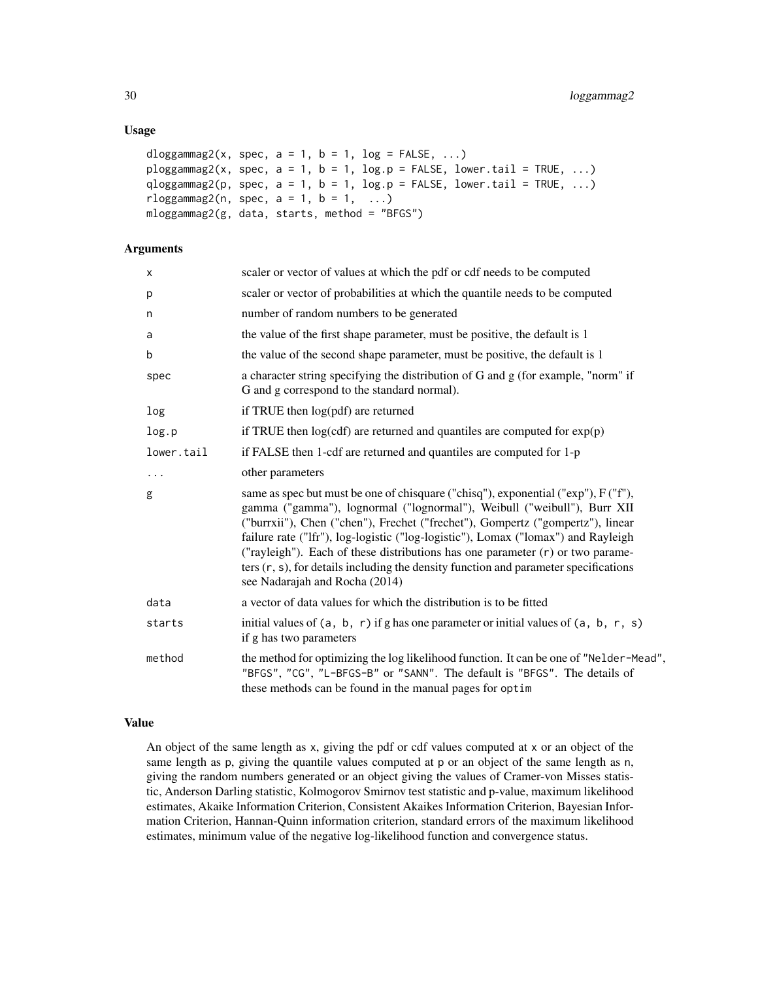### Usage

```
dloggammag2(x, spec, a = 1, b = 1, log = FALSE, ...)
ploggammag2(x, spec, a = 1, b = 1, log.p = FALSE, lower.tail = TRUE, ...)
qloggammag2(p, spec, a = 1, b = 1, log.p = FALSE, lower.tail = TRUE, ...)
rloggammag2(n, spec, a = 1, b = 1, ...)
mloggammag2(g, data, starts, method = "BFGS")
```
### Arguments

| X          | scaler or vector of values at which the pdf or cdf needs to be computed                                                                                                                                                                                                                                                                                                                                                                                                                                                                               |
|------------|-------------------------------------------------------------------------------------------------------------------------------------------------------------------------------------------------------------------------------------------------------------------------------------------------------------------------------------------------------------------------------------------------------------------------------------------------------------------------------------------------------------------------------------------------------|
| p          | scaler or vector of probabilities at which the quantile needs to be computed                                                                                                                                                                                                                                                                                                                                                                                                                                                                          |
| n          | number of random numbers to be generated                                                                                                                                                                                                                                                                                                                                                                                                                                                                                                              |
| a          | the value of the first shape parameter, must be positive, the default is 1                                                                                                                                                                                                                                                                                                                                                                                                                                                                            |
| b          | the value of the second shape parameter, must be positive, the default is 1                                                                                                                                                                                                                                                                                                                                                                                                                                                                           |
| spec       | a character string specifying the distribution of G and g (for example, "norm" if<br>G and g correspond to the standard normal).                                                                                                                                                                                                                                                                                                                                                                                                                      |
| log        | if TRUE then log(pdf) are returned                                                                                                                                                                                                                                                                                                                                                                                                                                                                                                                    |
| log.p      | if TRUE then $log(cdf)$ are returned and quantiles are computed for $exp(p)$                                                                                                                                                                                                                                                                                                                                                                                                                                                                          |
| lower.tail | if FALSE then 1-cdf are returned and quantiles are computed for 1-p                                                                                                                                                                                                                                                                                                                                                                                                                                                                                   |
| $\cdots$   | other parameters                                                                                                                                                                                                                                                                                                                                                                                                                                                                                                                                      |
| g          | same as spec but must be one of chisquare ("chisq"), exponential ("exp"), F ("f"),<br>gamma ("gamma"), lognormal ("lognormal"), Weibull ("weibull"), Burr XII<br>("burrxii"), Chen ("chen"), Frechet ("frechet"), Gompertz ("gompertz"), linear<br>failure rate ("Ifr"), log-logistic ("log-logistic"), Lomax ("lomax") and Rayleigh<br>("rayleigh"). Each of these distributions has one parameter $(r)$ or two parame-<br>ters $(r, s)$ , for details including the density function and parameter specifications<br>see Nadarajah and Rocha (2014) |
| data       | a vector of data values for which the distribution is to be fitted                                                                                                                                                                                                                                                                                                                                                                                                                                                                                    |
| starts     | initial values of $(a, b, r)$ if g has one parameter or initial values of $(a, b, r, s)$<br>if g has two parameters                                                                                                                                                                                                                                                                                                                                                                                                                                   |
| method     | the method for optimizing the log likelihood function. It can be one of "Nelder-Mead",<br>"BFGS", "CG", "L-BFGS-B" or "SANN". The default is "BFGS". The details of<br>these methods can be found in the manual pages for optim                                                                                                                                                                                                                                                                                                                       |

# Value

An object of the same length as x, giving the pdf or cdf values computed at x or an object of the same length as p, giving the quantile values computed at p or an object of the same length as n, giving the random numbers generated or an object giving the values of Cramer-von Misses statistic, Anderson Darling statistic, Kolmogorov Smirnov test statistic and p-value, maximum likelihood estimates, Akaike Information Criterion, Consistent Akaikes Information Criterion, Bayesian Information Criterion, Hannan-Quinn information criterion, standard errors of the maximum likelihood estimates, minimum value of the negative log-likelihood function and convergence status.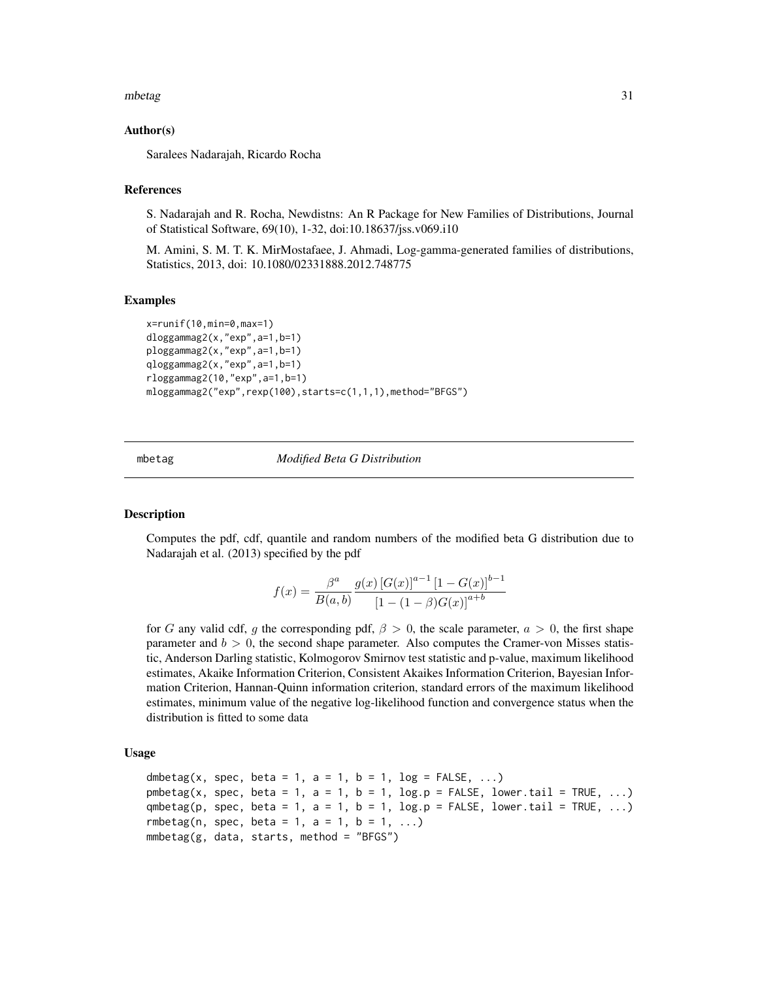#### <span id="page-30-0"></span>mbetag 31

#### Author(s)

Saralees Nadarajah, Ricardo Rocha

# References

S. Nadarajah and R. Rocha, Newdistns: An R Package for New Families of Distributions, Journal of Statistical Software, 69(10), 1-32, doi:10.18637/jss.v069.i10

M. Amini, S. M. T. K. MirMostafaee, J. Ahmadi, Log-gamma-generated families of distributions, Statistics, 2013, doi: 10.1080/02331888.2012.748775

#### Examples

```
x=runif(10,min=0,max=1)
dloggammag2(x,"exp",a=1,b=1)
ploggammag2(x,"exp",a=1,b=1)
qloggammag2(x,"exp",a=1,b=1)
rloggammag2(10,"exp",a=1,b=1)
mloggammag2("exp",rexp(100),starts=c(1,1,1),method="BFGS")
```
mbetag *Modified Beta G Distribution*

### **Description**

Computes the pdf, cdf, quantile and random numbers of the modified beta G distribution due to Nadarajah et al. (2013) specified by the pdf

$$
f(x) = \frac{\beta^a}{B(a, b)} \frac{g(x) [G(x)]^{a-1} [1 - G(x)]^{b-1}}{[1 - (1 - \beta)G(x)]^{a+b}}
$$

for G any valid cdf, g the corresponding pdf,  $\beta > 0$ , the scale parameter,  $a > 0$ , the first shape parameter and  $b > 0$ , the second shape parameter. Also computes the Cramer-von Misses statistic, Anderson Darling statistic, Kolmogorov Smirnov test statistic and p-value, maximum likelihood estimates, Akaike Information Criterion, Consistent Akaikes Information Criterion, Bayesian Information Criterion, Hannan-Quinn information criterion, standard errors of the maximum likelihood estimates, minimum value of the negative log-likelihood function and convergence status when the distribution is fitted to some data

#### Usage

```
dmbetag(x, spec, beta = 1, a = 1, b = 1, log = FALSE, ...)
pmbetag(x, spec, beta = 1, a = 1, b = 1, log.p = FALSE, lower.tail = TRUE, ...)
qmbetag(p, spec, beta = 1, a = 1, b = 1, log.p = FALSE, lower.tail = TRUE, ...)
rmbetag(n, spec, beta = 1, a = 1, b = 1, ...)
mmbetag(g, data, starts, method = "BFGS")
```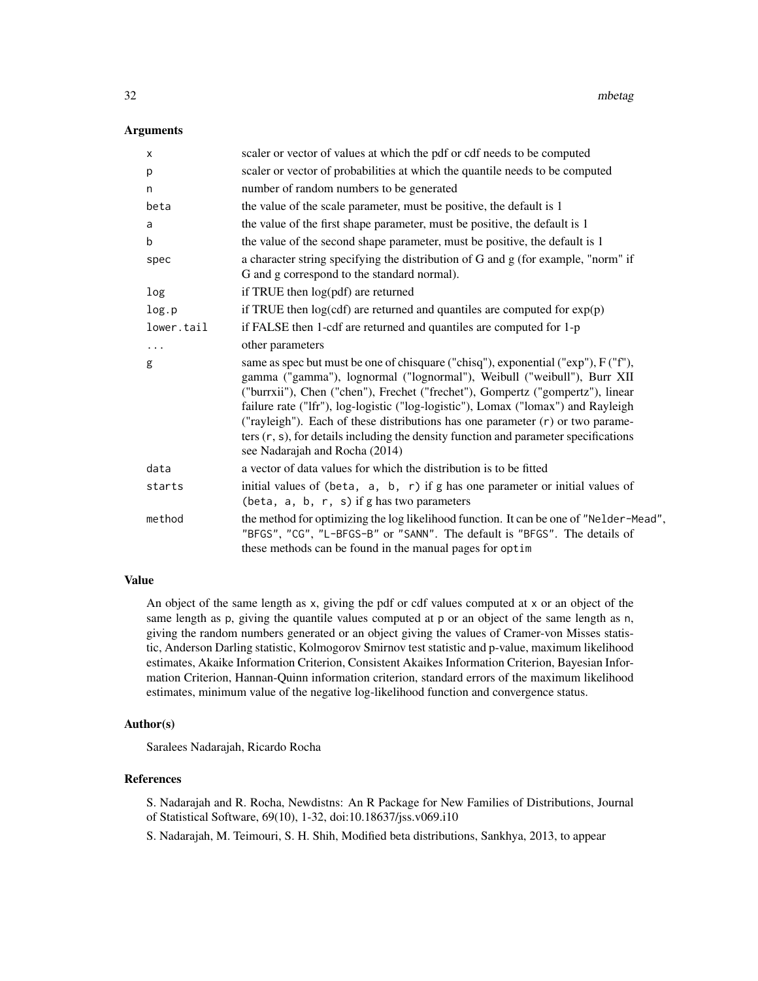#### **Arguments**

| X          | scaler or vector of values at which the pdf or cdf needs to be computed                                                                                                                                                                                                                                                                                                                                                                                                                                                                               |
|------------|-------------------------------------------------------------------------------------------------------------------------------------------------------------------------------------------------------------------------------------------------------------------------------------------------------------------------------------------------------------------------------------------------------------------------------------------------------------------------------------------------------------------------------------------------------|
| р          | scaler or vector of probabilities at which the quantile needs to be computed                                                                                                                                                                                                                                                                                                                                                                                                                                                                          |
| n          | number of random numbers to be generated                                                                                                                                                                                                                                                                                                                                                                                                                                                                                                              |
| beta       | the value of the scale parameter, must be positive, the default is 1                                                                                                                                                                                                                                                                                                                                                                                                                                                                                  |
| a          | the value of the first shape parameter, must be positive, the default is 1                                                                                                                                                                                                                                                                                                                                                                                                                                                                            |
| b          | the value of the second shape parameter, must be positive, the default is 1                                                                                                                                                                                                                                                                                                                                                                                                                                                                           |
| spec       | a character string specifying the distribution of G and g (for example, "norm" if<br>G and g correspond to the standard normal).                                                                                                                                                                                                                                                                                                                                                                                                                      |
| log        | if TRUE then log(pdf) are returned                                                                                                                                                                                                                                                                                                                                                                                                                                                                                                                    |
| log.p      | if TRUE then $log(cdf)$ are returned and quantiles are computed for $exp(p)$                                                                                                                                                                                                                                                                                                                                                                                                                                                                          |
| lower.tail | if FALSE then 1-cdf are returned and quantiles are computed for 1-p                                                                                                                                                                                                                                                                                                                                                                                                                                                                                   |
| $\cdots$   | other parameters                                                                                                                                                                                                                                                                                                                                                                                                                                                                                                                                      |
| g          | same as spec but must be one of chisquare ("chisq"), exponential ("exp"), F ("f"),<br>gamma ("gamma"), lognormal ("lognormal"), Weibull ("weibull"), Burr XII<br>("burrxii"), Chen ("chen"), Frechet ("frechet"), Gompertz ("gompertz"), linear<br>failure rate ("Ifr"), log-logistic ("log-logistic"), Lomax ("lomax") and Rayleigh<br>("rayleigh"). Each of these distributions has one parameter $(r)$ or two parame-<br>ters $(r, s)$ , for details including the density function and parameter specifications<br>see Nadarajah and Rocha (2014) |
| data       | a vector of data values for which the distribution is to be fitted                                                                                                                                                                                                                                                                                                                                                                                                                                                                                    |
| starts     | initial values of (beta, a, b, r) if g has one parameter or initial values of<br>(beta, a, b, r, s) if g has two parameters                                                                                                                                                                                                                                                                                                                                                                                                                           |
| method     | the method for optimizing the log likelihood function. It can be one of "Nelder-Mead",<br>"BFGS", "CG", "L-BFGS-B" or "SANN". The default is "BFGS". The details of<br>these methods can be found in the manual pages for optim                                                                                                                                                                                                                                                                                                                       |

# Value

An object of the same length as x, giving the pdf or cdf values computed at x or an object of the same length as p, giving the quantile values computed at p or an object of the same length as n, giving the random numbers generated or an object giving the values of Cramer-von Misses statistic, Anderson Darling statistic, Kolmogorov Smirnov test statistic and p-value, maximum likelihood estimates, Akaike Information Criterion, Consistent Akaikes Information Criterion, Bayesian Information Criterion, Hannan-Quinn information criterion, standard errors of the maximum likelihood estimates, minimum value of the negative log-likelihood function and convergence status.

#### Author(s)

Saralees Nadarajah, Ricardo Rocha

# References

S. Nadarajah and R. Rocha, Newdistns: An R Package for New Families of Distributions, Journal of Statistical Software, 69(10), 1-32, doi:10.18637/jss.v069.i10

S. Nadarajah, M. Teimouri, S. H. Shih, Modified beta distributions, Sankhya, 2013, to appear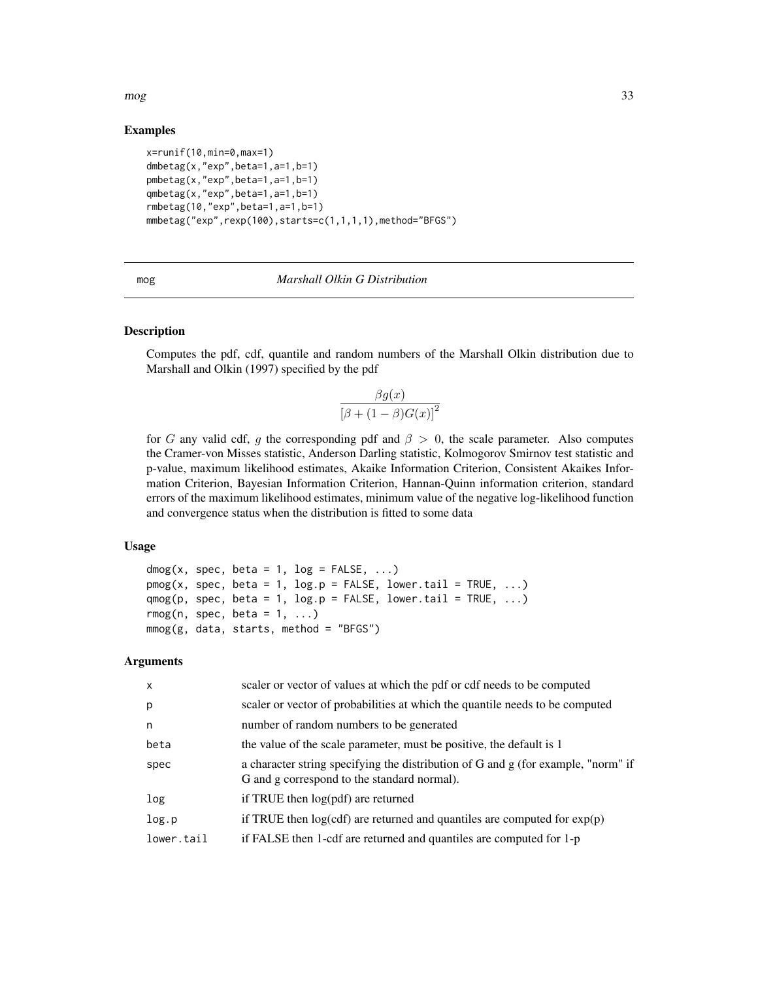<span id="page-32-0"></span> $\log$  33

# Examples

```
x=runif(10,min=0,max=1)
dmbetag(x,"exp",beta=1,a=1,b=1)
pmbetag(x,"exp",beta=1,a=1,b=1)
qmbetag(x,"exp",beta=1,a=1,b=1)
rmbetag(10,"exp",beta=1,a=1,b=1)
mmbetag("exp",rexp(100),starts=c(1,1,1,1),method="BFGS")
```

| __ | I |  |
|----|---|--|

# mog *Marshall Olkin G Distribution*

### Description

Computes the pdf, cdf, quantile and random numbers of the Marshall Olkin distribution due to Marshall and Olkin (1997) specified by the pdf

$$
\frac{\beta g(x)}{\left[\beta + (1 - \beta)G(x)\right]^2}
$$

for G any valid cdf, g the corresponding pdf and  $\beta > 0$ , the scale parameter. Also computes the Cramer-von Misses statistic, Anderson Darling statistic, Kolmogorov Smirnov test statistic and p-value, maximum likelihood estimates, Akaike Information Criterion, Consistent Akaikes Information Criterion, Bayesian Information Criterion, Hannan-Quinn information criterion, standard errors of the maximum likelihood estimates, minimum value of the negative log-likelihood function and convergence status when the distribution is fitted to some data

# Usage

```
dmog(x, spec, beta = 1, log = FALSE, ...)
p m og(x, spec, beta = 1, log.p = FALSE, lowertail = TRUE, ...)qmog(p, spec, beta = 1, log.p = FALSE, lowertail = TRUE, ...)r_{\text{mog}}(n, \text{ spec}, \text{ beta} = 1, \ldots)mmog(g, data, starts, method = "BFGS")
```

| $\mathsf{x}$ | scaler or vector of values at which the pdf or cdf needs to be computed                                                          |
|--------------|----------------------------------------------------------------------------------------------------------------------------------|
| p            | scaler or vector of probabilities at which the quantile needs to be computed                                                     |
| n            | number of random numbers to be generated                                                                                         |
| beta         | the value of the scale parameter, must be positive, the default is 1                                                             |
| spec         | a character string specifying the distribution of G and g (for example, "norm" if<br>G and g correspond to the standard normal). |
| log          | if TRUE then $log(pdf)$ are returned                                                                                             |
| log.p        | if TRUE then $log(cdf)$ are returned and quantiles are computed for $exp(p)$                                                     |
| lower.tail   | if FALSE then 1-cdf are returned and quantiles are computed for 1-p                                                              |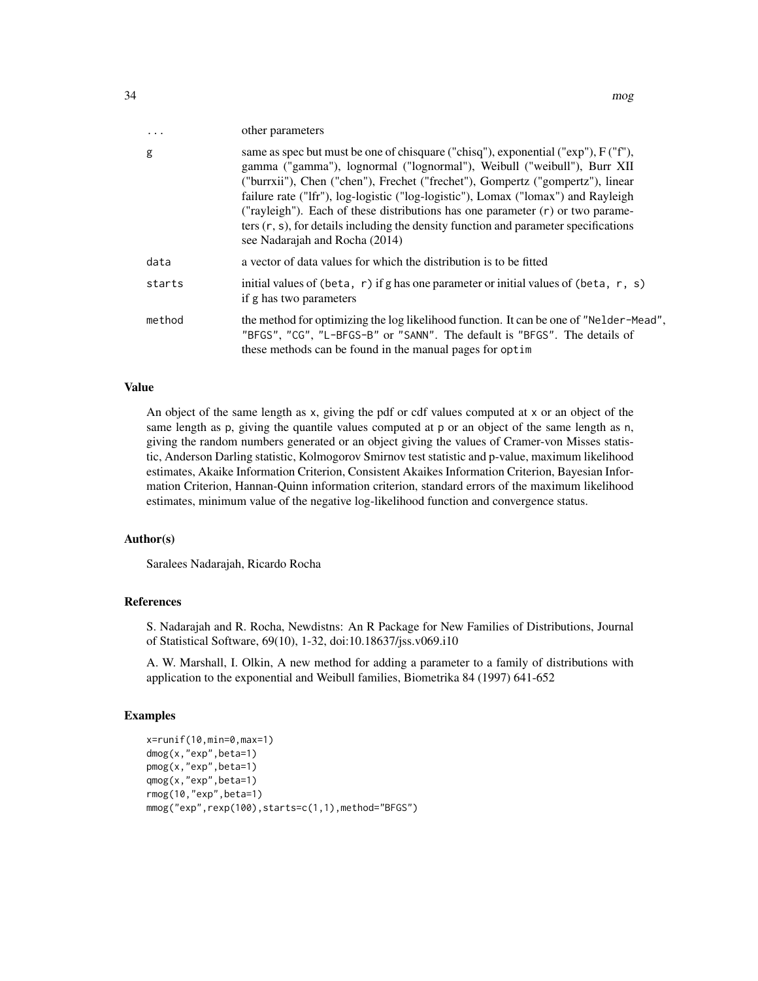| $\cdot$ | other parameters                                                                                                                                                                                                                                                                                                                                                                                                                                                                                                                                             |
|---------|--------------------------------------------------------------------------------------------------------------------------------------------------------------------------------------------------------------------------------------------------------------------------------------------------------------------------------------------------------------------------------------------------------------------------------------------------------------------------------------------------------------------------------------------------------------|
| g       | same as spec but must be one of chisquare ("chisq"), exponential (" $\exp$ "), $F(Tf')$ ,<br>gamma ("gamma"), lognormal ("lognormal"), Weibull ("weibull"), Burr XII<br>("burrxii"), Chen ("chen"), Frechet ("frechet"), Gompertz ("gompertz"), linear<br>failure rate ("Ifr"), log-logistic ("log-logistic"), Lomax ("lomax") and Rayleigh<br>("rayleigh"). Each of these distributions has one parameter $(r)$ or two parame-<br>ters $(r, s)$ , for details including the density function and parameter specifications<br>see Nadarajah and Rocha (2014) |
| data    | a vector of data values for which the distribution is to be fitted                                                                                                                                                                                                                                                                                                                                                                                                                                                                                           |
| starts  | initial values of (beta, r) if g has one parameter or initial values of (beta, r, s)<br>if g has two parameters                                                                                                                                                                                                                                                                                                                                                                                                                                              |
| method  | the method for optimizing the log likelihood function. It can be one of "Nelder-Mead",<br>"BFGS", "CG", "L-BFGS-B" or "SANN". The default is "BFGS". The details of<br>these methods can be found in the manual pages for optim                                                                                                                                                                                                                                                                                                                              |

# Value

An object of the same length as x, giving the pdf or cdf values computed at x or an object of the same length as p, giving the quantile values computed at p or an object of the same length as n, giving the random numbers generated or an object giving the values of Cramer-von Misses statistic, Anderson Darling statistic, Kolmogorov Smirnov test statistic and p-value, maximum likelihood estimates, Akaike Information Criterion, Consistent Akaikes Information Criterion, Bayesian Information Criterion, Hannan-Quinn information criterion, standard errors of the maximum likelihood estimates, minimum value of the negative log-likelihood function and convergence status.

#### Author(s)

Saralees Nadarajah, Ricardo Rocha

# References

S. Nadarajah and R. Rocha, Newdistns: An R Package for New Families of Distributions, Journal of Statistical Software, 69(10), 1-32, doi:10.18637/jss.v069.i10

A. W. Marshall, I. Olkin, A new method for adding a parameter to a family of distributions with application to the exponential and Weibull families, Biometrika 84 (1997) 641-652

### Examples

```
x=runif(10,min=0,max=1)
dmog(x,"exp",beta=1)
pmog(x,"exp",beta=1)
qmog(x,"exp",beta=1)
rmog(10,"exp",beta=1)
mmog("exp",rexp(100),starts=c(1,1),method="BFGS")
```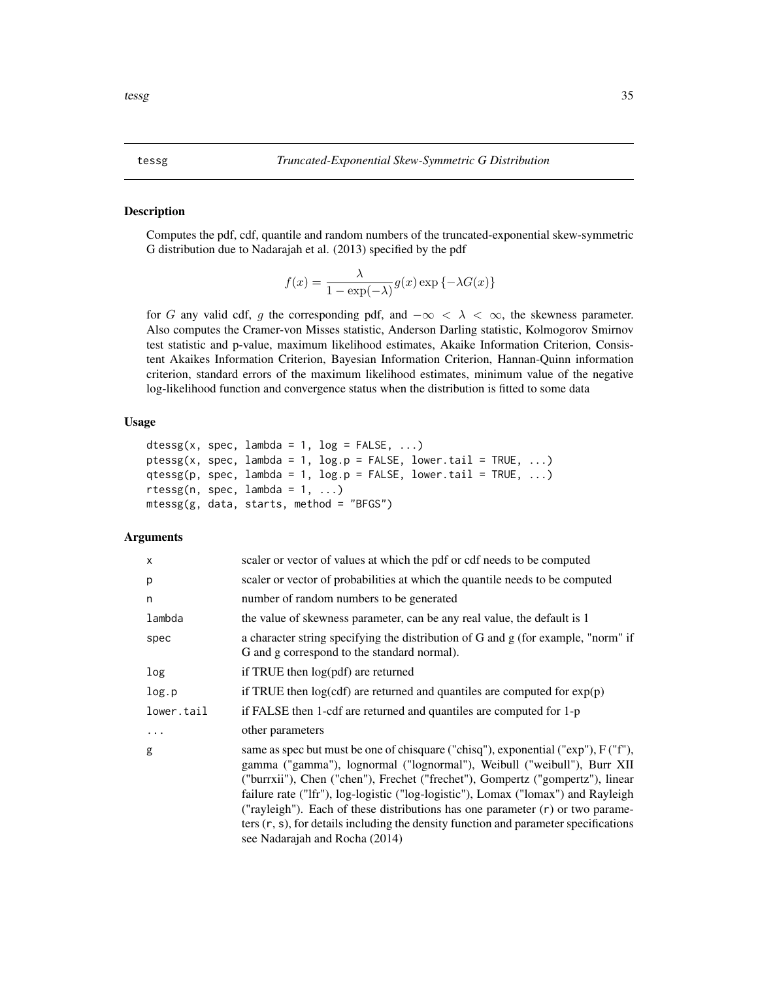#### <span id="page-34-0"></span>Description

Computes the pdf, cdf, quantile and random numbers of the truncated-exponential skew-symmetric G distribution due to Nadarajah et al. (2013) specified by the pdf

$$
f(x) = \frac{\lambda}{1 - \exp(-\lambda)} g(x) \exp\{-\lambda G(x)\}
$$

for G any valid cdf, g the corresponding pdf, and  $-\infty < \lambda < \infty$ , the skewness parameter. Also computes the Cramer-von Misses statistic, Anderson Darling statistic, Kolmogorov Smirnov test statistic and p-value, maximum likelihood estimates, Akaike Information Criterion, Consistent Akaikes Information Criterion, Bayesian Information Criterion, Hannan-Quinn information criterion, standard errors of the maximum likelihood estimates, minimum value of the negative log-likelihood function and convergence status when the distribution is fitted to some data

### Usage

```
dtessg(x, spec, lambda = 1, log = FALSE, ...)
ptessg(x, spec, lambda = 1, log.p = FALSE, lower.tail = TRUE, ...)
qtessg(p, spec, lambda = 1, log.p = FALSE, lower.tail = TRUE, ...)
rtessg(n, spec, lambda = 1, ...)
mtessg(g, data, starts, method = "BFGS")
```

| X          | scaler or vector of values at which the pdf or cdf needs to be computed                                                                                                                                                                                                                                                                                                                                                                                                                                                                               |
|------------|-------------------------------------------------------------------------------------------------------------------------------------------------------------------------------------------------------------------------------------------------------------------------------------------------------------------------------------------------------------------------------------------------------------------------------------------------------------------------------------------------------------------------------------------------------|
| р          | scaler or vector of probabilities at which the quantile needs to be computed                                                                                                                                                                                                                                                                                                                                                                                                                                                                          |
| n          | number of random numbers to be generated                                                                                                                                                                                                                                                                                                                                                                                                                                                                                                              |
| lambda     | the value of skewness parameter, can be any real value, the default is 1                                                                                                                                                                                                                                                                                                                                                                                                                                                                              |
| spec       | a character string specifying the distribution of G and g (for example, "norm" if<br>G and g correspond to the standard normal).                                                                                                                                                                                                                                                                                                                                                                                                                      |
| log        | if TRUE then log(pdf) are returned                                                                                                                                                                                                                                                                                                                                                                                                                                                                                                                    |
| log.p      | if TRUE then $log(cdf)$ are returned and quantiles are computed for $exp(p)$                                                                                                                                                                                                                                                                                                                                                                                                                                                                          |
| lower.tail | if FALSE then 1-cdf are returned and quantiles are computed for 1-p                                                                                                                                                                                                                                                                                                                                                                                                                                                                                   |
| $\cdots$   | other parameters                                                                                                                                                                                                                                                                                                                                                                                                                                                                                                                                      |
| g          | same as spec but must be one of chisquare ("chisq"), exponential ("exp"), F ("f"),<br>gamma ("gamma"), lognormal ("lognormal"), Weibull ("weibull"), Burr XII<br>("burrxii"), Chen ("chen"), Frechet ("frechet"), Gompertz ("gompertz"), linear<br>failure rate ("Ifr"), log-logistic ("log-logistic"), Lomax ("lomax") and Rayleigh<br>("rayleigh"). Each of these distributions has one parameter $(r)$ or two parame-<br>ters $(r, s)$ , for details including the density function and parameter specifications<br>see Nadarajah and Rocha (2014) |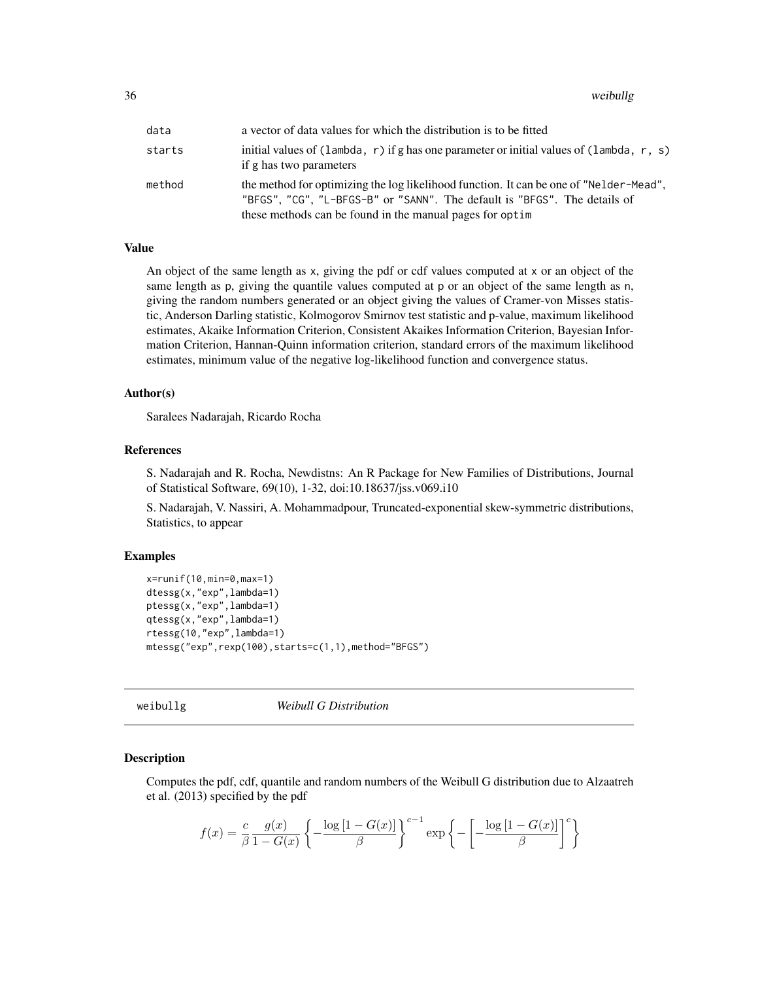<span id="page-35-0"></span>36 weibullg

| data   | a vector of data values for which the distribution is to be fitted                                                                                                                                                              |
|--------|---------------------------------------------------------------------------------------------------------------------------------------------------------------------------------------------------------------------------------|
| starts | initial values of (lambda, r) if g has one parameter or initial values of (lambda, r, s)<br>if g has two parameters                                                                                                             |
| method | the method for optimizing the log likelihood function. It can be one of "Nelder-Mead",<br>"BFGS", "CG", "L-BFGS-B" or "SANN". The default is "BFGS". The details of<br>these methods can be found in the manual pages for optim |

#### Value

An object of the same length as x, giving the pdf or cdf values computed at x or an object of the same length as p, giving the quantile values computed at p or an object of the same length as n, giving the random numbers generated or an object giving the values of Cramer-von Misses statistic, Anderson Darling statistic, Kolmogorov Smirnov test statistic and p-value, maximum likelihood estimates, Akaike Information Criterion, Consistent Akaikes Information Criterion, Bayesian Information Criterion, Hannan-Quinn information criterion, standard errors of the maximum likelihood estimates, minimum value of the negative log-likelihood function and convergence status.

# Author(s)

Saralees Nadarajah, Ricardo Rocha

#### References

S. Nadarajah and R. Rocha, Newdistns: An R Package for New Families of Distributions, Journal of Statistical Software, 69(10), 1-32, doi:10.18637/jss.v069.i10

S. Nadarajah, V. Nassiri, A. Mohammadpour, Truncated-exponential skew-symmetric distributions, Statistics, to appear

#### Examples

```
x=runif(10,min=0,max=1)
dtessg(x,"exp",lambda=1)
ptessg(x,"exp",lambda=1)
qtessg(x,"exp",lambda=1)
rtessg(10,"exp",lambda=1)
mtessg("exp",rexp(100),starts=c(1,1),method="BFGS")
```
weibullg *Weibull G Distribution*

#### Description

Computes the pdf, cdf, quantile and random numbers of the Weibull G distribution due to Alzaatreh et al. (2013) specified by the pdf

$$
f(x) = \frac{c}{\beta} \frac{g(x)}{1 - G(x)} \left\{ -\frac{\log\left[1 - G(x)\right]}{\beta} \right\}^{c-1} \exp\left\{ -\left[ -\frac{\log\left[1 - G(x)\right]}{\beta} \right]^c \right\}
$$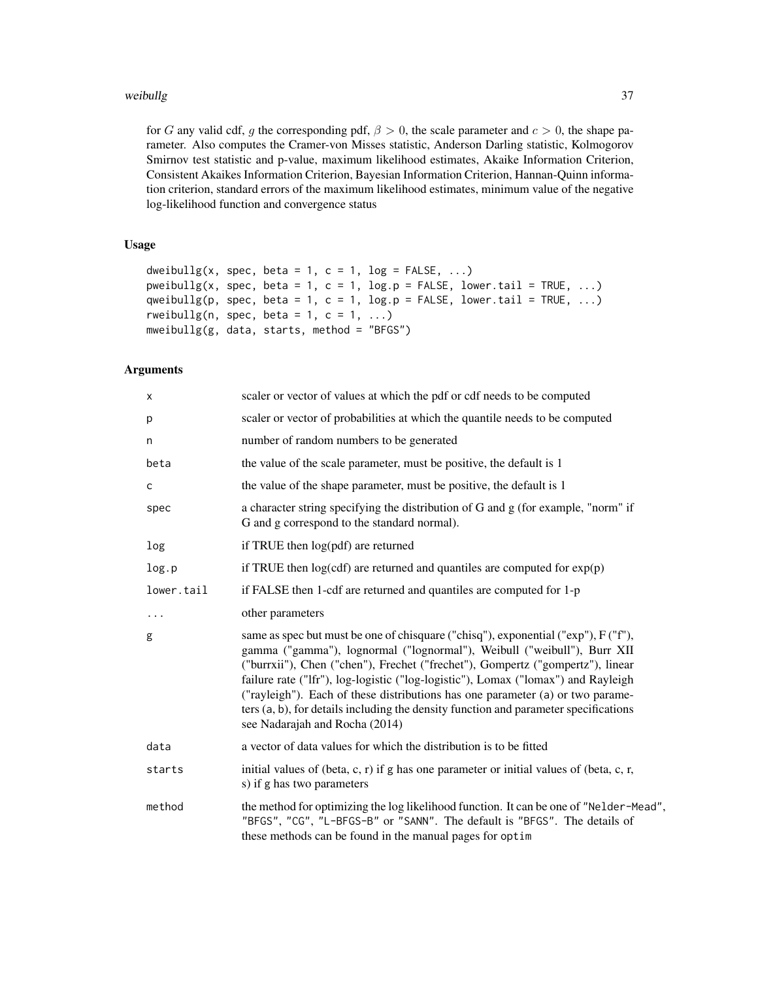for G any valid cdf, g the corresponding pdf,  $\beta > 0$ , the scale parameter and  $c > 0$ , the shape parameter. Also computes the Cramer-von Misses statistic, Anderson Darling statistic, Kolmogorov Smirnov test statistic and p-value, maximum likelihood estimates, Akaike Information Criterion, Consistent Akaikes Information Criterion, Bayesian Information Criterion, Hannan-Quinn information criterion, standard errors of the maximum likelihood estimates, minimum value of the negative log-likelihood function and convergence status

# Usage

```
dweibullg(x, spec, beta = 1, c = 1, log = FALSE, ...)
pweibullg(x, spec, beta = 1, c = 1, log.p = FALSE, lower.tail = TRUE, ...)
qweibullg(p, spec, beta = 1, c = 1, log.p = FALSE, lower.tail = TRUE, ...)
rweibullg(n, spec, beta = 1, c = 1, ...)
mweibullg(g, data, starts, method = "BFGS")
```

| x          | scaler or vector of values at which the pdf or cdf needs to be computed                                                                                                                                                                                                                                                                                                                                                                                                                                                                          |
|------------|--------------------------------------------------------------------------------------------------------------------------------------------------------------------------------------------------------------------------------------------------------------------------------------------------------------------------------------------------------------------------------------------------------------------------------------------------------------------------------------------------------------------------------------------------|
| р          | scaler or vector of probabilities at which the quantile needs to be computed                                                                                                                                                                                                                                                                                                                                                                                                                                                                     |
| n          | number of random numbers to be generated                                                                                                                                                                                                                                                                                                                                                                                                                                                                                                         |
| beta       | the value of the scale parameter, must be positive, the default is 1                                                                                                                                                                                                                                                                                                                                                                                                                                                                             |
| C          | the value of the shape parameter, must be positive, the default is 1                                                                                                                                                                                                                                                                                                                                                                                                                                                                             |
| spec       | a character string specifying the distribution of G and g (for example, "norm" if<br>G and g correspond to the standard normal).                                                                                                                                                                                                                                                                                                                                                                                                                 |
| log        | if TRUE then log(pdf) are returned                                                                                                                                                                                                                                                                                                                                                                                                                                                                                                               |
| log.p      | if TRUE then $log(cdf)$ are returned and quantiles are computed for $exp(p)$                                                                                                                                                                                                                                                                                                                                                                                                                                                                     |
| lower.tail | if FALSE then 1-cdf are returned and quantiles are computed for 1-p                                                                                                                                                                                                                                                                                                                                                                                                                                                                              |
| $\cdots$   | other parameters                                                                                                                                                                                                                                                                                                                                                                                                                                                                                                                                 |
| g          | same as spec but must be one of chisquare ("chisq"), exponential ("exp"), F ("f"),<br>gamma ("gamma"), lognormal ("lognormal"), Weibull ("weibull"), Burr XII<br>("burrxii"), Chen ("chen"), Frechet ("frechet"), Gompertz ("gompertz"), linear<br>failure rate ("lfr"), log-logistic ("log-logistic"), Lomax ("lomax") and Rayleigh<br>("rayleigh"). Each of these distributions has one parameter (a) or two parame-<br>ters (a, b), for details including the density function and parameter specifications<br>see Nadarajah and Rocha (2014) |
| data       | a vector of data values for which the distribution is to be fitted                                                                                                                                                                                                                                                                                                                                                                                                                                                                               |
| starts     | initial values of (beta, c, r) if g has one parameter or initial values of (beta, c, r,<br>s) if g has two parameters                                                                                                                                                                                                                                                                                                                                                                                                                            |
| method     | the method for optimizing the log likelihood function. It can be one of "Nelder-Mead",<br>"BFGS", "CG", "L-BFGS-B" or "SANN". The default is "BFGS". The details of<br>these methods can be found in the manual pages for optim                                                                                                                                                                                                                                                                                                                  |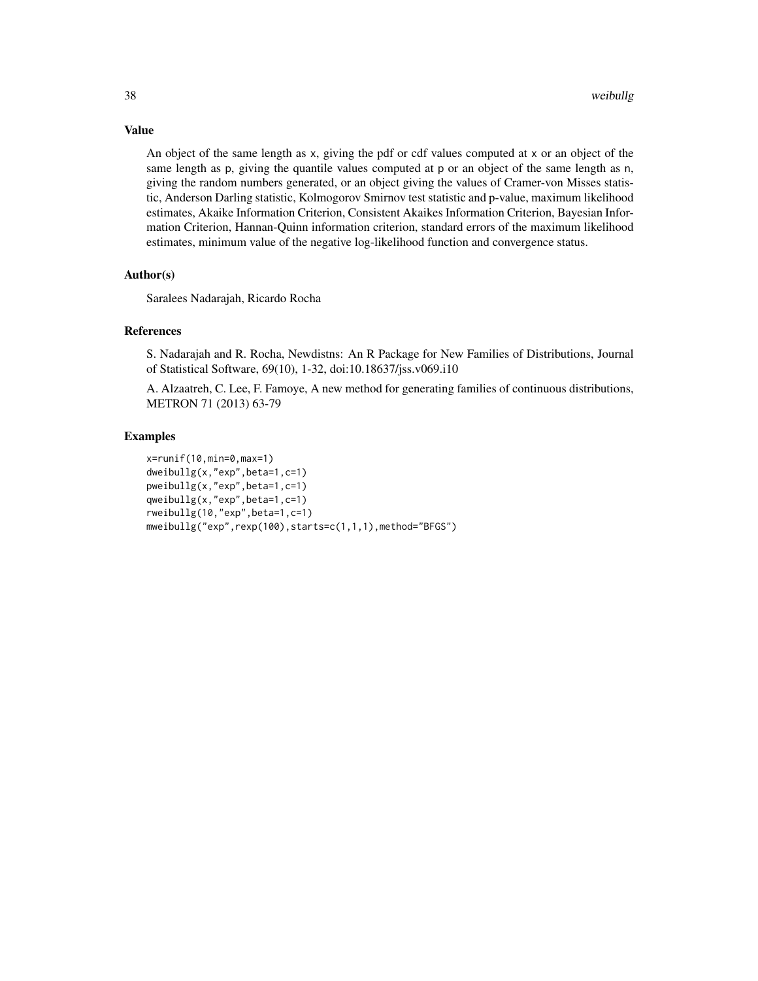An object of the same length as x, giving the pdf or cdf values computed at x or an object of the same length as p, giving the quantile values computed at p or an object of the same length as n, giving the random numbers generated, or an object giving the values of Cramer-von Misses statistic, Anderson Darling statistic, Kolmogorov Smirnov test statistic and p-value, maximum likelihood estimates, Akaike Information Criterion, Consistent Akaikes Information Criterion, Bayesian Information Criterion, Hannan-Quinn information criterion, standard errors of the maximum likelihood estimates, minimum value of the negative log-likelihood function and convergence status.

#### Author(s)

Saralees Nadarajah, Ricardo Rocha

#### References

S. Nadarajah and R. Rocha, Newdistns: An R Package for New Families of Distributions, Journal of Statistical Software, 69(10), 1-32, doi:10.18637/jss.v069.i10

A. Alzaatreh, C. Lee, F. Famoye, A new method for generating families of continuous distributions, METRON 71 (2013) 63-79

# Examples

```
x=runif(10,min=0,max=1)
dweibullg(x,"exp",beta=1,c=1)
pweibullg(x,"exp",beta=1,c=1)
qweibullg(x,"exp",beta=1,c=1)
rweibullg(10,"exp",beta=1,c=1)
mweibullg("exp",rexp(100),starts=c(1,1,1),method="BFGS")
```
#### Value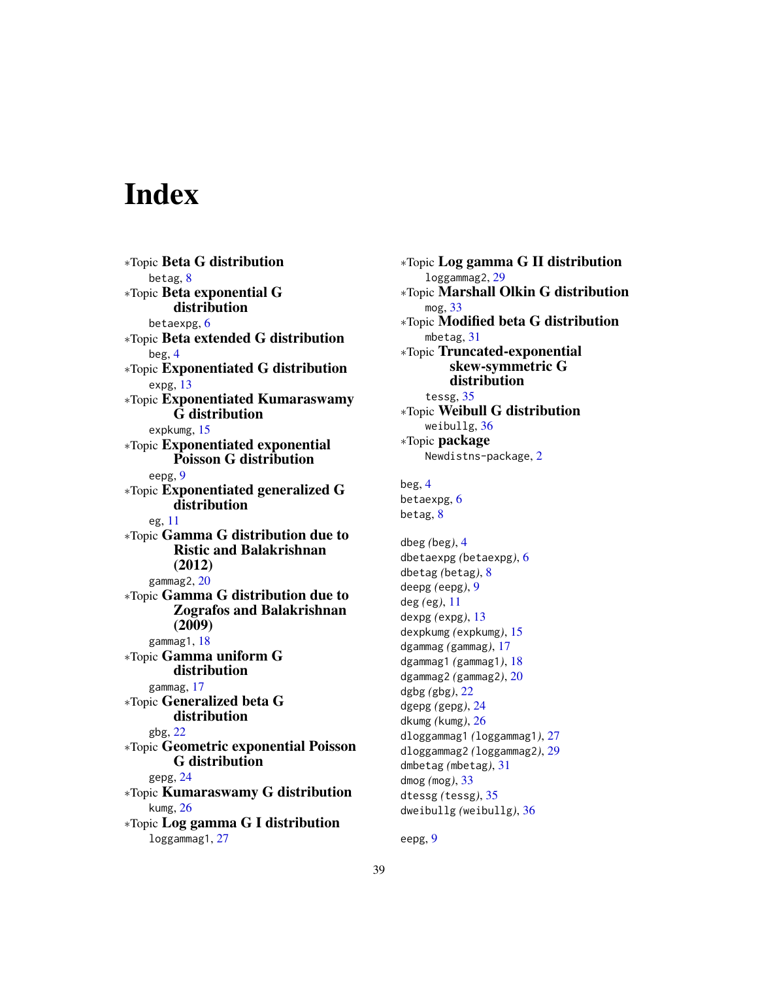# <span id="page-38-0"></span>**Index**

∗Topic Beta G distribution betag, [8](#page-7-0) ∗Topic Beta exponential G distribution betaexpg, [6](#page-5-0) ∗Topic Beta extended G distribution beg, [4](#page-3-0) ∗Topic Exponentiated G distribution expg, [13](#page-12-0) ∗Topic Exponentiated Kumaraswamy G distribution expkumg, [15](#page-14-0) ∗Topic Exponentiated exponential Poisson G distribution eepg, [9](#page-8-0) ∗Topic Exponentiated generalized G distribution eg, [11](#page-10-0) ∗Topic Gamma G distribution due to Ristic and Balakrishnan (2012) gammag2, [20](#page-19-0) ∗Topic Gamma G distribution due to Zografos and Balakrishnan (2009) gammag1, [18](#page-17-0) ∗Topic Gamma uniform G distribution gammag, [17](#page-16-0) ∗Topic Generalized beta G distribution gbg, [22](#page-21-0) ∗Topic Geometric exponential Poisson G distribution gepg, [24](#page-23-0) ∗Topic Kumaraswamy G distribution kumg, [26](#page-25-0) ∗Topic Log gamma G I distribution loggammag1, [27](#page-26-0)

∗Topic Log gamma G II distribution loggammag2, [29](#page-28-0) ∗Topic Marshall Olkin G distribution mog, [33](#page-32-0) ∗Topic Modified beta G distribution mbetag, [31](#page-30-0) ∗Topic Truncated-exponential skew-symmetric G distribution tessg, [35](#page-34-0) ∗Topic Weibull G distribution weibullg, [36](#page-35-0) ∗Topic package Newdistns-package, [2](#page-1-0) beg, [4](#page-3-0) betaexpg, [6](#page-5-0) betag, [8](#page-7-0) dbeg *(*beg*)*, [4](#page-3-0) dbetaexpg *(*betaexpg*)*, [6](#page-5-0) dbetag *(*betag*)*, [8](#page-7-0) deepg *(*eepg*)*, [9](#page-8-0) deg *(*eg*)*, [11](#page-10-0) dexpg *(*expg*)*, [13](#page-12-0) dexpkumg *(*expkumg*)*, [15](#page-14-0) dgammag *(*gammag*)*, [17](#page-16-0) dgammag1 *(*gammag1*)*, [18](#page-17-0) dgammag2 *(*gammag2*)*, [20](#page-19-0) dgbg *(*gbg*)*, [22](#page-21-0) dgepg *(*gepg*)*, [24](#page-23-0) dkumg *(*kumg*)*, [26](#page-25-0) dloggammag1 *(*loggammag1*)*, [27](#page-26-0) dloggammag2 *(*loggammag2*)*, [29](#page-28-0) dmbetag *(*mbetag*)*, [31](#page-30-0) dmog *(*mog*)*, [33](#page-32-0) dtessg *(*tessg*)*, [35](#page-34-0) dweibullg *(*weibullg*)*, [36](#page-35-0)

eepg, [9](#page-8-0)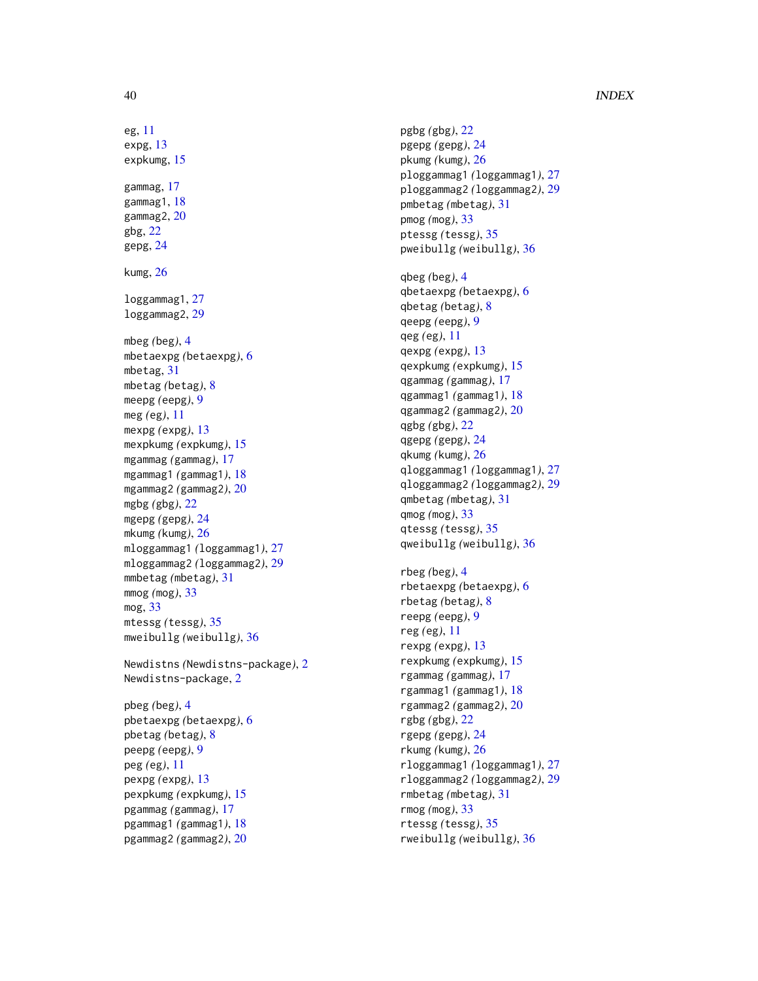# 40 INDEX

eg , [11](#page-10-0) expg , [13](#page-12-0) expkumg , [15](#page-14-0) gammag , [17](#page-16-0) gammag1 , [18](#page-17-0) gammag2 , [20](#page-19-0) gbg , [22](#page-21-0) gepg , [24](#page-23-0) kumg , [26](#page-25-0) loggammag1 , [27](#page-26-0) loggammag2 , [29](#page-28-0) mbeg *(*beg *)* , [4](#page-3-0) mbetaexpg *(*betaexpg *)* , [6](#page-5-0) mbetag , [31](#page-30-0) mbetag *(*betag *)* , [8](#page-7-0) meepg *(*eepg *)* , [9](#page-8-0) meg *(*eg *)* , [11](#page-10-0) mexpg *(*expg *)* , [13](#page-12-0) mexpkumg *(*expkumg *)* , [15](#page-14-0) mgammag *(*gammag *)* , [17](#page-16-0) mgammag1 *(*gammag1 *)* , [18](#page-17-0) mgammag2 *(*gammag2 *)* , [20](#page-19-0) mgbg *(*gbg *)* , [22](#page-21-0) mgepg *(*gepg *)* , [24](#page-23-0) mkumg *(*kumg *)* , [26](#page-25-0) mloggammag1 *(*loggammag1 *)* , [27](#page-26-0) mloggammag2 *(*loggammag2 *)* , [29](#page-28-0) mmbetag *(*mbetag *)* , [31](#page-30-0) mmog *(*mog *)* , [33](#page-32-0) mog , [33](#page-32-0) mtessg *(*tessg *)* , [35](#page-34-0) mweibullg *(*weibullg *)* , [36](#page-35-0) Newdistns *(*Newdistns-package *)* , [2](#page-1-0) Newdistns-package , [2](#page-1-0) pbeg *(*beg *)* , [4](#page-3-0) pbetaexpg *(*betaexpg *)* , [6](#page-5-0) pbetag *(*betag *)* , [8](#page-7-0) peepg *(*eepg *)* , [9](#page-8-0) peg *(*eg *)* , [11](#page-10-0) pexpg *(*expg *)* , [13](#page-12-0) pexpkumg *(*expkumg *)* , [15](#page-14-0) pgammag *(*gammag *)* , [17](#page-16-0)

pgammag1 *(*gammag1 *)* , [18](#page-17-0) pgammag2 *(*gammag2 *)* , [20](#page-19-0) pgbg *(*gbg *)* , [22](#page-21-0) pgepg *(*gepg *)* , [24](#page-23-0) pkumg *(*kumg *)* , [26](#page-25-0) ploggammag1 *(*loggammag1 *)* , [27](#page-26-0) ploggammag2 *(*loggammag2 *)* , [29](#page-28-0) pmbetag *(*mbetag *)* , [31](#page-30-0) pmog *(*mog *)* , [33](#page-32-0) ptessg *(*tessg *)* , [35](#page-34-0) pweibullg *(*weibullg *)* , [36](#page-35-0) qbeg *(*beg *)* , [4](#page-3-0) qbetaexpg *(*betaexpg *)* , [6](#page-5-0) qbetag *(*betag *)* , [8](#page-7-0) qeepg *(*eepg *)* , [9](#page-8-0) qeg *(*eg *)* , [11](#page-10-0) qexpg *(*expg *)* , [13](#page-12-0) qexpkumg *(*expkumg *)* , [15](#page-14-0) qgammag *(*gammag *)* , [17](#page-16-0) qgammag1 *(*gammag1 *)* , [18](#page-17-0) qgammag2 *(*gammag2 *)* , [20](#page-19-0) qgbg *(*gbg *)* , [22](#page-21-0) qgepg *(*gepg *)* , [24](#page-23-0) qkumg *(*kumg *)* , [26](#page-25-0) qloggammag1 *(*loggammag1 *)* , [27](#page-26-0) qloggammag2 *(*loggammag2 *)* , [29](#page-28-0) qmbetag *(*mbetag *)* , [31](#page-30-0) qmog *(*mog *)* , [33](#page-32-0) qtessg *(*tessg *)* , [35](#page-34-0) qweibullg *(*weibullg *)* , [36](#page-35-0) rbeg *(*beg *)* , [4](#page-3-0) rbetaexpg *(*betaexpg *)* , [6](#page-5-0) rbetag *(*betag *)* , [8](#page-7-0) reepg *(*eepg *)* , [9](#page-8-0) reg *(*eg *)* , [11](#page-10-0) rexpg *(*expg *)* , [13](#page-12-0) rexpkumg *(*expkumg *)* , [15](#page-14-0) rgammag *(*gammag *)* , [17](#page-16-0) rgammag1 *(*gammag1 *)* , [18](#page-17-0) rgammag2 *(*gammag2 *)* , [20](#page-19-0) rgbg *(*gbg *)* , [22](#page-21-0) rgepg *(*gepg *)* , [24](#page-23-0) rkumg *(*kumg *)* , [26](#page-25-0) rloggammag1 *(*loggammag1 *)* , [27](#page-26-0) rloggammag2 *(*loggammag2 *)* , [29](#page-28-0) rmbetag *(*mbetag *)* , [31](#page-30-0) rmog *(*mog *)* , [33](#page-32-0) rtessg *(*tessg *)* , [35](#page-34-0) rweibullg *(*weibullg *)* , [36](#page-35-0)